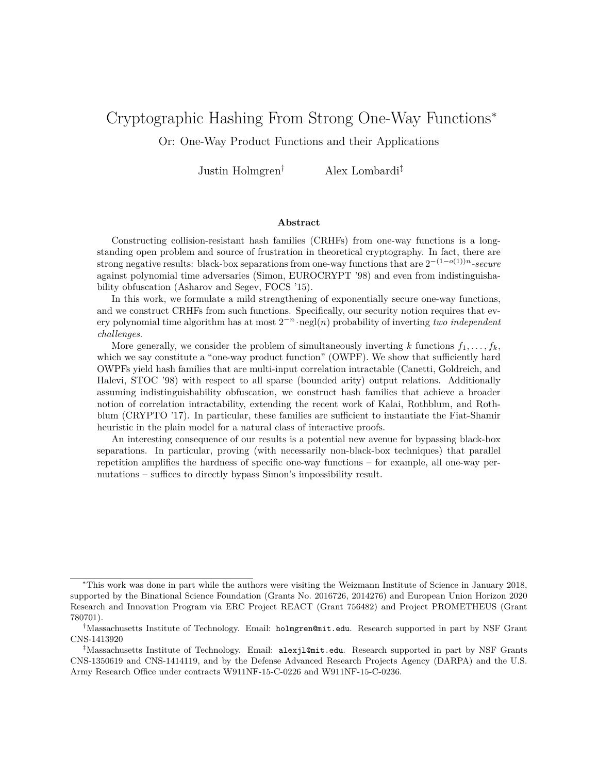# Cryptographic Hashing From Strong One-Way Functions<sup>∗</sup>

Or: One-Way Product Functions and their Applications

Justin Holmgren† Alex Lombardi‡

#### **Abstract**

Constructing collision-resistant hash families (CRHFs) from one-way functions is a longstanding open problem and source of frustration in theoretical cryptography. In fact, there are strong negative results: black-box separations from one-way functions that are  $2^{-(1-o(1))n}$ -secure against polynomial time adversaries (Simon, EUROCRYPT '98) and even from indistinguishability obfuscation (Asharov and Segev, FOCS '15).

In this work, we formulate a mild strengthening of exponentially secure one-way functions, and we construct CRHFs from such functions. Specifically, our security notion requires that every polynomial time algorithm has at most 2 <sup>−</sup>*<sup>n</sup>* ·negl(*n*) probability of inverting *two independent challenges*.

More generally, we consider the problem of simultaneously inverting  $k$  functions  $f_1, \ldots, f_k$ , which we say constitute a "one-way product function" (OWPF). We show that sufficiently hard OWPFs yield hash families that are multi-input correlation intractable (Canetti, Goldreich, and Halevi, STOC '98) with respect to all sparse (bounded arity) output relations. Additionally assuming indistinguishability obfuscation, we construct hash families that achieve a broader notion of correlation intractability, extending the recent work of Kalai, Rothblum, and Rothblum (CRYPTO '17). In particular, these families are sufficient to instantiate the Fiat-Shamir heuristic in the plain model for a natural class of interactive proofs.

An interesting consequence of our results is a potential new avenue for bypassing black-box separations. In particular, proving (with necessarily non-black-box techniques) that parallel repetition amplifies the hardness of specific one-way functions – for example, all one-way permutations – suffices to directly bypass Simon's impossibility result.

<sup>∗</sup>This work was done in part while the authors were visiting the Weizmann Institute of Science in January 2018, supported by the Binational Science Foundation (Grants No. 2016726, 2014276) and European Union Horizon 2020 Research and Innovation Program via ERC Project REACT (Grant 756482) and Project PROMETHEUS (Grant 780701).

<sup>†</sup>Massachusetts Institute of Technology. Email: holmgren@mit.edu. Research supported in part by NSF Grant CNS-1413920

<sup>‡</sup>Massachusetts Institute of Technology. Email: alexjl@mit.edu. Research supported in part by NSF Grants CNS-1350619 and CNS-1414119, and by the Defense Advanced Research Projects Agency (DARPA) and the U.S. Army Research Office under contracts W911NF-15-C-0226 and W911NF-15-C-0236.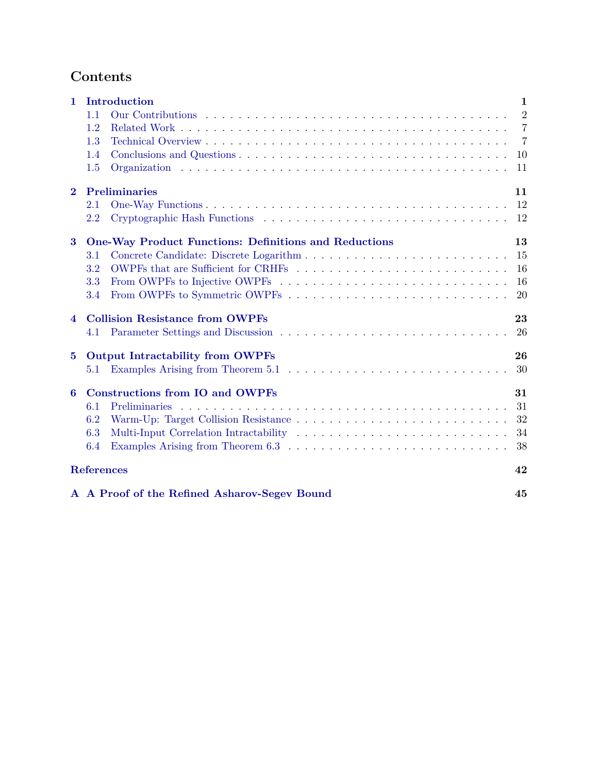# **Contents**

| $\mathbf{1}$             | Introduction<br>$\mathbf{1}$                                                                                   |                |  |
|--------------------------|----------------------------------------------------------------------------------------------------------------|----------------|--|
|                          | 1.1                                                                                                            | $\overline{2}$ |  |
|                          | 1.2                                                                                                            | $\overline{7}$ |  |
|                          | 1.3                                                                                                            | 7              |  |
|                          | 1.4                                                                                                            | 10             |  |
|                          | 1.5                                                                                                            | 11             |  |
| $\bf{2}$                 | <b>Preliminaries</b><br>11                                                                                     |                |  |
|                          | 2.1                                                                                                            | 12             |  |
|                          | 2.2                                                                                                            | 12             |  |
| $\bf{3}$                 | <b>One-Way Product Functions: Definitions and Reductions</b>                                                   | 13             |  |
|                          | 3.1                                                                                                            | 15             |  |
|                          | 3.2                                                                                                            | 16             |  |
|                          | From OWPFs to Injective OWPFs $\dots \dots \dots \dots \dots \dots \dots \dots \dots \dots \dots \dots$<br>3.3 | 16             |  |
|                          | 3.4                                                                                                            | 20             |  |
| $\overline{\mathcal{A}}$ | <b>Collision Resistance from OWPFs</b>                                                                         |                |  |
|                          | 4.1                                                                                                            | 26             |  |
| $\bf{5}$                 | <b>Output Intractability from OWPFs</b>                                                                        |                |  |
|                          | 5.1                                                                                                            | 30             |  |
| 6                        | <b>Constructions from IO and OWPFs</b>                                                                         | 31             |  |
|                          | <b>Preliminaries</b><br>6.1                                                                                    | 31             |  |
|                          | 6.2                                                                                                            | 32             |  |
|                          | 6.3                                                                                                            | 34             |  |
|                          | 6.4                                                                                                            | 38             |  |
| <b>References</b><br>42  |                                                                                                                |                |  |
|                          | A A Proof of the Refined Asharov-Segev Bound                                                                   | 45             |  |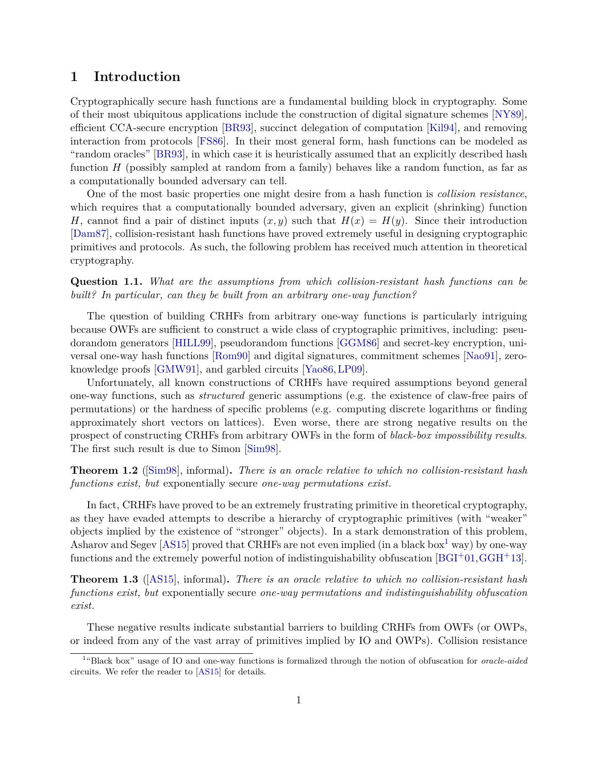## <span id="page-2-0"></span>**1 Introduction**

Cryptographically secure hash functions are a fundamental building block in cryptography. Some of their most ubiquitous applications include the construction of digital signature schemes [\[NY89\]](#page-45-0), efficient CCA-secure encryption [\[BR93\]](#page-43-1), succinct delegation of computation [\[Kil94\]](#page-45-1), and removing interaction from protocols [\[FS86\]](#page-44-0). In their most general form, hash functions can be modeled as "random oracles" [\[BR93\]](#page-43-1), in which case it is heuristically assumed that an explicitly described hash function *H* (possibly sampled at random from a family) behaves like a random function, as far as a computationally bounded adversary can tell.

One of the most basic properties one might desire from a hash function is *collision resistance*, which requires that a computationally bounded adversary, given an explicit (shrinking) function *H*, cannot find a pair of distinct inputs  $(x, y)$  such that  $H(x) = H(y)$ . Since their introduction [\[Dam87\]](#page-44-1), collision-resistant hash functions have proved extremely useful in designing cryptographic primitives and protocols. As such, the following problem has received much attention in theoretical cryptography.

**Question 1.1.** *What are the assumptions from which collision-resistant hash functions can be built? In particular, can they be built from an arbitrary one-way function?*

The question of building CRHFs from arbitrary one-way functions is particularly intriguing because OWFs are sufficient to construct a wide class of cryptographic primitives, including: pseudorandom generators [\[HILL99\]](#page-45-2), pseudorandom functions [\[GGM86\]](#page-44-2) and secret-key encryption, universal one-way hash functions [\[Rom90\]](#page-45-3) and digital signatures, commitment schemes [\[Nao91\]](#page-45-4), zeroknowledge proofs [\[GMW91\]](#page-45-5), and garbled circuits [\[Yao86,](#page-46-1)[LP09\]](#page-45-6).

Unfortunately, all known constructions of CRHFs have required assumptions beyond general one-way functions, such as *structured* generic assumptions (e.g. the existence of claw-free pairs of permutations) or the hardness of specific problems (e.g. computing discrete logarithms or finding approximately short vectors on lattices). Even worse, there are strong negative results on the prospect of constructing CRHFs from arbitrary OWFs in the form of *black-box impossibility results*. The first such result is due to Simon [\[Sim98\]](#page-46-2).

**Theorem 1.2** ([\[Sim98\]](#page-46-2), informal)**.** *There is an oracle relative to which no collision-resistant hash functions exist, but* exponentially secure *one-way permutations exist.*

In fact, CRHFs have proved to be an extremely frustrating primitive in theoretical cryptography, as they have evaded attempts to describe a hierarchy of cryptographic primitives (with "weaker" objects implied by the existence of "stronger" objects). In a stark demonstration of this problem, Asharov and Segev  $[AS15]$  proved that CRHFs are not even implied (in a black box<sup>[1](#page-2-1)</sup> way) by one-way functions and the extremely powerful notion of indistinguishability obfuscation  $[{\rm BGI^+01}, {\rm GGH^+13}]$  $[{\rm BGI^+01}, {\rm GGH^+13}]$  $[{\rm BGI^+01}, {\rm GGH^+13}]$ .

**Theorem 1.3** ([\[AS15\]](#page-43-2), informal)**.** *There is an oracle relative to which no collision-resistant hash functions exist, but* exponentially secure *one-way permutations and indistinguishability obfuscation exist.*

These negative results indicate substantial barriers to building CRHFs from OWFs (or OWPs, or indeed from any of the vast array of primitives implied by IO and OWPs). Collision resistance

<span id="page-2-1"></span><sup>&</sup>lt;sup>1</sup>"Black box" usage of IO and one-way functions is formalized through the notion of obfuscation for *oracle-aided* circuits. We refer the reader to [\[AS15\]](#page-43-2) for details.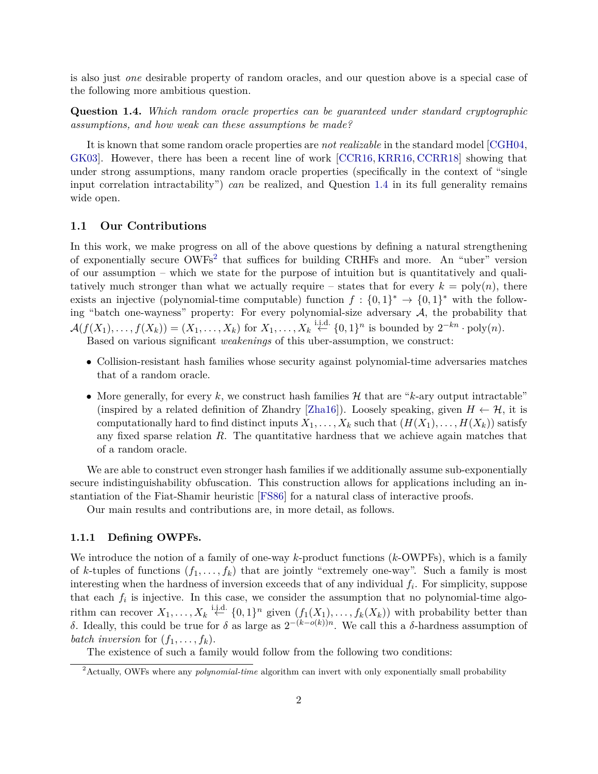is also just *one* desirable property of random oracles, and our question above is a special case of the following more ambitious question.

<span id="page-3-1"></span>**Question 1.4.** *Which random oracle properties can be guaranteed under standard cryptographic assumptions, and how weak can these assumptions be made?*

It is known that some random oracle properties are *not realizable* in the standard model [\[CGH04,](#page-44-4) [GK03\]](#page-44-5). However, there has been a recent line of work [\[CCR16,](#page-44-6) [KRR16,](#page-45-7) [CCRR18\]](#page-44-7) showing that under strong assumptions, many random oracle properties (specifically in the context of "single input correlation intractability") *can* be realized, and Question [1.4](#page-3-1) in its full generality remains wide open.

#### <span id="page-3-0"></span>**1.1 Our Contributions**

In this work, we make progress on all of the above questions by defining a natural strengthening of exponentially secure OWFs<sup>[2](#page-3-2)</sup> that suffices for building CRHFs and more. An "uber" version of our assumption – which we state for the purpose of intuition but is quantitatively and qualitatively much stronger than what we actually require – states that for every  $k = \text{poly}(n)$ , there exists an injective (polynomial-time computable) function  $f: \{0,1\}^* \to \{0,1\}^*$  with the following "batch one-wayness" property: For every polynomial-size adversary  $A$ , the probability that  $\mathcal{A}(f(X_1), \ldots, f(X_k)) = (X_1, \ldots, X_k)$  for  $X_1, \ldots, X_k \stackrel{\text{i.i.d.}}{\leftarrow} \{0,1\}^n$  is bounded by  $2^{-kn} \cdot \text{poly}(n)$ .

Based on various significant *weakenings* of this uber-assumption, we construct:

- Collision-resistant hash families whose security against polynomial-time adversaries matches that of a random oracle.
- More generally, for every  $k$ , we construct hash families  $H$  that are " $k$ -ary output intractable" (inspired by a related definition of Zhandry [\[Zha16\]](#page-46-3)). Loosely speaking, given  $H \leftarrow H$ , it is computationally hard to find distinct inputs  $X_1, \ldots, X_k$  such that  $(H(X_1), \ldots, H(X_k))$  satisfy any fixed sparse relation *R*. The quantitative hardness that we achieve again matches that of a random oracle.

We are able to construct even stronger hash families if we additionally assume sub-exponentially secure indistinguishability obfuscation. This construction allows for applications including an instantiation of the Fiat-Shamir heuristic [\[FS86\]](#page-44-0) for a natural class of interactive proofs.

Our main results and contributions are, in more detail, as follows.

#### **1.1.1 Defining OWPFs.**

We introduce the notion of a family of one-way *k*-product functions (*k*-OWPFs), which is a family of *k*-tuples of functions  $(f_1, \ldots, f_k)$  that are jointly "extremely one-way". Such a family is most interesting when the hardness of inversion exceeds that of any individual *f<sup>i</sup>* . For simplicity, suppose that each  $f_i$  is injective. In this case, we consider the assumption that no polynomial-time algorithm can recover  $X_1, \ldots, X_k \stackrel{\text{i.i.d.}}{\leftarrow} \{0,1\}^n$  given  $(f_1(X_1), \ldots, f_k(X_k))$  with probability better than *δ*. Ideally, this could be true for *δ* as large as  $2^{-(k-o(k))n}$ . We call this a *δ*-hardness assumption of *batch inversion* for  $(f_1, \ldots, f_k)$ .

The existence of such a family would follow from the following two conditions:

<span id="page-3-2"></span><sup>2</sup>Actually, OWFs where any *polynomial-time* algorithm can invert with only exponentially small probability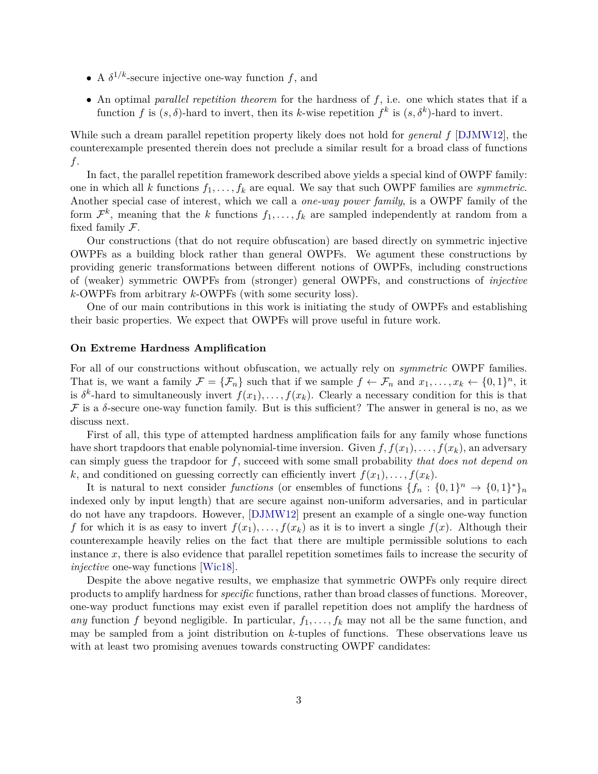- A  $\delta^{1/k}$ -secure injective one-way function *f*, and
- An optimal *parallel repetition theorem* for the hardness of *f*, i.e. one which states that if a function *f* is  $(s, \delta)$ -hard to invert, then its *k*-wise repetition  $f^k$  is  $(s, \delta^k)$ -hard to invert.

While such a dream parallel repetition property likely does not hold for *general f* [\[DJMW12\]](#page-44-8), the counterexample presented therein does not preclude a similar result for a broad class of functions *f*.

In fact, the parallel repetition framework described above yields a special kind of OWPF family: one in which all *k* functions  $f_1, \ldots, f_k$  are equal. We say that such OWPF families are *symmetric*. Another special case of interest, which we call a *one-way power family*, is a OWPF family of the form  $\mathcal{F}^k$ , meaning that the *k* functions  $f_1, \ldots, f_k$  are sampled independently at random from a fixed family  $\mathcal{F}.$ 

Our constructions (that do not require obfuscation) are based directly on symmetric injective OWPFs as a building block rather than general OWPFs. We agument these constructions by providing generic transformations between different notions of OWPFs, including constructions of (weaker) symmetric OWPFs from (stronger) general OWPFs, and constructions of *injective k*-OWPFs from arbitrary *k*-OWPFs (with some security loss).

One of our main contributions in this work is initiating the study of OWPFs and establishing their basic properties. We expect that OWPFs will prove useful in future work.

#### **On Extreme Hardness Amplification**

For all of our constructions without obfuscation, we actually rely on *symmetric* OWPF families. That is, we want a family  $\mathcal{F} = {\mathcal{F}_n}$  such that if we sample  $f \leftarrow \mathcal{F}_n$  and  $x_1, \ldots, x_k \leftarrow \{0, 1\}^n$ , it is  $\delta^k$ -hard to simultaneously invert  $f(x_1), \ldots, f(x_k)$ . Clearly a necessary condition for this is that  $\mathcal F$  is a  $\delta$ -secure one-way function family. But is this sufficient? The answer in general is no, as we discuss next.

First of all, this type of attempted hardness amplification fails for any family whose functions have short trapdoors that enable polynomial-time inversion. Given  $f, f(x_1), \ldots, f(x_k)$ , an adversary can simply guess the trapdoor for *f*, succeed with some small probability *that does not depend on*  $k$ , and conditioned on guessing correctly can efficiently invert  $f(x_1), \ldots, f(x_k)$ .

It is natural to next consider *functions* (or ensembles of functions  $\{f_n: \{0,1\}^n \to \{0,1\}^*\}_n$ indexed only by input length) that are secure against non-uniform adversaries, and in particular do not have any trapdoors. However, [\[DJMW12\]](#page-44-8) present an example of a single one-way function *f* for which it is as easy to invert  $f(x_1), \ldots, f(x_k)$  as it is to invert a single  $f(x)$ . Although their counterexample heavily relies on the fact that there are multiple permissible solutions to each instance *x*, there is also evidence that parallel repetition sometimes fails to increase the security of *injective* one-way functions [\[Wic18\]](#page-46-4).

Despite the above negative results, we emphasize that symmetric OWPFs only require direct products to amplify hardness for *specific* functions, rather than broad classes of functions. Moreover, one-way product functions may exist even if parallel repetition does not amplify the hardness of *any* function *f* beyond negligible. In particular,  $f_1, \ldots, f_k$  may not all be the same function, and may be sampled from a joint distribution on *k*-tuples of functions. These observations leave us with at least two promising avenues towards constructing OWPF candidates: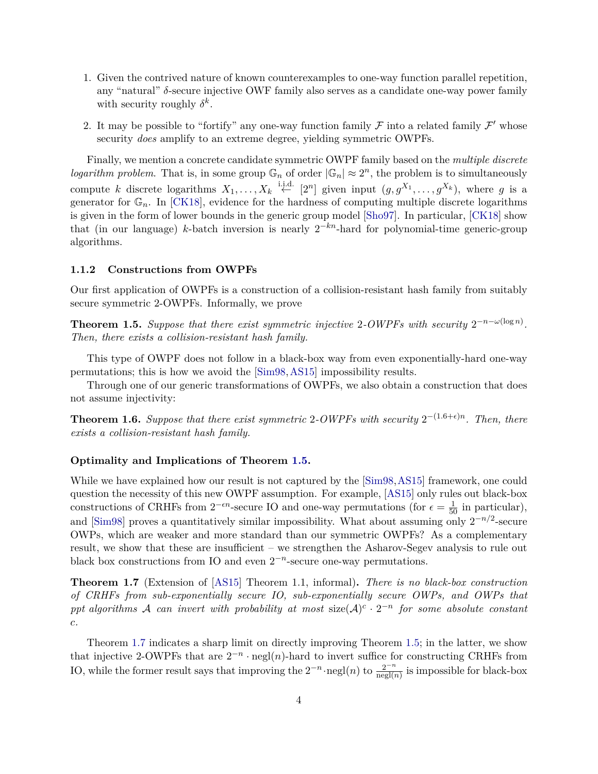- 1. Given the contrived nature of known counterexamples to one-way function parallel repetition, any "natural" *δ*-secure injective OWF family also serves as a candidate one-way power family with security roughly  $\delta^k$ .
- 2. It may be possible to "fortify" any one-way function family  $\mathcal F$  into a related family  $\mathcal F'$  whose security *does* amplify to an extreme degree, yielding symmetric OWPFs.

Finally, we mention a concrete candidate symmetric OWPF family based on the *multiple discrete logarithm problem*. That is, in some group  $\mathbb{G}_n$  of order  $|\mathbb{G}_n| \approx 2^n$ , the problem is to simultaneously compute *k* discrete logarithms  $X_1, \ldots, X_k \stackrel{\text{i.i.d.}}{\leftarrow} [2^n]$  given input  $(g, g^{X_1}, \ldots, g^{X_k})$ , where *g* is a generator for  $\mathbb{G}_n$ . In [\[CK18\]](#page-44-9), evidence for the hardness of computing multiple discrete logarithms is given in the form of lower bounds in the generic group model [\[Sho97\]](#page-46-5). In particular, [\[CK18\]](#page-44-9) show that (in our language) *k*-batch inversion is nearly  $2^{-kn}$ -hard for polynomial-time generic-group algorithms.

#### **1.1.2 Constructions from OWPFs**

Our first application of OWPFs is a construction of a collision-resistant hash family from suitably secure symmetric 2-OWPFs. Informally, we prove

<span id="page-5-0"></span>**Theorem 1.5.** Suppose that there exist symmetric injective 2-OWPFs with security  $2^{-n-\omega(\log n)}$ . *Then, there exists a collision-resistant hash family.*

This type of OWPF does not follow in a black-box way from even exponentially-hard one-way permutations; this is how we avoid the [\[Sim98,](#page-46-2)[AS15\]](#page-43-2) impossibility results.

Through one of our generic transformations of OWPFs, we also obtain a construction that does not assume injectivity:

**Theorem 1.6.** Suppose that there exist symmetric 2-OWPFs with security  $2^{-(1.6+\epsilon)n}$ . Then, there *exists a collision-resistant hash family.*

#### **Optimality and Implications of Theorem [1.5.](#page-5-0)**

While we have explained how our result is not captured by the  $[\text{Sim98},\text{AS15}]$  framework, one could question the necessity of this new OWPF assumption. For example, [\[AS15\]](#page-43-2) only rules out black-box constructions of CRHFs from  $2^{-\epsilon n}$ -secure IO and one-way permutations (for  $\epsilon = \frac{1}{50}$  in particular), and  $[\text{Sim98}]$  proves a quantitatively similar impossibility. What about assuming only  $2^{-n/2}$ -secure OWPs, which are weaker and more standard than our symmetric OWPFs? As a complementary result, we show that these are insufficient – we strengthen the Asharov-Segev analysis to rule out black box constructions from IO and even  $2^{-n}$ -secure one-way permutations.

<span id="page-5-1"></span>**Theorem 1.7** (Extension of [\[AS15\]](#page-43-2) Theorem 1.1, informal)**.** *There is no black-box construction of CRHFs from sub-exponentially secure IO, sub-exponentially secure OWPs, and OWPs that ppt algorithms* A *can invert with probability at most* size( $A$ )<sup>*c*</sup>  $\cdot$  2<sup>-*n*</sup> *for some absolute constant c.*

Theorem [1.7](#page-5-1) indicates a sharp limit on directly improving Theorem [1.5;](#page-5-0) in the latter, we show that injective 2-OWPFs that are  $2^{-n} \cdot \text{negl}(n)$ -hard to invert suffice for constructing CRHFs from IO, while the former result says that improving the  $2^{-n} \cdot \text{negl}(n)$  to  $\frac{2^{-n}}{\text{negl}(n)}$  is impossible for black-box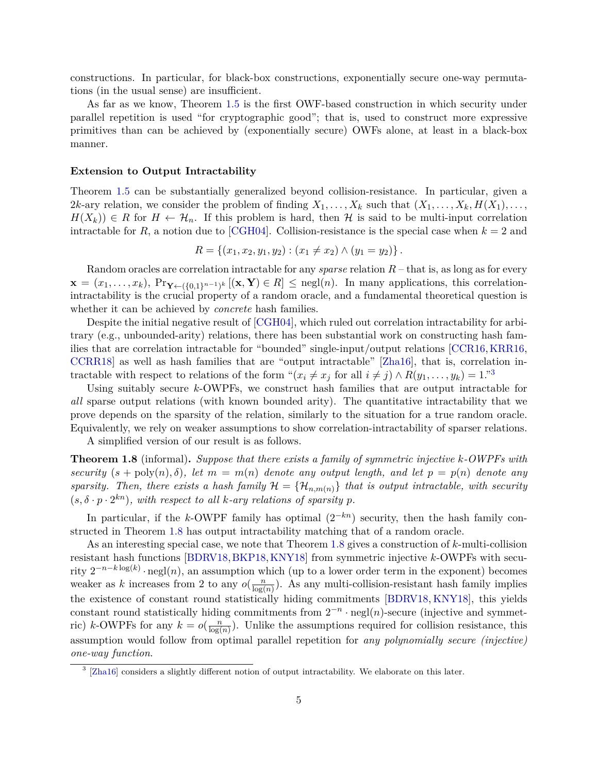constructions. In particular, for black-box constructions, exponentially secure one-way permutations (in the usual sense) are insufficient.

As far as we know, Theorem [1.5](#page-5-0) is the first OWF-based construction in which security under parallel repetition is used "for cryptographic good"; that is, used to construct more expressive primitives than can be achieved by (exponentially secure) OWFs alone, at least in a black-box manner.

#### **Extension to Output Intractability**

Theorem [1.5](#page-5-0) can be substantially generalized beyond collision-resistance. In particular, given a 2*k*-ary relation, we consider the problem of finding  $X_1, \ldots, X_k$  such that  $(X_1, \ldots, X_k, H(X_1), \ldots,$  $H(X_k)$ )  $\in$  *R* for  $H \leftarrow \mathcal{H}_n$ . If this problem is hard, then  $\mathcal H$  is said to be multi-input correlation intractable for  $R$ , a notion due to [\[CGH04\]](#page-44-4). Collision-resistance is the special case when  $k = 2$  and

$$
R = \{(x_1, x_2, y_1, y_2) : (x_1 \neq x_2) \land (y_1 = y_2)\}.
$$

Random oracles are correlation intractable for any *sparse* relation *R* – that is, as long as for every  $\mathbf{x} = (x_1, \ldots, x_k)$ ,  $\Pr_{\mathbf{Y} \leftarrow (\{0,1\}^{n-1})^k} [(\mathbf{x}, \mathbf{Y}) \in R] \leq \text{negl}(n)$ . In many applications, this correlationintractability is the crucial property of a random oracle, and a fundamental theoretical question is whether it can be achieved by *concrete* hash families.

Despite the initial negative result of [\[CGH04\]](#page-44-4), which ruled out correlation intractability for arbitrary (e.g., unbounded-arity) relations, there has been substantial work on constructing hash families that are correlation intractable for "bounded" single-input/output relations [\[CCR16,](#page-44-6)[KRR16,](#page-45-7) [CCRR18\]](#page-44-7) as well as hash families that are "output intractable" [\[Zha16\]](#page-46-3), that is, correlation intractable with respect to relations of the form " $(x_i \neq x_j \text{ for all } i \neq j) \wedge R(y_1, \ldots, y_k) = 1$ ."<sup>[3](#page-6-0)</sup>

Using suitably secure *k*-OWPFs, we construct hash families that are output intractable for *all* sparse output relations (with known bounded arity). The quantitative intractability that we prove depends on the sparsity of the relation, similarly to the situation for a true random oracle. Equivalently, we rely on weaker assumptions to show correlation-intractability of sparser relations.

A simplified version of our result is as follows.

<span id="page-6-1"></span>**Theorem 1.8** (informal)**.** *Suppose that there exists a family of symmetric injective k-OWPFs with security*  $(s + \text{poly}(n), \delta)$ *, let*  $m = m(n)$  *denote any output length, and let*  $p = p(n)$  *denote any sparsity. Then, there exists a hash family*  $\mathcal{H} = {\mathcal{H}_{n,m(n)}}$  *that is output intractable, with security*  $(s, \delta \cdot p \cdot 2^{kn})$ , with respect to all *k*-ary relations of sparsity *p*.

In particular, if the *k*-OWPF family has optimal  $(2^{-kn})$  security, then the hash family constructed in Theorem [1.8](#page-6-1) has output intractability matching that of a random oracle.

As an interesting special case, we note that Theorem [1.8](#page-6-1) gives a construction of *k*-multi-collision resistant hash functions [\[BDRV18,](#page-43-4)[BKP18,](#page-43-5)[KNY18\]](#page-45-8) from symmetric injective *k*-OWPFs with security  $2^{-n-k\log(k)} \cdot \text{negl}(n)$ , an assumption which (up to a lower order term in the exponent) becomes weaker as *k* increases from 2 to any  $o(\frac{n}{\log n})$  $\frac{n}{\log(n)}$ ). As any multi-collision-resistant hash family implies the existence of constant round statistically hiding commitments [\[BDRV18,](#page-43-4) [KNY18\]](#page-45-8), this yields constant round statistically hiding commitments from  $2^{-n} \cdot \text{negl}(n)$ -secure (injective and symmetric) *k*-OWPFs for any  $k = o(\frac{n}{\log n})$  $\frac{n}{\log(n)}$ . Unlike the assumptions required for collision resistance, this assumption would follow from optimal parallel repetition for *any polynomially secure (injective) one-way function*.

<span id="page-6-0"></span><sup>&</sup>lt;sup>3</sup> [\[Zha16\]](#page-46-3) considers a slightly different notion of output intractability. We elaborate on this later.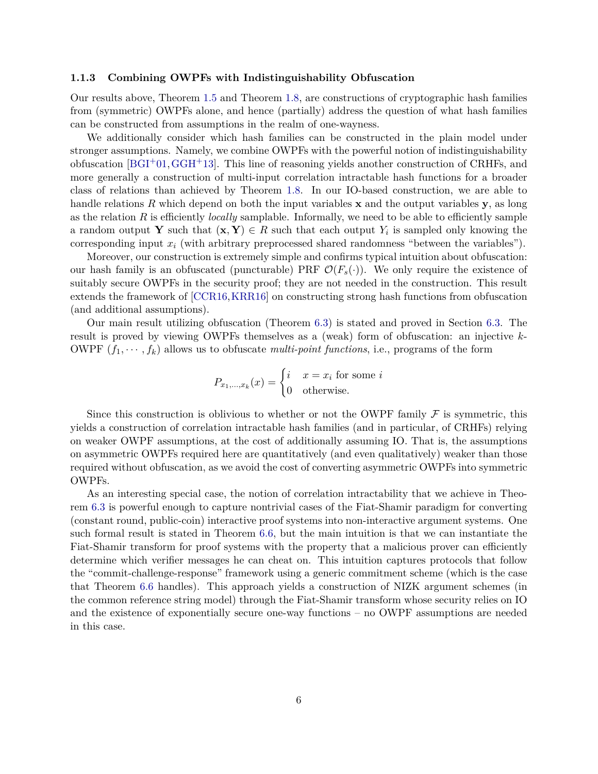#### **1.1.3 Combining OWPFs with Indistinguishability Obfuscation**

Our results above, Theorem [1.5](#page-5-0) and Theorem [1.8,](#page-6-1) are constructions of cryptographic hash families from (symmetric) OWPFs alone, and hence (partially) address the question of what hash families can be constructed from assumptions in the realm of one-wayness.

We additionally consider which hash families can be constructed in the plain model under stronger assumptions. Namely, we combine OWPFs with the powerful notion of indistinguishability obfuscation  $[BGI<sup>+</sup>01, GGH<sup>+</sup>13]$  $[BGI<sup>+</sup>01, GGH<sup>+</sup>13]$ . This line of reasoning yields another construction of CRHFs, and more generally a construction of multi-input correlation intractable hash functions for a broader class of relations than achieved by Theorem [1.8.](#page-6-1) In our IO-based construction, we are able to handle relations *R* which depend on both the input variables **x** and the output variables **y**, as long as the relation *R* is efficiently *locally* samplable. Informally, we need to be able to efficiently sample a random output **Y** such that  $(\mathbf{x}, \mathbf{Y}) \in R$  such that each output  $Y_i$  is sampled only knowing the corresponding input *x<sup>i</sup>* (with arbitrary preprocessed shared randomness "between the variables").

Moreover, our construction is extremely simple and confirms typical intuition about obfuscation: our hash family is an obfuscated (puncturable) PRF  $\mathcal{O}(F_s(\cdot))$ . We only require the existence of suitably secure OWPFs in the security proof; they are not needed in the construction. This result extends the framework of [\[CCR16,](#page-44-6)[KRR16\]](#page-45-7) on constructing strong hash functions from obfuscation (and additional assumptions).

Our main result utilizing obfuscation (Theorem [6.3\)](#page-36-0) is stated and proved in Section [6.3.](#page-35-0) The result is proved by viewing OWPFs themselves as a (weak) form of obfuscation: an injective *k*-OWPF  $(f_1, \dots, f_k)$  allows us to obfuscate *multi-point functions*, i.e., programs of the form

$$
P_{x_1,\dots,x_k}(x) = \begin{cases} i & x = x_i \text{ for some } i \\ 0 & \text{otherwise.} \end{cases}
$$

Since this construction is oblivious to whether or not the OWPF family  $\mathcal F$  is symmetric, this yields a construction of correlation intractable hash families (and in particular, of CRHFs) relying on weaker OWPF assumptions, at the cost of additionally assuming IO. That is, the assumptions on asymmetric OWPFs required here are quantitatively (and even qualitatively) weaker than those required without obfuscation, as we avoid the cost of converting asymmetric OWPFs into symmetric OWPFs.

As an interesting special case, the notion of correlation intractability that we achieve in Theorem [6.3](#page-36-0) is powerful enough to capture nontrivial cases of the Fiat-Shamir paradigm for converting (constant round, public-coin) interactive proof systems into non-interactive argument systems. One such formal result is stated in Theorem [6.6,](#page-41-0) but the main intuition is that we can instantiate the Fiat-Shamir transform for proof systems with the property that a malicious prover can efficiently determine which verifier messages he can cheat on. This intuition captures protocols that follow the "commit-challenge-response" framework using a generic commitment scheme (which is the case that Theorem [6.6](#page-41-0) handles). This approach yields a construction of NIZK argument schemes (in the common reference string model) through the Fiat-Shamir transform whose security relies on IO and the existence of exponentially secure one-way functions – no OWPF assumptions are needed in this case.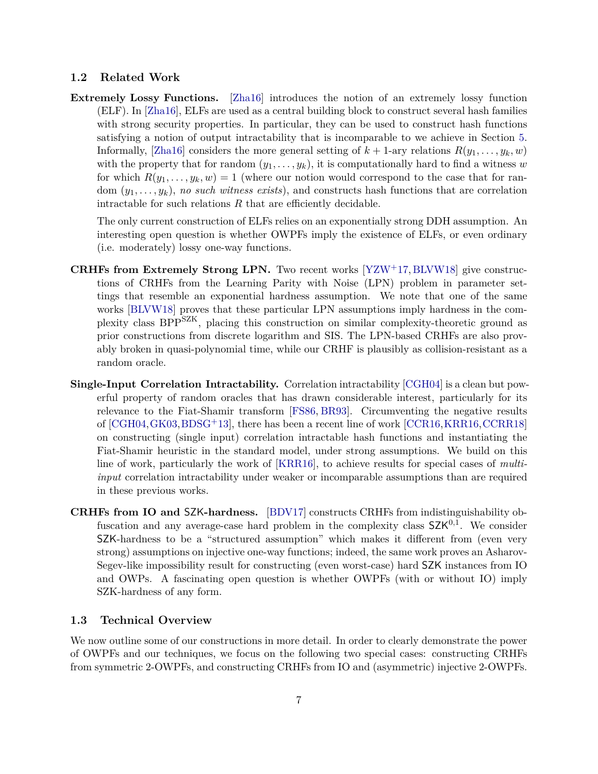#### <span id="page-8-0"></span>**1.2 Related Work**

**Extremely Lossy Functions.** [\[Zha16\]](#page-46-3) introduces the notion of an extremely lossy function (ELF). In [\[Zha16\]](#page-46-3), ELFs are used as a central building block to construct several hash families with strong security properties. In particular, they can be used to construct hash functions satisfying a notion of output intractability that is incomparable to we achieve in Section [5.](#page-27-1) Informally, [\[Zha16\]](#page-46-3) considers the more general setting of  $k + 1$ -ary relations  $R(y_1, \ldots, y_k, w)$ with the property that for random  $(y_1, \ldots, y_k)$ , it is computationally hard to find a witness w for which  $R(y_1, \ldots, y_k, w) = 1$  (where our notion would correspond to the case that for random  $(y_1, \ldots, y_k)$ , *no such witness exists*), and constructs hash functions that are correlation intractable for such relations  $R$  that are efficiently decidable.

The only current construction of ELFs relies on an exponentially strong DDH assumption. An interesting open question is whether OWPFs imply the existence of ELFs, or even ordinary (i.e. moderately) lossy one-way functions.

- **CRHFs from Extremely Strong LPN.** Two recent works [\[YZW](#page-46-6)+17, [BLVW18\]](#page-43-6) give constructions of CRHFs from the Learning Parity with Noise (LPN) problem in parameter settings that resemble an exponential hardness assumption. We note that one of the same works [\[BLVW18\]](#page-43-6) proves that these particular LPN assumptions imply hardness in the complexity class BPPSZK, placing this construction on similar complexity-theoretic ground as prior constructions from discrete logarithm and SIS. The LPN-based CRHFs are also provably broken in quasi-polynomial time, while our CRHF is plausibly as collision-resistant as a random oracle.
- **Single-Input Correlation Intractability.** Correlation intractability [\[CGH04\]](#page-44-4) is a clean but powerful property of random oracles that has drawn considerable interest, particularly for its relevance to the Fiat-Shamir transform [\[FS86,](#page-44-0) [BR93\]](#page-43-1). Circumventing the negative results of [\[CGH04,](#page-44-4)[GK03,](#page-44-5)[BDSG](#page-43-7)+13], there has been a recent line of work [\[CCR16,](#page-44-6)[KRR16,](#page-45-7)[CCRR18\]](#page-44-7) on constructing (single input) correlation intractable hash functions and instantiating the Fiat-Shamir heuristic in the standard model, under strong assumptions. We build on this line of work, particularly the work of [\[KRR16\]](#page-45-7), to achieve results for special cases of *multiinput* correlation intractability under weaker or incomparable assumptions than are required in these previous works.
- **CRHFs from IO and** SZK**-hardness.** [\[BDV17\]](#page-43-8) constructs CRHFs from indistinguishability obfuscation and any average-case hard problem in the complexity class  $SZK^{0,1}$ . We consider SZK-hardness to be a "structured assumption" which makes it different from (even very strong) assumptions on injective one-way functions; indeed, the same work proves an Asharov-Segev-like impossibility result for constructing (even worst-case) hard SZK instances from IO and OWPs. A fascinating open question is whether OWPFs (with or without IO) imply SZK-hardness of any form.

#### <span id="page-8-1"></span>**1.3 Technical Overview**

We now outline some of our constructions in more detail. In order to clearly demonstrate the power of OWPFs and our techniques, we focus on the following two special cases: constructing CRHFs from symmetric 2-OWPFs, and constructing CRHFs from IO and (asymmetric) injective 2-OWPFs.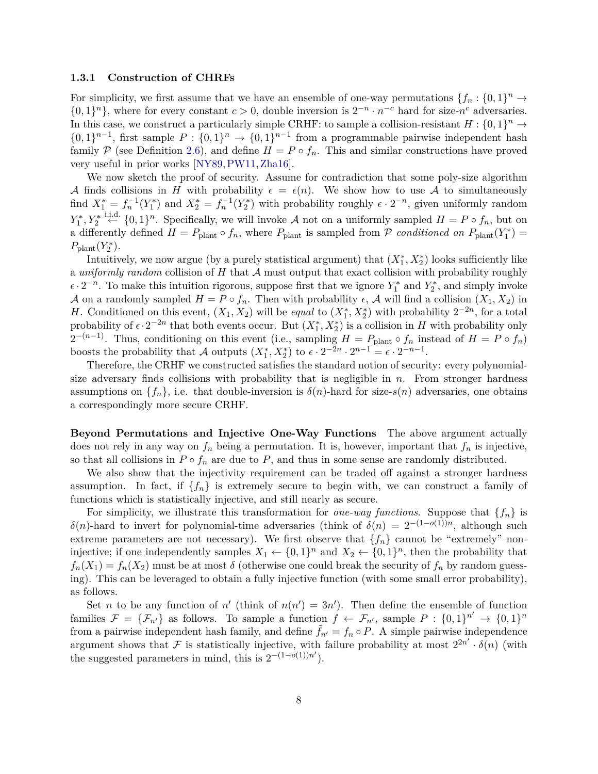#### **1.3.1 Construction of CHRFs**

For simplicity, we first assume that we have an ensemble of one-way permutations  $\{f_n: \{0,1\}^n \to$  $\{0,1\}^n\}$ , where for every constant  $c > 0$ , double inversion is  $2^{-n} \cdot n^{-c}$  hard for size- $n^c$  adversaries. In this case, we construct a particularly simple CRHF: to sample a collision-resistant  $H: \{0,1\}^n \to$  $\{0,1\}^{n-1}$ , first sample  $P: \{0,1\}^n \to \{0,1\}^{n-1}$  from a programmable pairwise independent hash family P (see Definition [2.6\)](#page-14-1), and define  $H = P \circ f_n$ . This and similar constructions have proved very useful in prior works [\[NY89,](#page-45-0)[PW11,](#page-45-9)[Zha16\]](#page-46-3).

We now sketch the proof of security. Assume for contradiction that some poly-size algorithm A finds collisions in H with probability  $\epsilon = \epsilon(n)$ . We show how to use A to simultaneously find  $X_1^* = f_n^{-1}(Y_1^*)$  and  $X_2^* = f_n^{-1}(Y_2^*)$  with probability roughly  $\epsilon \cdot 2^{-n}$ , given uniformly random *Y*<sub>1</sub><sup>\*</sup>, *Y*<sub>2</sub><sup>\*</sup><sup>1.i.d.</sup> {0, 1}<sup>*n*</sup>. Specifically, we will invoke *A* not on a uniformly sampled *H* = *P* ◦ *f<sub>n</sub>*, but on a differently defined  $H = P_{\text{plant}} \circ f_n$ , where  $P_{\text{plant}}$  is sampled from  $P$  *conditioned on*  $P_{\text{plant}}(Y_1^*)$  $P_{\text{plant}}(Y_2^*)$ .

Intuitively, we now argue (by a purely statistical argument) that  $(X_1^*, X_2^*)$  looks sufficiently like a *uniformly random* collision of  $H$  that  $A$  must output that exact collision with probability roughly  $\epsilon \cdot 2^{-n}$ . To make this intuition rigorous, suppose first that we ignore  $Y_1^*$  and  $Y_2^*$ , and simply invoke A on a randomly sampled  $H = P \circ f_n$ . Then with probability  $\epsilon$ , A will find a collision  $(X_1, X_2)$  in *H*. Conditioned on this event,  $(X_1, X_2)$  will be *equal* to  $(X_1^*, X_2^*)$  with probability  $2^{-2n}$ , for a total probability of  $\epsilon \cdot 2^{-2n}$  that both events occur. But  $(X_1^*, X_2^*)$  is a collision in *H* with probability only  $2^{-(n-1)}$ . Thus, conditioning on this event (i.e., sampling  $H = P_{\text{plant}} \circ f_n$  instead of  $H = P \circ f_n$ ) boosts the probability that A outputs  $(X_1^*, X_2^*)$  to  $\epsilon \cdot 2^{-2n} \cdot 2^{n-1} = \epsilon \cdot 2^{-n-1}$ .

Therefore, the CRHF we constructed satisfies the standard notion of security: every polynomialsize adversary finds collisions with probability that is negligible in *n*. From stronger hardness assumptions on  $\{f_n\}$ , i.e. that double-inversion is  $\delta(n)$ -hard for size- $s(n)$  adversaries, one obtains a correspondingly more secure CRHF.

**Beyond Permutations and Injective One-Way Functions** The above argument actually does not rely in any way on  $f_n$  being a permutation. It is, however, important that  $f_n$  is injective, so that all collisions in  $P \circ f_n$  are due to  $P$ , and thus in some sense are randomly distributed.

We also show that the injectivity requirement can be traded off against a stronger hardness assumption. In fact, if  $\{f_n\}$  is extremely secure to begin with, we can construct a family of functions which is statistically injective, and still nearly as secure.

For simplicity, we illustrate this transformation for *one-way functions*. Suppose that  ${f_n}$  is *δ*(*n*)-hard to invert for polynomial-time adversaries (think of *δ*(*n*) =  $2^{-(1-o(1))n}$ , although such extreme parameters are not necessary). We first observe that  ${f_n}$  cannot be "extremely" noninjective; if one independently samples  $X_1 \leftarrow \{0,1\}^n$  and  $X_2 \leftarrow \{0,1\}^n$ , then the probability that  $f_n(X_1) = f_n(X_2)$  must be at most  $\delta$  (otherwise one could break the security of  $f_n$  by random guessing). This can be leveraged to obtain a fully injective function (with some small error probability), as follows.

Set *n* to be any function of *n*<sup>'</sup> (think of  $n(n') = 3n'$ ). Then define the ensemble of function families  $\mathcal{F} = {\{\mathcal{F}_{n'}\}}$  as follows. To sample a function  $f \leftarrow \mathcal{F}_{n'}$ , sample  $P: \{0,1\}^{n'} \rightarrow \{0,1\}^n$ from a pairwise independent hash family, and define  $\tilde{f}_{n'} = f_n \circ P$ . A simple pairwise independence argument shows that F is statistically injective, with failure probability at most  $2^{2n'} \cdot \delta(n)$  (with the suggested parameters in mind, this is  $2^{-(1-o(1))n'}$ .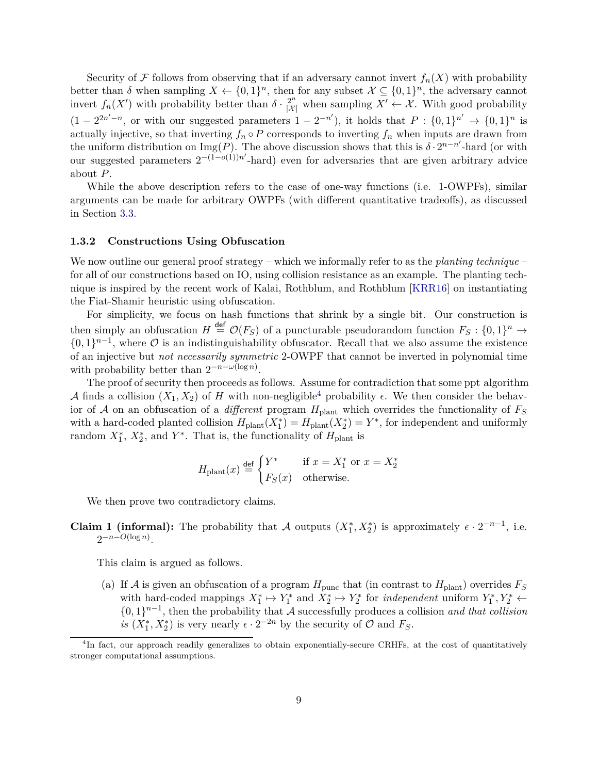Security of F follows from observing that if an adversary cannot invert  $f_n(X)$  with probability better than  $\delta$  when sampling  $X \leftarrow \{0,1\}^n$ , then for any subset  $\mathcal{X} \subseteq \{0,1\}^n$ , the adversary cannot invert  $f_n(X')$  with probability better than  $\delta \cdot \frac{2^n}{|X|}$  when sampling  $X' \leftarrow X$ . With good probability  $(1 - 2^{2n'-n}$ , or with our suggested parameters  $1 - 2^{-n'}$ , it holds that  $P: \{0,1\}^{n'} \to \{0,1\}^n$  is actually injective, so that inverting  $f_n \circ P$  corresponds to inverting  $f_n$  when inputs are drawn from the uniform distribution on  $\text{Img}(P)$ . The above discussion shows that this is  $\delta \cdot 2^{n-n'}$ -hard (or with our suggested parameters  $2^{-(1-o(1))n'}$ -hard) even for adversaries that are given arbitrary advice about *P*.

While the above description refers to the case of one-way functions (i.e. 1-OWPFs), similar arguments can be made for arbitrary OWPFs (with different quantitative tradeoffs), as discussed in Section [3.3.](#page-17-1)

#### **1.3.2 Constructions Using Obfuscation**

We now outline our general proof strategy – which we informally refer to as the *planting technique* – for all of our constructions based on IO, using collision resistance as an example. The planting technique is inspired by the recent work of Kalai, Rothblum, and Rothblum [\[KRR16\]](#page-45-7) on instantiating the Fiat-Shamir heuristic using obfuscation.

For simplicity, we focus on hash functions that shrink by a single bit. Our construction is then simply an obfuscation  $H \stackrel{\text{def}}{=} \mathcal{O}(F_S)$  of a puncturable pseudorandom function  $F_S: \{0,1\}^n \to$  $\{0,1\}^{n-1}$ , where  $\mathcal O$  is an indistinguishability obfuscator. Recall that we also assume the existence of an injective but *not necessarily symmetric* 2-OWPF that cannot be inverted in polynomial time with probability better than  $2^{-n-\omega(\log n)}$ .

The proof of security then proceeds as follows. Assume for contradiction that some ppt algorithm A finds a collision  $(X_1, X_2)$  of H with non-negligible<sup>[4](#page-10-0)</sup> probability  $\epsilon$ . We then consider the behavior of  $A$  on an obfuscation of a *different* program  $H_{\text{plant}}$  which overrides the functionality of  $F_S$ with a hard-coded planted collision  $H_{\text{plant}}(X_1^*) = H_{\text{plant}}(X_2^*) = Y^*$ , for independent and uniformly random  $X_1^*$ ,  $X_2^*$ , and  $Y^*$ . That is, the functionality of  $H_{\text{plant}}$  is

$$
H_{\text{plant}}(x) \stackrel{\text{def}}{=} \begin{cases} Y^* & \text{if } x = X_1^* \text{ or } x = X_2^* \\ F_S(x) & \text{otherwise.} \end{cases}
$$

We then prove two contradictory claims.

**Claim 1 (informal):** The probability that A outputs  $(X_1^*, X_2^*)$  is approximately  $\epsilon \cdot 2^{-n-1}$ , i.e.  $2^{-n-O(\log n)}$ .

This claim is argued as follows.

(a) If A is given an obfuscation of a program  $H_{\text{punc}}$  that (in contrast to  $H_{\text{plant}}$ ) overrides  $F_S$ with hard-coded mappings  $X_1^* \mapsto Y_1^*$  and  $X_2^* \mapsto Y_2^*$  for *independent* uniform  $Y_1^*, Y_2^* \leftarrow$  $\{0,1\}^{n-1}$ , then the probability that A successfully produces a collision *and that collision is*  $(X_1^*, X_2^*)$  is very nearly  $\epsilon \cdot 2^{-2n}$  by the security of  $\mathcal O$  and  $F_S$ .

<span id="page-10-0"></span><sup>&</sup>lt;sup>4</sup>In fact, our approach readily generalizes to obtain exponentially-secure CRHFs, at the cost of quantitatively stronger computational assumptions.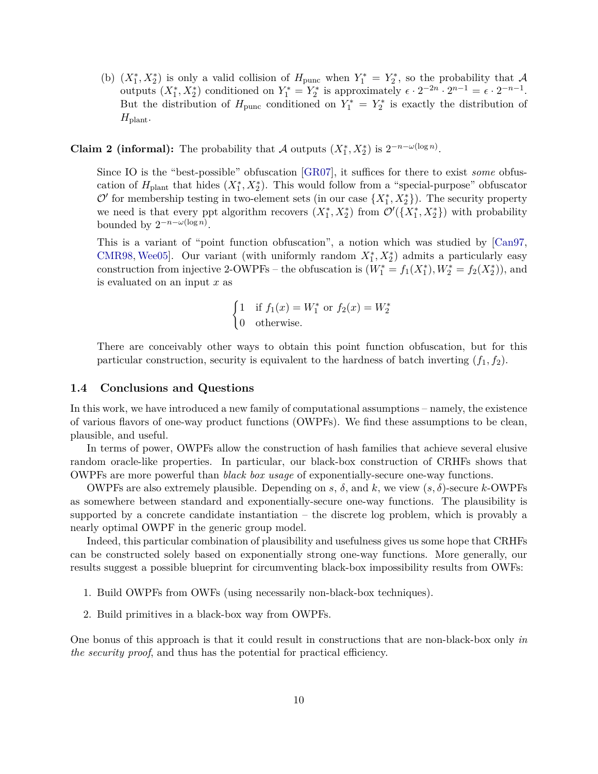(b)  $(X_1^*, X_2^*)$  is only a valid collision of  $H_{\text{punc}}$  when  $Y_1^* = Y_2^*$ , so the probability that A outputs  $(X_1^*, X_2^*)$  conditioned on  $Y_1^* = Y_2^*$  is approximately  $\epsilon \cdot 2^{-2n} \cdot 2^{n-1} = \epsilon \cdot 2^{-n-1}$ . But the distribution of  $H_{\text{punc}}$  conditioned on  $Y_1^* = Y_2^*$  is exactly the distribution of *H*plant.

# **Claim 2 (informal):** The probability that A outputs  $(X_1^*, X_2^*)$  is  $2^{-n-\omega(\log n)}$ .

Since IO is the "best-possible" obfuscation [\[GR07\]](#page-45-10), it suffices for there to exist *some* obfuscation of  $H_{\text{plant}}$  that hides  $(X_1^*, X_2^*)$ . This would follow from a "special-purpose" obfuscator  $\mathcal{O}'$  for membership testing in two-element sets (in our case  $\{X_1^*, X_2^*\}$ ). The security property we need is that every ppt algorithm recovers  $(X_1^*, X_2^*)$  from  $\mathcal{O}'(\lbrace X_1^*, X_2^* \rbrace)$  with probability bounded by  $2^{-n-\omega(\log n)}$ .

This is a variant of "point function obfuscation", a notion which was studied by [\[Can97,](#page-44-10) [CMR98,](#page-44-11) [Wee05\]](#page-46-7). Our variant (with uniformly random  $X_1^*, X_2^*$ ) admits a particularly easy construction from injective 2-OWPFs – the obfuscation is  $(W_1^* = f_1(X_1^*), W_2^* = f_2(X_2^*))$ , and is evaluated on an input *x* as

$$
\begin{cases} 1 & \text{if } f_1(x) = W_1^* \text{ or } f_2(x) = W_2^* \\ 0 & \text{otherwise.} \end{cases}
$$

There are conceivably other ways to obtain this point function obfuscation, but for this particular construction, security is equivalent to the hardness of batch inverting  $(f_1, f_2)$ .

#### <span id="page-11-0"></span>**1.4 Conclusions and Questions**

In this work, we have introduced a new family of computational assumptions – namely, the existence of various flavors of one-way product functions (OWPFs). We find these assumptions to be clean, plausible, and useful.

In terms of power, OWPFs allow the construction of hash families that achieve several elusive random oracle-like properties. In particular, our black-box construction of CRHFs shows that OWPFs are more powerful than *black box usage* of exponentially-secure one-way functions.

OWPFs are also extremely plausible. Depending on *s*,  $\delta$ , and *k*, we view  $(s, \delta)$ -secure *k*-OWPFs as somewhere between standard and exponentially-secure one-way functions. The plausibility is supported by a concrete candidate instantiation – the discrete log problem, which is provably a nearly optimal OWPF in the generic group model.

Indeed, this particular combination of plausibility and usefulness gives us some hope that CRHFs can be constructed solely based on exponentially strong one-way functions. More generally, our results suggest a possible blueprint for circumventing black-box impossibility results from OWFs:

- 1. Build OWPFs from OWFs (using necessarily non-black-box techniques).
- 2. Build primitives in a black-box way from OWPFs.

One bonus of this approach is that it could result in constructions that are non-black-box only *in the security proof*, and thus has the potential for practical efficiency.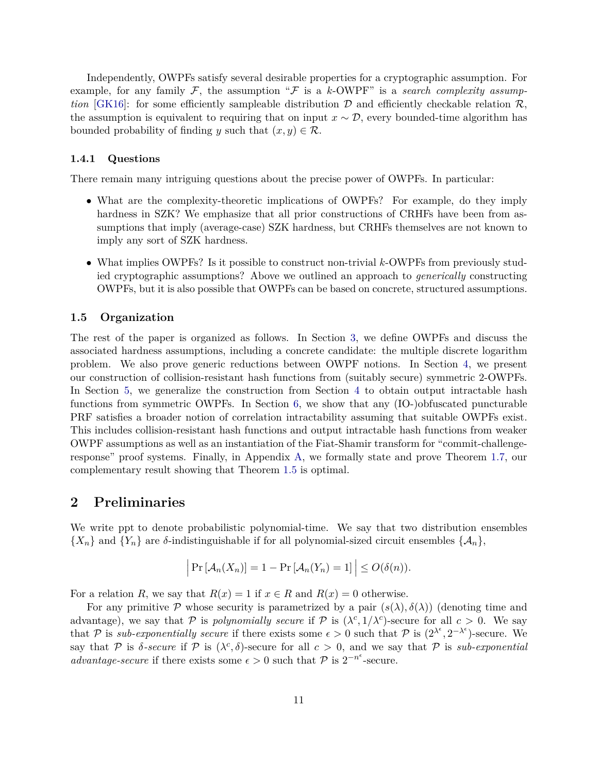Independently, OWPFs satisfy several desirable properties for a cryptographic assumption. For example, for any family  $F$ , the assumption " $F$  is a *k*-OWPF" is a *search complexity assumption* [\[GK16\]](#page-44-12): for some efficiently sampleable distribution  $D$  and efficiently checkable relation  $R$ , the assumption is equivalent to requiring that on input  $x \sim \mathcal{D}$ , every bounded-time algorithm has bounded probability of finding *y* such that  $(x, y) \in \mathcal{R}$ .

#### **1.4.1 Questions**

There remain many intriguing questions about the precise power of OWPFs. In particular:

- What are the complexity-theoretic implications of OWPFs? For example, do they imply hardness in SZK? We emphasize that all prior constructions of CRHFs have been from assumptions that imply (average-case) SZK hardness, but CRHFs themselves are not known to imply any sort of SZK hardness.
- What implies OWPFs? Is it possible to construct non-trivial *k*-OWPFs from previously studied cryptographic assumptions? Above we outlined an approach to *generically* constructing OWPFs, but it is also possible that OWPFs can be based on concrete, structured assumptions.

#### <span id="page-12-0"></span>**1.5 Organization**

The rest of the paper is organized as follows. In Section [3,](#page-14-0) we define OWPFs and discuss the associated hardness assumptions, including a concrete candidate: the multiple discrete logarithm problem. We also prove generic reductions between OWPF notions. In Section [4,](#page-24-0) we present our construction of collision-resistant hash functions from (suitably secure) symmetric 2-OWPFs. In Section [5,](#page-27-1) we generalize the construction from Section [4](#page-24-0) to obtain output intractable hash functions from symmetric OWPFs. In Section [6,](#page-32-0) we show that any (IO-)obfuscated puncturable PRF satisfies a broader notion of correlation intractability assuming that suitable OWPFs exist. This includes collision-resistant hash functions and output intractable hash functions from weaker OWPF assumptions as well as an instantiation of the Fiat-Shamir transform for "commit-challengeresponse" proof systems. Finally, in Appendix [A,](#page-46-0) we formally state and prove Theorem [1.7,](#page-5-1) our complementary result showing that Theorem [1.5](#page-5-0) is optimal.

# <span id="page-12-1"></span>**2 Preliminaries**

We write ppt to denote probabilistic polynomial-time. We say that two distribution ensembles  ${X_n}$  and  ${Y_n}$  are *δ*-indistinguishable if for all polynomial-sized circuit ensembles  ${A_n}$ ,

$$
\left|\Pr\left[\mathcal{A}_n(X_n)\right] = 1 - \Pr\left[\mathcal{A}_n(Y_n) = 1\right]\right| \le O(\delta(n)).
$$

For a relation *R*, we say that  $R(x) = 1$  if  $x \in R$  and  $R(x) = 0$  otherwise.

For any primitive P whose security is parametrized by a pair  $(s(\lambda), \delta(\lambda))$  (denoting time and advantage), we say that P is *polynomially secure* if P is  $(\lambda^c, 1/\lambda^c)$ -secure for all  $c > 0$ . We say that P is *sub-exponentially secure* if there exists some  $\epsilon > 0$  such that P is  $(2^{\lambda^{\epsilon}}, 2^{-\lambda^{\epsilon}})$ -secure. We say that P is  $\delta$ -secure if P is  $(\lambda^c, \delta)$ -secure for all  $c > 0$ , and we say that P is *sub-exponential advantage-secure* if there exists some  $\epsilon > 0$  such that  $\mathcal{P}$  is  $2^{-n^{\epsilon}}$ -secure.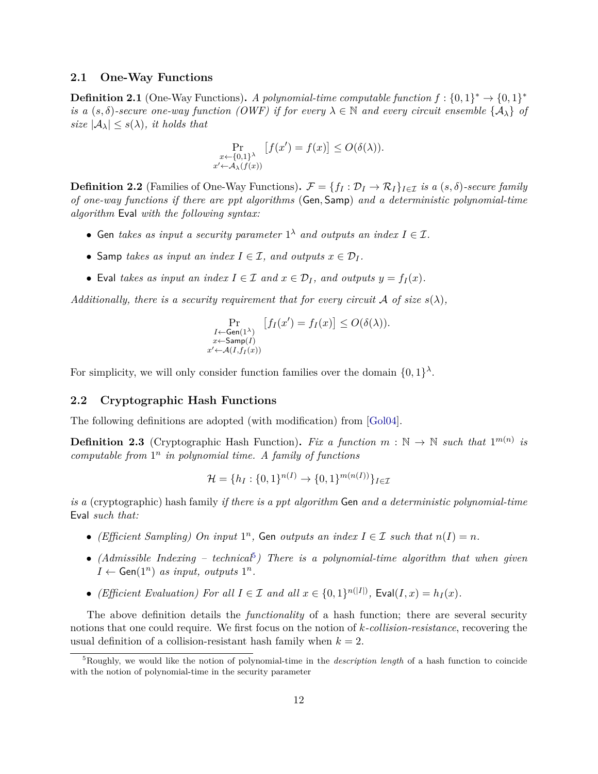#### <span id="page-13-0"></span>**2.1 One-Way Functions**

**Definition 2.1** (One-Way Functions). *A polynomial-time computable function*  $f: \{0,1\}^* \to \{0,1\}^*$ *is a*  $(s, \delta)$ -secure one-way function (OWF) if for every  $\lambda \in \mathbb{N}$  and every circuit ensemble  $\{A_{\lambda}\}\$  of *size*  $|\mathcal{A}_{\lambda}| \leq s(\lambda)$ *, it holds that* 

$$
\Pr_{\substack{x \leftarrow \{0,1\}^{\lambda} \\ x' \leftarrow \mathcal{A}_{\lambda}(f(x))}} [f(x') = f(x)] \le O(\delta(\lambda)).
$$

**Definition 2.2** (Families of One-Way Functions).  $\mathcal{F} = \{f_I : \mathcal{D}_I \to \mathcal{R}_I\}_{I \in \mathcal{I}}$  *is a*  $(s, \delta)$ -secure family *of one-way functions if there are ppt algorithms* (Gen*,* Samp) *and a deterministic polynomial-time algorithm* Eval *with the following syntax:*

- Gen *takes as input a security parameter*  $1^{\lambda}$  *and outputs an index*  $I \in \mathcal{I}$ *.*
- Samp *takes as input an index*  $I \in \mathcal{I}$ *, and outputs*  $x \in \mathcal{D}_I$ *.*
- Eval *takes as input an index*  $I \in \mathcal{I}$  *and*  $x \in \mathcal{D}_I$ *, and outputs*  $y = f_I(x)$ *.*

*Additionally, there is a security requirement that for every circuit*  $\mathcal A$  *of size*  $s(\lambda)$ *,* 

$$
\Pr_{\substack{I \leftarrow \text{Gen}(1^{\lambda}) \\ x \leftarrow \text{Samp}(I) \\ x' \leftarrow \mathcal{A}(I, f_I(x))}} [f_I(x') = f_I(x)] \le O(\delta(\lambda)).
$$

For simplicity, we will only consider function families over the domain  $\{0,1\}^{\lambda}$ .

#### <span id="page-13-1"></span>**2.2 Cryptographic Hash Functions**

The following definitions are adopted (with modification) from [\[Gol04\]](#page-45-11).

<span id="page-13-3"></span>**Definition 2.3** (Cryptographic Hash Function). Fix a function  $m : \mathbb{N} \to \mathbb{N}$  such that  $1^{m(n)}$  is *computable from* 1 *n in polynomial time. A family of functions*

$$
\mathcal{H} = \{h_I : \{0, 1\}^{n(I)} \to \{0, 1\}^{m(n(I))}\}_{I \in \mathcal{I}}
$$

*is a* (cryptographic) hash family *if there is a ppt algorithm* Gen *and a deterministic polynomial-time* Eval *such that:*

- *(Efficient Sampling)* On *input*  $1^n$ , Gen *outputs an index*  $I \in \mathcal{I}$  *such that*  $n(I) = n$ .
- *(Admissible Indexing technical*<sup>[5](#page-13-2)</sup>) There is a polynomial-time algorithm that when given  $I \leftarrow$  Gen(1<sup>n</sup>) *as input, outputs* 1<sup>n</sup>.
- *(Efficient Evaluation) For all*  $I \in \mathcal{I}$  *and all*  $x \in \{0,1\}^{n(|I|)},$  Eval $(I,x) = h_I(x)$ .

The above definition details the *functionality* of a hash function; there are several security notions that one could require. We first focus on the notion of *k-collision-resistance*, recovering the usual definition of a collision-resistant hash family when  $k = 2$ .

<span id="page-13-4"></span><span id="page-13-2"></span><sup>5</sup>Roughly, we would like the notion of polynomial-time in the *description length* of a hash function to coincide with the notion of polynomial-time in the security parameter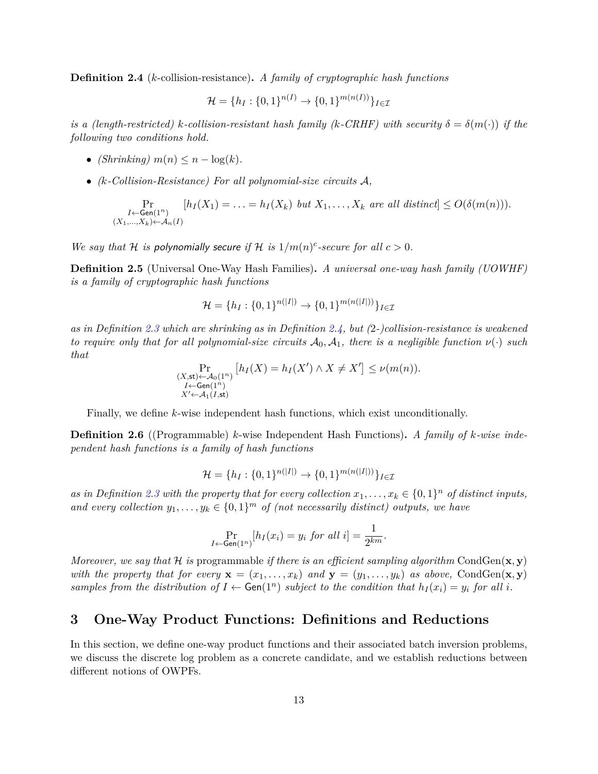**Definition 2.4** (*k*-collision-resistance)**.** *A family of cryptographic hash functions*

$$
\mathcal{H} = \{h_I : \{0, 1\}^{n(I)} \to \{0, 1\}^{m(n(I))}\}_{I \in \mathcal{I}}
$$

*is a (length-restricted) k*-collision-resistant hash family (*k*-CRHF) with security  $\delta = \delta(m(\cdot))$  if the *following two conditions hold.*

- *(Shrinking)*  $m(n) \leq n \log(k)$ .
- *(k-Collision-Resistance) For all polynomial-size circuits* A*,*

$$
\Pr_{\substack{I \leftarrow \mathsf{Gen}(1^n) \\ (X_1, \ldots, X_k) \leftarrow \mathcal{A}_n(I)}} [h_I(X_1) = \ldots = h_I(X_k) \text{ but } X_1, \ldots, X_k \text{ are all distinct}] \le O(\delta(m(n))).
$$

*We say that*  $H$  *is polynomially secure if*  $H$  *is*  $1/m(n)^{c}$ -secure for all  $c > 0$ .

**Definition 2.5** (Universal One-Way Hash Families)**.** *A universal one-way hash family (UOWHF) is a family of cryptographic hash functions*

$$
\mathcal{H} = \{h_I : \{0, 1\}^{n(|I|)} \to \{0, 1\}^{m(n(|I|))}\}_{I \in \mathcal{I}}
$$

*as in Definition [2.3](#page-13-3) which are shrinking as in Definition [2.4,](#page-13-4) but (*2*-)collision-resistance is weakened to require only that for all polynomial-size circuits*  $\mathcal{A}_0$ ,  $\mathcal{A}_1$ , there is a negligible function  $\nu(\cdot)$  such *that*

$$
\Pr_{\substack{(X,\text{st}) \leftarrow \mathcal{A}_0(1^n) \\ I \leftarrow \text{Gen}(1^n) \\ X' \leftarrow \mathcal{A}_1(I,\text{st})}} [h_I(X) = h_I(X') \land X \neq X'] \le \nu(m(n)).
$$

Finally, we define *k*-wise independent hash functions, which exist unconditionally.

<span id="page-14-1"></span>**Definition 2.6** ((Programmable) *k*-wise Independent Hash Functions)**.** *A family of k-wise independent hash functions is a family of hash functions*

$$
\mathcal{H} = \{h_I : \{0, 1\}^{n(|I|)} \to \{0, 1\}^{m(n(|I|))}\}_{I \in \mathcal{I}}
$$

as in Definition [2.3](#page-13-3) with the property that for every collection  $x_1, \ldots, x_k \in \{0,1\}^n$  of distinct inputs, *and every collection*  $y_1, \ldots, y_k \in \{0, 1\}^m$  *of (not necessarily distinct) outputs, we have* 

$$
\Pr_{I \leftarrow \mathsf{Gen}(1^n)}[h_I(x_i) = y_i \text{ for all } i] = \frac{1}{2^{km}}.
$$

*Moreover, we say that*  $H$  *is* programmable *if there is an efficient sampling algorithm* CondGen( $\mathbf{x}, \mathbf{y}$ ) *with the property that for every*  $\mathbf{x} = (x_1, \ldots, x_k)$  *and*  $\mathbf{y} = (y_1, \ldots, y_k)$  *as above,* CondGen $(\mathbf{x}, \mathbf{y})$ *samples from the distribution of*  $I \leftarrow Gen(1^n)$  *subject to the condition that*  $h_I(x_i) = y_i$  *for all i.* 

### <span id="page-14-0"></span>**3 One-Way Product Functions: Definitions and Reductions**

In this section, we define one-way product functions and their associated batch inversion problems, we discuss the discrete log problem as a concrete candidate, and we establish reductions between different notions of OWPFs.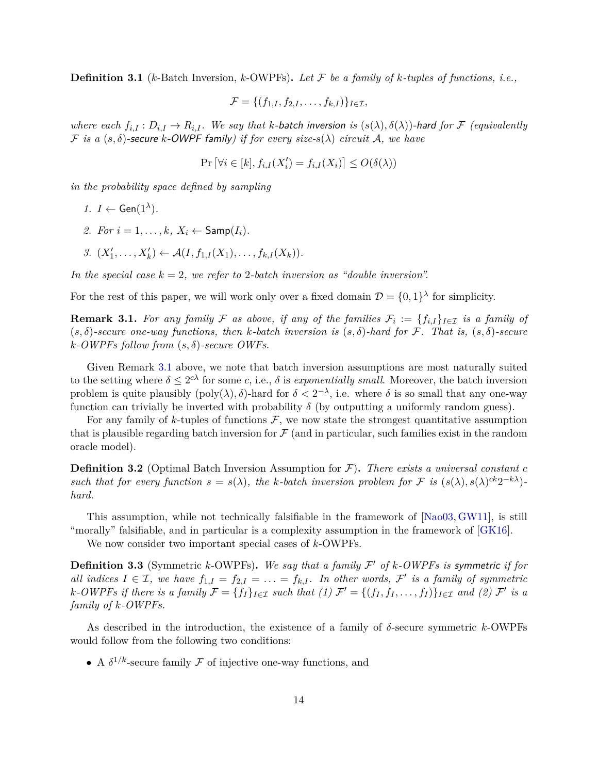**Definition 3.1** (*k*-Batch Inversion, *k*-OWPFs)**.** *Let* F *be a family of k-tuples of functions, i.e.,*

$$
\mathcal{F} = \{ (f_{1,I}, f_{2,I}, \ldots, f_{k,I}) \}_{I \in \mathcal{I}},
$$

*where each*  $f_{i,I}: D_{i,I} \to R_{i,I}$ *. We say that k*-batch inversion is  $(s(\lambda), \delta(\lambda))$ -hard for F (equivalently F *is a* (*s, δ*)-secure *k*-OWPF family*) if for every size-s*(*λ*) *circuit* A*, we have*

$$
\Pr\left[\forall i \in [k], f_{i,I}(X_i') = f_{i,I}(X_i)\right] \le O(\delta(\lambda))
$$

*in the probability space defined by sampling*

- *1. I* ← Gen( $1^{\lambda}$ )*.*
- 2. *For*  $i = 1, \ldots, k$ ,  $X_i \leftarrow \text{Samp}(I_i)$ .
- *3.*  $(X'_1, \ldots, X'_k) \leftarrow \mathcal{A}(I, f_{1,I}(X_1), \ldots, f_{k,I}(X_k)).$

*In the special case*  $k = 2$ *, we refer to* 2*-batch inversion as "double inversion".* 

For the rest of this paper, we will work only over a fixed domain  $\mathcal{D} = \{0,1\}^{\lambda}$  for simplicity.

<span id="page-15-0"></span>**Remark 3.1.** For any family F as above, if any of the families  $\mathcal{F}_i := \{f_{i,I}\}_{I \in \mathcal{I}}$  is a family of (*s, δ*)*-secure one-way functions, then k-batch inversion is* (*s, δ*)*-hard for* F*. That is,* (*s, δ*)*-secure k-OWPFs follow from* (*s, δ*)*-secure OWFs.*

Given Remark [3.1](#page-15-0) above, we note that batch inversion assumptions are most naturally suited to the setting where  $\delta \leq 2^{c\lambda}$  for some *c*, i.e.,  $\delta$  is *exponentially small*. Moreover, the batch inversion problem is quite plausibly  $(poly(\lambda), \delta)$ -hard for  $\delta < 2^{-\lambda}$ , i.e. where  $\delta$  is so small that any one-way function can trivially be inverted with probability  $\delta$  (by outputting a uniformly random guess).

For any family of *k*-tuples of functions  $\mathcal{F}$ , we now state the strongest quantitative assumption that is plausible regarding batch inversion for  $\mathcal F$  (and in particular, such families exist in the random oracle model).

**Definition 3.2** (Optimal Batch Inversion Assumption for  $\mathcal{F}$ ). There exists a universal constant  $c$ *such that for every function*  $s = s(\lambda)$ , the *k*-batch inversion problem for F is  $(s(\lambda), s(\lambda)^{ck}2^{-k\lambda})$ *hard.*

This assumption, while not technically falsifiable in the framework of [\[Nao03,](#page-45-12) [GW11\]](#page-45-13), is still "morally" falsifiable, and in particular is a complexity assumption in the framework of [\[GK16\]](#page-44-12).

We now consider two important special cases of *k*-OWPFs.

**Definition 3.3** (Symmetric *k*-OWPFs). We say that a family  $\mathcal{F}'$  of *k*-OWPFs is symmetric if for *all indices*  $I \in \mathcal{I}$ , we have  $f_{1,I} = f_{2,I} = \ldots = f_{k,I}$ . In other words,  $\mathcal{F}'$  is a family of symmetric *k*-*OWPFs* if there is a family  $\mathcal{F} = \{f_I\}_{I \in \mathcal{I}}$  such that  $(1)$   $\mathcal{F}' = \{(f_I, f_I, \ldots, f_I)\}_{I \in \mathcal{I}}$  and  $(2)$   $\mathcal{F}'$  is a *family of k-OWPFs.*

As described in the introduction, the existence of a family of *δ*-secure symmetric *k*-OWPFs would follow from the following two conditions:

• A  $\delta^{1/k}$ -secure family F of injective one-way functions, and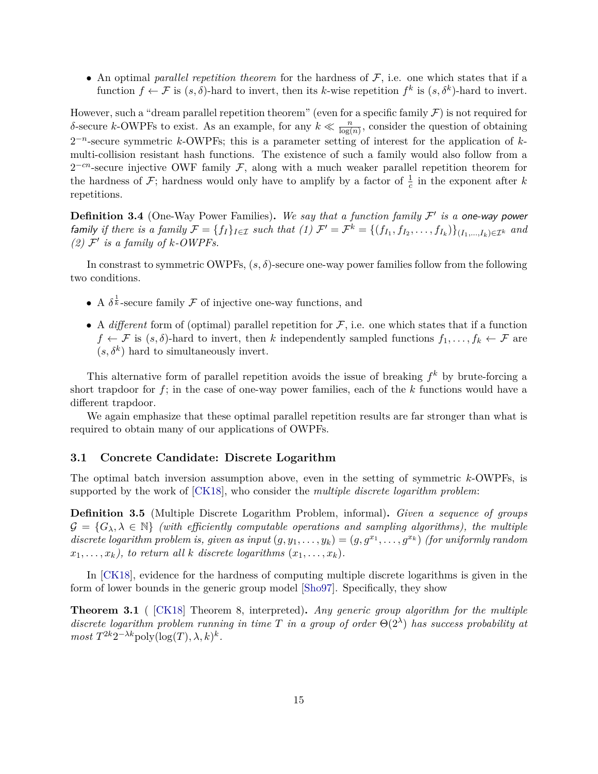• An optimal *parallel repetition theorem* for the hardness of  $F$ , i.e. one which states that if a function  $f \leftarrow \mathcal{F}$  is  $(s, \delta)$ -hard to invert, then its *k*-wise repetition  $f^k$  is  $(s, \delta^k)$ -hard to invert.

However, such a "dream parallel repetition theorem" (even for a specific family  $\mathcal F$ ) is not required for *δ*-secure *k*-OWPFs to exist. As an example, for any  $k \ll \frac{n}{\log(n)}$ , consider the question of obtaining 2 −*n* -secure symmetric *k*-OWPFs; this is a parameter setting of interest for the application of *k*multi-collision resistant hash functions. The existence of such a family would also follow from a  $2^{-cn}$ -secure injective OWF family F, along with a much weaker parallel repetition theorem for the hardness of  $\mathcal{F}$ ; hardness would only have to amplify by a factor of  $\frac{1}{c}$  in the exponent after *k* repetitions.

<span id="page-16-1"></span>**Definition 3.4** (One-Way Power Families). We say that a function family  $\mathcal{F}'$  is a one-way power family if there is a family  $\mathcal{F} = \{f_I\}_{I \in \mathcal{I}}$  such that  $(1)$   $\mathcal{F}' = \mathcal{F}^k = \{(f_{I_1}, f_{I_2}, \ldots, f_{I_k})\}_{(I_1, \ldots, I_k) \in \mathcal{I}^k}$  and (2)  $\mathcal{F}'$  *is a family of k-OWPFs.* 

In constrast to symmetric OWPFs, (*s, δ*)-secure one-way power families follow from the following two conditions.

- A  $\delta^{\frac{1}{k}}$ -secure family  $\mathcal F$  of injective one-way functions, and
- A *different* form of (optimal) parallel repetition for  $F$ , i.e. one which states that if a function  $f \leftarrow \mathcal{F}$  is  $(s, \delta)$ -hard to invert, then *k* independently sampled functions  $f_1, \ldots, f_k \leftarrow \mathcal{F}$  are  $(s, \delta^k)$  hard to simultaneously invert.

This alternative form of parallel repetition avoids the issue of breaking *f <sup>k</sup>* by brute-forcing a short trapdoor for *f*; in the case of one-way power families, each of the *k* functions would have a different trapdoor.

We again emphasize that these optimal parallel repetition results are far stronger than what is required to obtain many of our applications of OWPFs.

#### <span id="page-16-0"></span>**3.1 Concrete Candidate: Discrete Logarithm**

The optimal batch inversion assumption above, even in the setting of symmetric *k*-OWPFs, is supported by the work of [\[CK18\]](#page-44-9), who consider the *multiple discrete logarithm problem*:

**Definition 3.5** (Multiple Discrete Logarithm Problem, informal)**.** *Given a sequence of groups*  $\mathcal{G} = \{G_\lambda, \lambda \in \mathbb{N}\}\$  (with efficiently computable operations and sampling algorithms), the multiple *discrete logarithm problem is, given as input*  $(g, y_1, \ldots, y_k) = (g, g^{x_1}, \ldots, g^{x_k})$  (for uniformly random  $x_1, \ldots, x_k$ , to return all *k* discrete logarithms  $(x_1, \ldots, x_k)$ .

In [\[CK18\]](#page-44-9), evidence for the hardness of computing multiple discrete logarithms is given in the form of lower bounds in the generic group model [\[Sho97\]](#page-46-5). Specifically, they show

**Theorem 3.1** ( [\[CK18\]](#page-44-9) Theorem 8, interpreted)**.** *Any generic group algorithm for the multiple discrete logarithm problem running in time T in a group of order* Θ(2*<sup>λ</sup>* ) *has success probability at*  $most T^{2k}2^{-\lambda k} \text{poly}(\log(T), \lambda, k)^k$ .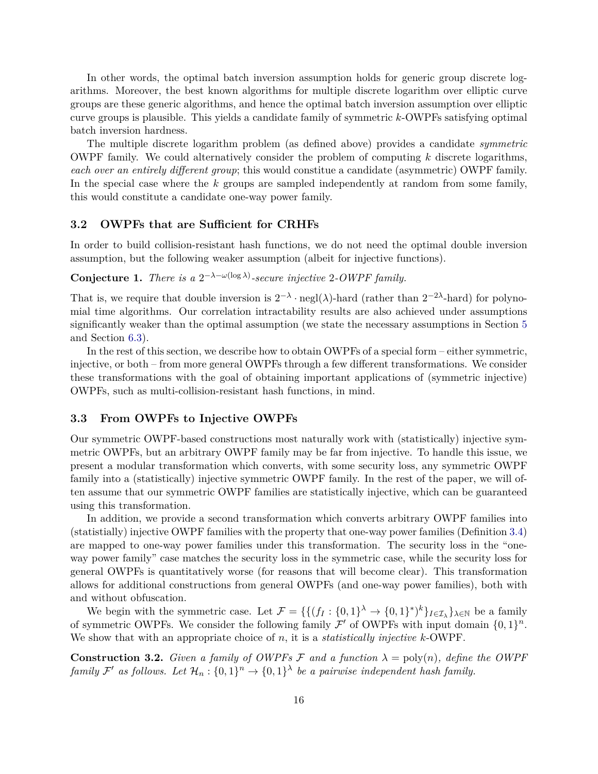In other words, the optimal batch inversion assumption holds for generic group discrete logarithms. Moreover, the best known algorithms for multiple discrete logarithm over elliptic curve groups are these generic algorithms, and hence the optimal batch inversion assumption over elliptic curve groups is plausible. This yields a candidate family of symmetric *k*-OWPFs satisfying optimal batch inversion hardness.

The multiple discrete logarithm problem (as defined above) provides a candidate *symmetric* OWPF family. We could alternatively consider the problem of computing *k* discrete logarithms, *each over an entirely different group*; this would constitue a candidate (asymmetric) OWPF family. In the special case where the *k* groups are sampled independently at random from some family, this would constitute a candidate one-way power family.

#### <span id="page-17-0"></span>**3.2 OWPFs that are Sufficient for CRHFs**

In order to build collision-resistant hash functions, we do not need the optimal double inversion assumption, but the following weaker assumption (albeit for injective functions).

### **Conjecture 1.** *There is a*  $2^{-\lambda - \omega(\log \lambda)}$ -secure injective 2-OWPF family.

That is, we require that double inversion is  $2^{-\lambda} \cdot \text{negl}(\lambda)$ -hard (rather than  $2^{-2\lambda}$ -hard) for polynomial time algorithms. Our correlation intractability results are also achieved under assumptions significantly weaker than the optimal assumption (we state the necessary assumptions in Section [5](#page-27-1) and Section [6.3\)](#page-35-0).

In the rest of this section, we describe how to obtain OWPFs of a special form – either symmetric, injective, or both – from more general OWPFs through a few different transformations. We consider these transformations with the goal of obtaining important applications of (symmetric injective) OWPFs, such as multi-collision-resistant hash functions, in mind.

#### <span id="page-17-1"></span>**3.3 From OWPFs to Injective OWPFs**

Our symmetric OWPF-based constructions most naturally work with (statistically) injective symmetric OWPFs, but an arbitrary OWPF family may be far from injective. To handle this issue, we present a modular transformation which converts, with some security loss, any symmetric OWPF family into a (statistically) injective symmetric OWPF family. In the rest of the paper, we will often assume that our symmetric OWPF families are statistically injective, which can be guaranteed using this transformation.

In addition, we provide a second transformation which converts arbitrary OWPF families into (statistially) injective OWPF families with the property that one-way power families (Definition [3.4\)](#page-16-1) are mapped to one-way power families under this transformation. The security loss in the "oneway power family" case matches the security loss in the symmetric case, while the security loss for general OWPFs is quantitatively worse (for reasons that will become clear). This transformation allows for additional constructions from general OWPFs (and one-way power families), both with and without obfuscation.

We begin with the symmetric case. Let  $\mathcal{F} = \{ \{ (f_I : \{0,1\}^\lambda \to \{0,1\}^*)^k \}_{I \in \mathcal{I}_\lambda} \}_{\lambda \in \mathbb{N}}$  be a family of symmetric OWPFs. We consider the following family  $\mathcal{F}'$  of OWPFs with input domain  $\{0,1\}^n$ . We show that with an appropriate choice of *n*, it is a *statistically injective k*-OWPF.

**Construction 3.2.** *Given a family of OWPFs*  $\mathcal{F}$  *and a function*  $\lambda = \text{poly}(n)$ *, define the OWPF family*  $\mathcal{F}'$  *as follows.* Let  $\mathcal{H}_n : \{0,1\}^n \to \{0,1\}^{\lambda}$  be a pairwise independent hash family.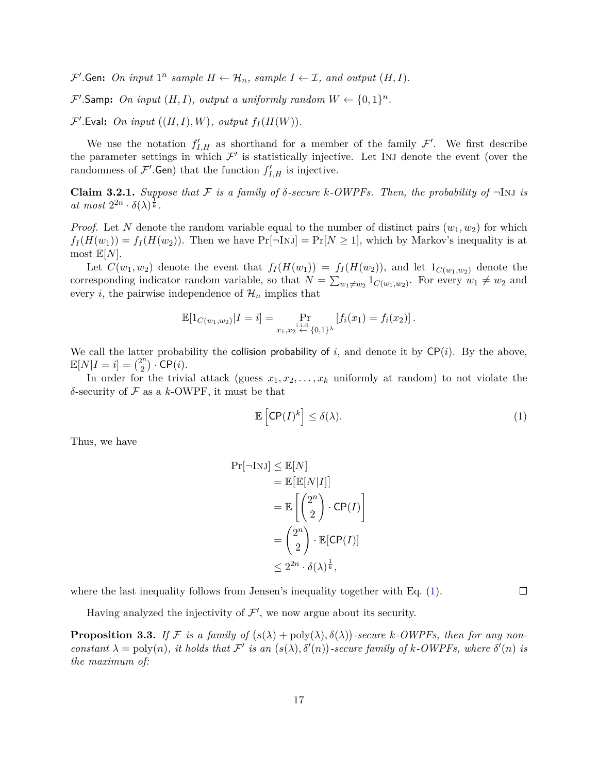$\mathcal{F}'$ . Gen: On input  $1^n$  sample  $H \leftarrow \mathcal{H}_n$ , sample  $I \leftarrow \mathcal{I}$ , and output  $(H, I)$ .

 $\mathcal{F}'$ . Samp: On input  $(H, I)$ , output a uniformly random  $W \leftarrow \{0, 1\}^n$ .

 $\mathcal{F}'$ . Eval: On input  $((H, I), W)$ , output  $f_I(H(W))$ .

We use the notation  $f'_{I,H}$  as shorthand for a member of the family  $\mathcal{F}'$ . We first describe the parameter settings in which  $\mathcal{F}'$  is statistically injective. Let INJ denote the event (over the randomness of  $\mathcal{F}'$ . Gen) that the function  $f'_{I,H}$  is injective.

<span id="page-18-2"></span>**Claim 3.2.1.** *Suppose that*  $\mathcal F$  *is a family of*  $\delta$ -secure  $k$ -OWPFs. Then, the probability of  $\neg$ Inj *is*  $at \; most \; 2^{2n} \cdot \delta(\lambda)^{\frac{1}{k}}.$ 

*Proof.* Let N denote the random variable equal to the number of distinct pairs  $(w_1, w_2)$  for which  $f_I(H(w_1)) = f_I(H(w_2))$ . Then we have  $Pr[\neg In] \geq Pr[N \geq 1]$ , which by Markov's inequality is at most  $\mathbb{E}[N]$ .

Let  $C(w_1, w_2)$  denote the event that  $f_I(H(w_1)) = f_I(H(w_2))$ , and let  $1_{C(w_1, w_2)}$  denote the corresponding indicator random variable, so that  $N = \sum_{w_1 \neq w_2} 1_{C(w_1,w_2)}$ . For every  $w_1 \neq w_2$  and every *i*, the pairwise independence of  $\mathcal{H}_n$  implies that

$$
\mathbb{E}[1_{C(w_1,w_2)}|I=i] = \Pr_{x_1,x_2 \stackrel{\text{i.i.d.}}{\leftarrow} \{0,1\}^{\lambda}} [f_i(x_1) = f_i(x_2)].
$$

We call the latter probability the collision probability of  $i$ , and denote it by  $\mathsf{CP}(i)$ . By the above,  $\mathbb{E}[N|I=i] = \binom{2^n}{2^n}$  $\binom{2^n}{2} \cdot \mathsf{CP}(i).$ 

In order for the trivial attack (guess  $x_1, x_2, \ldots, x_k$  uniformly at random) to not violate the *δ*-security of F as a *k*-OWPF, it must be that

<span id="page-18-0"></span>
$$
\mathbb{E}\left[\mathsf{CP}(I)^k\right] \le \delta(\lambda). \tag{1}
$$

 $\Box$ 

Thus, we have

$$
Pr[\neg \text{InJ}] \leq \mathbb{E}[N]
$$
  
=  $\mathbb{E}[\mathbb{E}[N|I]]$   
=  $\mathbb{E}\left[\binom{2^n}{2} \cdot \text{CP}(I)\right]$   
=  $\binom{2^n}{2} \cdot \mathbb{E}[\text{CP}(I)]$   
 $\leq 2^{2n} \cdot \delta(\lambda)^{\frac{1}{k}},$ 

where the last inequality follows from Jensen's inequality together with Eq.  $(1)$ .

Pr[¬Inj] ≤ E[*N*]

Having analyzed the injectivity of  $\mathcal{F}'$ , we now argue about its security.

<span id="page-18-1"></span>**Proposition 3.3.** If F is a family of  $(s(\lambda) + \text{poly}(\lambda), \delta(\lambda))$ -secure k-OWPFs, then for any non*constant*  $\lambda = \text{poly}(n)$ , *it holds that*  $\mathcal{F}'$  *is an*  $(s(\lambda), \delta'(n))$ -secure family of k-OWPFs, where  $\delta'(n)$  *is the maximum of:*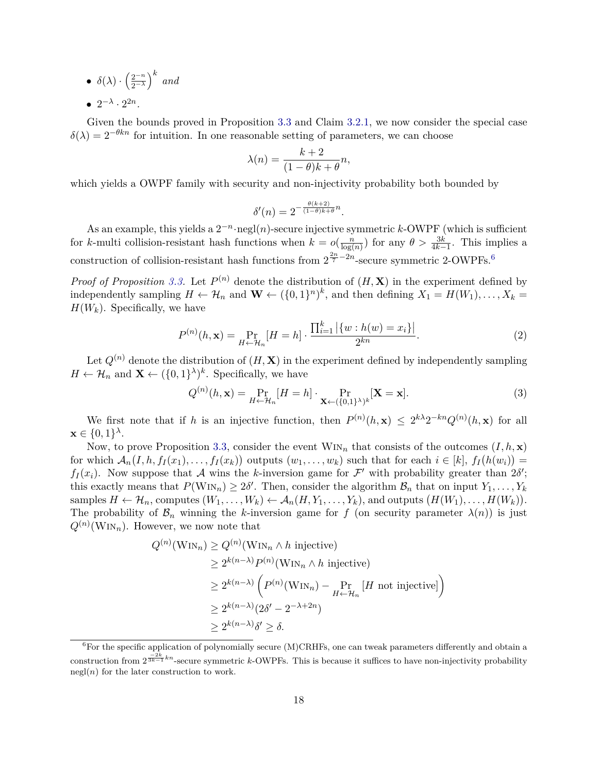$\bullet$   $\delta(\lambda) \cdot \left(\frac{2^{-n}}{2-\lambda}\right)$  $\left(\frac{2^{-n}}{2^{-\lambda}}\right)^k$  and •  $2^{-\lambda} \cdot 2^{2n}$ .

Given the bounds proved in Proposition [3.3](#page-18-1) and Claim [3.2.1,](#page-18-2) we now consider the special case  $\delta(\lambda) = 2^{-\theta k n}$  for intuition. In one reasonable setting of parameters, we can choose

$$
\lambda(n) = \frac{k+2}{(1-\theta)k+\theta}n,
$$

which yields a OWPF family with security and non-injectivity probability both bounded by

$$
\delta'(n) = 2^{-\frac{\theta(k+2)}{(1-\theta)k+\theta}n}.
$$

As an example, this yields a 2 −*n* ·negl(*n*)-secure injective symmetric *k*-OWPF (which is sufficient for *k*-multi collision-resistant hash functions when  $k = o(\frac{n}{\log n})$  $\frac{n}{\log(n)}$  for any  $\theta > \frac{3k}{4k-1}$ . This implies a construction of collision-resistant hash functions from  $2^{\frac{2n}{7}-2n}$ -secure symmetric 2-OWPFs.<sup>[6](#page-19-0)</sup>

*Proof of Proposition* [3.3.](#page-18-1) Let  $P^{(n)}$  denote the distribution of  $(H, \mathbf{X})$  in the experiment defined by independently sampling  $H \leftarrow \mathcal{H}_n$  and  $\mathbf{W} \leftarrow (\{0,1\}^n)^k$ , and then defining  $X_1 = H(W_1), \ldots, X_k =$  $H(W_k)$ . Specifically, we have

$$
P^{(n)}(h, \mathbf{x}) = \Pr_{H \leftarrow \mathcal{H}_n} [H = h] \cdot \frac{\prod_{i=1}^k |\{w : h(w) = x_i\}|}{2^{kn}}.
$$
 (2)

Let  $Q^{(n)}$  denote the distribution of  $(H, \mathbf{X})$  in the experiment defined by independently sampling  $H \leftarrow \mathcal{H}_n$  and  $\mathbf{X} \leftarrow (\{0,1\}^{\lambda})^k$ . Specifically, we have

$$
Q^{(n)}(h, \mathbf{x}) = \Pr_{H \leftarrow \mathcal{H}_n} [H = h] \cdot \Pr_{\mathbf{X} \leftarrow (\{0, 1\}^{\lambda})^k} [\mathbf{X} = \mathbf{x}]. \tag{3}
$$

We first note that if *h* is an injective function, then  $P^{(n)}(h,\mathbf{x}) \leq 2^{k\lambda}2^{-kn}Q^{(n)}(h,\mathbf{x})$  for all  $\mathbf{x} \in \{0,1\}^{\lambda}$ .

Now, to prove Proposition [3.3,](#page-18-1) consider the event  $W_{iN}$  that consists of the outcomes  $(I, h, \mathbf{x})$ for which  $A_n(I, h, f_I(x_1),..., f_I(x_k))$  outputs  $(w_1,..., w_k)$  such that for each  $i \in [k]$ ,  $f_I(h(w_i)) =$  $f_I(x_i)$ . Now suppose that A wins the *k*-inversion game for F' with probability greater than  $2\delta'$ ; this exactly means that  $P(\text{Win}_n) \geq 2\delta'$ . Then, consider the algorithm  $\mathcal{B}_n$  that on input  $Y_1, \ldots, Y_k$ samples  $H \leftarrow \mathcal{H}_n$ , computes  $(W_1, \ldots, W_k) \leftarrow \mathcal{A}_n(H, Y_1, \ldots, Y_k)$ , and outputs  $(H(W_1), \ldots, H(W_k))$ . The probability of  $\mathcal{B}_n$  winning the *k*-inversion game for *f* (on security parameter  $\lambda(n)$ ) is just  $Q^{(n)}(\text{Win}_n)$ . However, we now note that

$$
Q^{(n)}(\text{WIN}_n) \ge Q^{(n)}(\text{WIN}_n \wedge h \text{ injective})
$$
  
\n
$$
\ge 2^{k(n-\lambda)} P^{(n)}(\text{WIN}_n \wedge h \text{ injective})
$$
  
\n
$$
\ge 2^{k(n-\lambda)} \left( P^{(n)}(\text{WIN}_n) - \Pr_{H \leftarrow H_n} [H \text{ not injective}] \right)
$$
  
\n
$$
\ge 2^{k(n-\lambda)} (2\delta' - 2^{-\lambda + 2n})
$$
  
\n
$$
\ge 2^{k(n-\lambda)} \delta' \ge \delta.
$$

<span id="page-19-0"></span> $6$ For the specific application of polynomially secure (M)CRHFs, one can tweak parameters differently and obtain a construction from  $2^{\frac{-2k}{3k-1}kn}$ -secure symmetric *k*-OWPFs. This is because it suffices to have non-injectivity probability  $negl(n)$  for the later construction to work.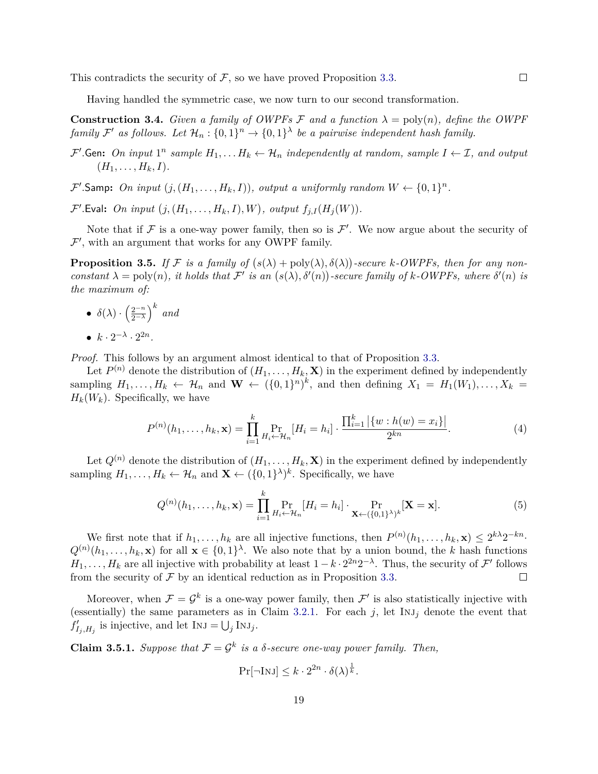This contradicts the security of  $F$ , so we have proved Proposition [3.3.](#page-18-1)

Having handled the symmetric case, we now turn to our second transformation.

<span id="page-20-1"></span>**Construction 3.4.** *Given a family of OWPFs*  $\mathcal F$  *and a function*  $\lambda = \text{poly}(n)$ *, define the OWPF family*  $\mathcal{F}'$  *as follows.* Let  $\mathcal{H}_n : \{0,1\}^n \to \{0,1\}^{\lambda}$  be a pairwise independent hash family.

- $\mathcal{F}'$ . Gen: On input  $1^n$  sample  $H_1, \ldots, H_k \leftarrow \mathcal{H}_n$  independently at random, sample  $I \leftarrow \mathcal{I}$ , and output  $(H_1, \ldots, H_k, I).$
- $\mathcal{F}'$ . Samp: On input  $(j, (H_1, \ldots, H_k, I))$ , output a uniformly random  $W \leftarrow \{0, 1\}^n$ .

 $\mathcal{F}'$ . Eval: On input  $(j, (H_1, \ldots, H_k, I), W)$ , output  $f_{j,I}(H_j(W))$ .

Note that if  $\mathcal F$  is a one-way power family, then so is  $\mathcal F'$ . We now argue about the security of  $\mathcal{F}'$ , with an argument that works for any OWPF family.

**Proposition 3.5.** If F is a family of  $(s(\lambda) + \text{poly}(\lambda), \delta(\lambda))$ -secure k-OWPFs, then for any non*constant*  $\lambda = \text{poly}(n)$ , *it holds that*  $\mathcal{F}'$  *is an*  $(s(\lambda), \delta'(n))$ -secure family of k-OWPFs, where  $\delta'(n)$  *is the maximum of:*

 $\bullet$   $\delta(\lambda) \cdot \left(\frac{2^{-n}}{2-\lambda}\right)$  $\left(\frac{2^{-n}}{2^{-\lambda}}\right)^k$  and •  $k \cdot 2^{-\lambda} \cdot 2^{2n}$ .

*Proof.* This follows by an argument almost identical to that of Proposition [3.3.](#page-18-1)

Let  $P^{(n)}$  denote the distribution of  $(H_1, \ldots, H_k, \mathbf{X})$  in the experiment defined by independently sampling  $H_1, \ldots, H_k \leftarrow \mathcal{H}_n$  and  $\mathbf{W} \leftarrow (\{0,1\}^n)^k$ , and then defining  $X_1 = H_1(W_1), \ldots, X_k =$  $H_k(W_k)$ . Specifically, we have

$$
P^{(n)}(h_1, \dots, h_k, \mathbf{x}) = \prod_{i=1}^k \Pr_{H_i \leftarrow \mathcal{H}_n} [H_i = h_i] \cdot \frac{\prod_{i=1}^k |\{w : h(w) = x_i\}|}{2^{kn}}.
$$
 (4)

Let  $Q^{(n)}$  denote the distribution of  $(H_1, \ldots, H_k, \mathbf{X})$  in the experiment defined by independently sampling  $H_1, \ldots, H_k \leftarrow \mathcal{H}_n$  and  $\mathbf{X} \leftarrow (\{0,1\}^{\lambda})^k$ . Specifically, we have

$$
Q^{(n)}(h_1,\ldots,h_k,\mathbf{x}) = \prod_{i=1}^k \Pr_{H_i \leftarrow \mathcal{H}_n} [H_i = h_i] \cdot \Pr_{\mathbf{X} \leftarrow (\{0,1\}^{\lambda})^k} [\mathbf{X} = \mathbf{x}].
$$
 (5)

We first note that if  $h_1, \ldots, h_k$  are all injective functions, then  $P^{(n)}(h_1, \ldots, h_k, \mathbf{x}) \leq 2^{k\lambda}2^{-kn}$ .  $Q^{(n)}(h_1,\ldots,h_k,\mathbf{x})$  for all  $\mathbf{x} \in \{0,1\}^{\lambda}$ . We also note that by a union bound, the *k* hash functions  $H_1, \ldots, H_k$  are all injective with probability at least  $1 - k \cdot 2^{2n} 2^{-\lambda}$ . Thus, the security of  $\mathcal{F}'$  follows from the security of  $\mathcal F$  by an identical reduction as in Proposition [3.3.](#page-18-1)  $\Box$ 

Moreover, when  $\mathcal{F} = \mathcal{G}^k$  is a one-way power family, then  $\mathcal{F}'$  is also statistically injective with (essentially) the same parameters as in Claim [3.2.1.](#page-18-2) For each  $j$ , let  $\text{Inj}_j$  denote the event that  $f'_{I_j, H_j}$  is injective, and let  $INJ = \bigcup_j INJ_j$ .

<span id="page-20-0"></span>**Claim 3.5.1.** *Suppose that*  $\mathcal{F} = \mathcal{G}^k$  *is a*  $\delta$ -secure one-way power family. Then,

$$
\Pr[\neg \text{InJ}] \le k \cdot 2^{2n} \cdot \delta(\lambda)^{\frac{1}{k}}.
$$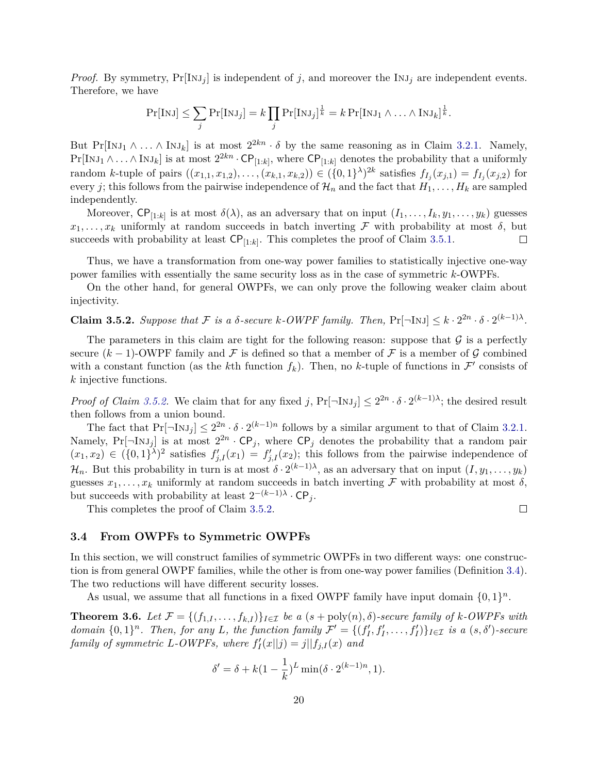*Proof.* By symmetry,  $Pr[INJ<sub>j</sub>]$  is independent of *j*, and moreover the  $INJ<sub>j</sub>$  are independent events. Therefore, we have

$$
\Pr[\text{InJ}] \leq \sum_j \Pr[\text{InJ}_j] = k \prod_j \Pr[\text{InJ}_j]^{\frac{1}{k}} = k \Pr[\text{InJ}_1 \wedge \ldots \wedge \text{InJ}_k]^{\frac{1}{k}}.
$$

But  $Pr[INJ_1 \land ... \land INJ_k]$  is at most  $2^{2kn} \cdot \delta$  by the same reasoning as in Claim [3.2.1.](#page-18-2) Namely,  $Pr[\text{INJ}_1 \land ... \land \text{INJ}_k]$  is at most  $2^{2kn} \cdot CP_{[1:k]}$ , where  $CP_{[1:k]}$  denotes the probability that a uniformly random k-tuple of pairs  $((x_{1,1}, x_{1,2}),..., (x_{k,1}, x_{k,2})) \in (\{0,1\}^{\lambda})^{2k}$  satisfies  $f_{I_j}(x_{j,1}) = f_{I_j}(x_{j,2})$  for every *j*; this follows from the pairwise independence of  $\mathcal{H}_n$  and the fact that  $H_1, \ldots, H_k$  are sampled independently.

Moreover,  $\text{CP}_{[1:k]}$  is at most  $\delta(\lambda)$ , as an adversary that on input  $(I_1, \ldots, I_k, y_1, \ldots, y_k)$  guesses  $x_1, \ldots, x_k$  uniformly at random succeeds in batch inverting F with probability at most  $\delta$ , but succeeds with probability at least  $\mathsf{CP}_{[1:k]}$ . This completes the proof of Claim [3.5.1.](#page-20-0)  $\Box$ 

Thus, we have a transformation from one-way power families to statistically injective one-way power families with essentially the same security loss as in the case of symmetric *k*-OWPFs.

On the other hand, for general OWPFs, we can only prove the following weaker claim about injectivity.

<span id="page-21-1"></span>**Claim 3.5.2.** Suppose that F is a  $\delta$ -secure  $k$ -OWPF family. Then,  $Pr[\neg \text{InJ}] \leq k \cdot 2^{2n} \cdot \delta \cdot 2^{(k-1)\lambda}$ .

The parameters in this claim are tight for the following reason: suppose that  $\mathcal G$  is a perfectly secure  $(k-1)$ -OWPF family and F is defined so that a member of F is a member of G combined with a constant function (as the *k*th function  $f_k$ ). Then, no *k*-tuple of functions in  $\mathcal{F}'$  consists of *k* injective functions.

*Proof of Claim [3.5.2.](#page-21-1)* We claim that for any fixed *j*,  $Pr[\neg \text{INJ}_j] \leq 2^{2n} \cdot \delta \cdot 2^{(k-1)\lambda}$ ; the desired result then follows from a union bound.

The fact that  $Pr[\neg \text{Inj}_j] \leq 2^{2n} \cdot \delta \cdot 2^{(k-1)n}$  follows by a similar argument to that of Claim [3.2.1.](#page-18-2) Namely,  $Pr[\neg \text{Inj}_j]$  is at most  $2^{2n} \cdot CP_j$ , where  $\text{CP}_j$  denotes the probability that a random pair  $(x_1, x_2) \in (\{0, 1\}^{\lambda})^2$  satisfies  $f'_{j,I}(x_1) = f'_{j,I}(x_2)$ ; this follows from the pairwise independence of  $\mathcal{H}_n$ . But this probability in turn is at most  $\delta \cdot 2^{(k-1)\lambda}$ , as an adversary that on input  $(I, y_1, \ldots, y_k)$ guesses  $x_1, \ldots, x_k$  uniformly at random succeeds in batch inverting F with probability at most  $\delta$ , but succeeds with probability at least  $2^{-(k-1)\lambda} \cdot \mathsf{CP}_j$ .

This completes the proof of Claim [3.5.2.](#page-21-1)

 $\Box$ 

#### <span id="page-21-0"></span>**3.4 From OWPFs to Symmetric OWPFs**

In this section, we will construct families of symmetric OWPFs in two different ways: one construction is from general OWPF families, while the other is from one-way power families (Definition [3.4\)](#page-16-1). The two reductions will have different security losses.

As usual, we assume that all functions in a fixed OWPF family have input domain  $\{0,1\}^n$ .

<span id="page-21-2"></span>**Theorem 3.6.** Let  $\mathcal{F} = \{(f_{1,I}, \ldots, f_{k,I})\}_{I \in \mathcal{I}}$  be a  $(s + \text{poly}(n), \delta)$ *-secure family of*  $k$ *-OWPFs with* domain  $\{0,1\}^n$ . Then, for any L, the function family  $\mathcal{F}' = \{(f'_I, f'_I, \ldots, f'_I)\}_{I \in \mathcal{I}}$  is a  $(s, \delta')$ -secure *family of symmetric L*-*OWPFs*, where  $f'_{I}(x||j) = j||f_{j,I}(x)$  and

$$
\delta' = \delta + k(1 - \frac{1}{k})^L \min(\delta \cdot 2^{(k-1)n}, 1).
$$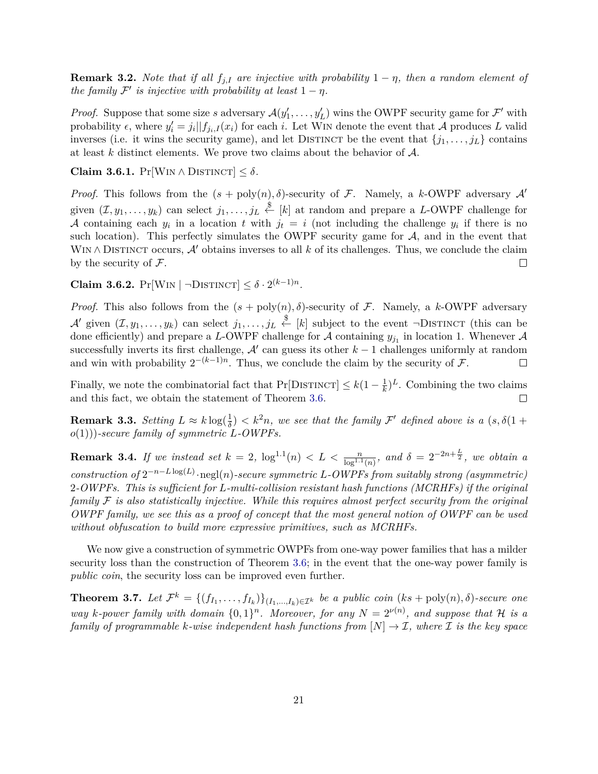**Remark 3.2.** *Note that if all*  $f_{j,I}$  *are injective with probability*  $1 - \eta$ *, then a random element of the family*  $\mathcal{F}'$  *is injective with probability at least*  $1 - \eta$ *.* 

*Proof.* Suppose that some size *s* adversary  $\mathcal{A}(y'_1, \ldots, y'_L)$  wins the OWPF security game for  $\mathcal{F}'$  with probability  $\epsilon$ , where  $y'_i = j_i || f_{j_i,I}(x_i)$  for each *i*. Let WIN denote the event that A produces L valid inverses (i.e. it wins the security game), and let DISTINCT be the event that  $\{j_1, \ldots, j_L\}$  contains at least *k* distinct elements. We prove two claims about the behavior of A.

**Claim 3.6.1.**  $Pr[Wh \wedge DISTNOT] \leq \delta$ .

*Proof.* This follows from the  $(s + \text{poly}(n), \delta)$ -security of F. Namely, a *k*-OWPF adversary A' given  $(\mathcal{I}, y_1, \ldots, y_k)$  can select  $j_1, \ldots, j_L \stackrel{\$}{\leftarrow} [k]$  at random and prepare a *L*-OWPF challenge for A containing each  $y_i$  in a location  $t$  with  $j_t = i$  (not including the challenge  $y_i$  if there is no such location). This perfectly simulates the OWPF security game for  $A$ , and in the event that WIN∧ DISTINCT occurs,  $\mathcal{A}'$  obtains inverses to all k of its challenges. Thus, we conclude the claim by the security of  $\mathcal{F}$ .  $\Box$ 

**Claim 3.6.2.**  $Pr[\text{Win} | \neg \text{DISTNOT}] \leq \delta \cdot 2^{(k-1)n}$ .

*Proof.* This also follows from the  $(s + poly(n), \delta)$ -security of F. Namely, a *k*-OWPF adversary A' given  $(\mathcal{I}, y_1, \ldots, y_k)$  can select  $j_1, \ldots, j_L \stackrel{\$}{\leftarrow} [k]$  subject to the event  $\neg$ DISTINCT (this can be done efficiently) and prepare a *L*-OWPF challenge for  $A$  containing  $y_{j_1}$  in location 1. Whenever  $A$ successfully inverts its first challenge,  $A'$  can guess its other  $k-1$  challenges uniformly at random and win with probability  $2^{-(k-1)n}$ . Thus, we conclude the claim by the security of F.  $\Box$ 

Finally, we note the combinatorial fact that  $Pr[DISTINCT] \leq k(1 - \frac{1}{k})$  $(\frac{1}{k})^L$ . Combining the two claims and this fact, we obtain the statement of Theorem [3.6.](#page-21-2)  $\Box$ 

**Remark 3.3.** *Setting*  $L \approx k \log(\frac{1}{\delta}) < k^2n$ , we see that the family  $\mathcal{F}'$  defined above is a  $(s, \delta(1 +$ *o*(1)))*-secure family of symmetric L-OWPFs.*

**Remark 3.4.** If we instead set  $k = 2$ ,  $\log^{1.1}(n) < L < \frac{n}{\log^{1.1}(n)}$ , and  $\delta = 2^{-2n + \frac{L}{2}}$ , we obtain a  $constraint of 2^{-n-L\log(L)}\cdot\text{negl}(n)$ -secure symmetric *L*-OWPFs from suitably strong (asymmetric) 2*-OWPFs. This is sufficient for L-multi-collision resistant hash functions (MCRHFs) if the original family* F *is also statistically injective. While this requires almost perfect security from the original OWPF family, we see this as a proof of concept that the most general notion of OWPF can be used without obfuscation to build more expressive primitives, such as MCRHFs.*

We now give a construction of symmetric OWPFs from one-way power families that has a milder security loss than the construction of Theorem [3.6;](#page-21-2) in the event that the one-way power family is *public coin*, the security loss can be improved even further.

<span id="page-22-0"></span>**Theorem 3.7.** Let  $\mathcal{F}^k = \{(f_{I_1}, \ldots, f_{I_k})\}_{(I_1, \ldots, I_k) \in \mathcal{I}^k}$  be a public coin  $(ks + \text{poly}(n), \delta)$ -secure one *way k*-power family with domain  $\{0,1\}^n$ . Moreover, for any  $N = 2^{\nu(n)}$ , and suppose that H is a *family of programmable k-wise independent hash functions from*  $[N] \rightarrow \mathcal{I}$ , where  $\mathcal{I}$  *is the key space*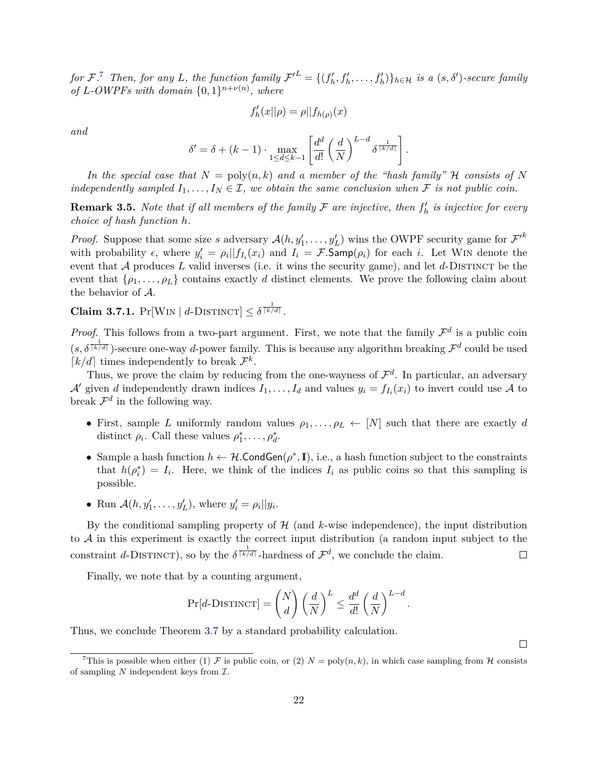for F.<sup>[7](#page-23-0)</sup> Then, for any L, the function family  $\mathcal{F'}^L = \{(f'_h, f'_h, \ldots, f'_h)\}_{h \in \mathcal{H}}$  is a  $(s, \delta')$ -secure family *of L*-*OWPFs* with domain  $\{0, 1\}^{n+\nu(n)}$ , where

$$
f'_h(x||\rho) = \rho||f_{h(\rho)}(x)
$$

*and*

$$
\delta' = \delta + (k-1) \cdot \max_{1 \le d \le k-1} \left[ \frac{d^d}{d!} \left( \frac{d}{N} \right)^{L-d} \delta^{\frac{1}{\lceil k/d \rceil}} \right].
$$

In the special case that  $N = \text{poly}(n, k)$  and a member of the "hash family" H consists of N *independently sampled*  $I_1, \ldots, I_N \in \mathcal{I}$ , we obtain the same conclusion when  $\mathcal F$  *is not public coin.* 

**Remark 3.5.** *Note that if all members of the family*  $\mathcal F$  *are injective, then*  $f'_h$  *is injective for every choice of hash function h.*

*Proof.* Suppose that some size *s* adversary  $\mathcal{A}(h, y'_1, \ldots, y'_L)$  wins the OWPF security game for  $\mathcal{F}'^k$ with probability  $\epsilon$ , where  $y'_i = \rho_i || f_{I_i}(x_i)$  and  $I_i = \mathcal{F}$ . Samp $(\rho_i)$  for each *i*. Let WIN denote the event that  $A$  produces  $L$  valid inverses (i.e. it wins the security game), and let  $d$ -DISTINCT be the event that  $\{ \rho_1, \ldots, \rho_L \}$  contains exactly *d* distinct elements. We prove the following claim about the behavior of A.

**Claim 3.7.1.**  $Pr[\text{Win} | d\text{-DISTNOT}] \leq \delta^{\frac{1}{\lceil k/d \rceil}}$ .

*Proof.* This follows from a two-part argument. First, we note that the family  $\mathcal{F}^d$  is a public coin  $(s, \delta^{\frac{1}{\lceil k/d \rceil}})$ -secure one-way *d*-power family. This is because any algorithm breaking  $\mathcal{F}^d$  could be used  $\lceil k/d \rceil$  times independently to break  $\mathcal{F}^k$ .

Thus, we prove the claim by reducing from the one-wayness of  $\mathcal{F}^d$ . In particular, an adversary A' given *d* independently drawn indices  $I_1, \ldots, I_d$  and values  $y_i = f_{I_i}(x_i)$  to invert could use A to break  $\mathcal{F}^d$  in the following way.

- First, sample *L* uniformly random values  $\rho_1, \ldots, \rho_L \leftarrow [N]$  such that there are exactly *d* distinct  $\rho_i$ . Call these values  $\rho_1^*, \ldots, \rho_d^*$ .
- Sample a hash function  $h \leftarrow H$ .CondGen $(\rho^*, \mathbf{I})$ , i.e., a hash function subject to the constraints that  $h(\rho_i^*) = I_i$ . Here, we think of the indices  $I_i$  as public coins so that this sampling is possible.
- Run  $\mathcal{A}(h, y'_1, \dots, y'_L)$ , where  $y'_i = \rho_i ||y_i$ .

By the conditional sampling property of  $H$  (and  $k$ -wise independence), the input distribution to A in this experiment is exactly the correct input distribution (a random input subject to the constraint *d*-DISTINCT), so by the  $\delta^{\frac{1}{\lceil k/d \rceil}}$ -hardness of  $\mathcal{F}^d$ , we conclude the claim.  $\Box$ 

Finally, we note that by a counting argument,

$$
\Pr[d\text{-DISTINCT}] = \binom{N}{d} \left(\frac{d}{N}\right)^L \le \frac{d^d}{d!} \left(\frac{d}{N}\right)^{L-d}.
$$

Thus, we conclude Theorem [3.7](#page-22-0) by a standard probability calculation.

 $\Box$ 

<span id="page-23-0"></span><sup>&</sup>lt;sup>7</sup>This is possible when either (1)  $\mathcal F$  is public coin, or (2)  $N = \text{poly}(n, k)$ , in which case sampling from  $\mathcal H$  consists of sampling  $N$  independent keys from  $\mathcal{I}$ .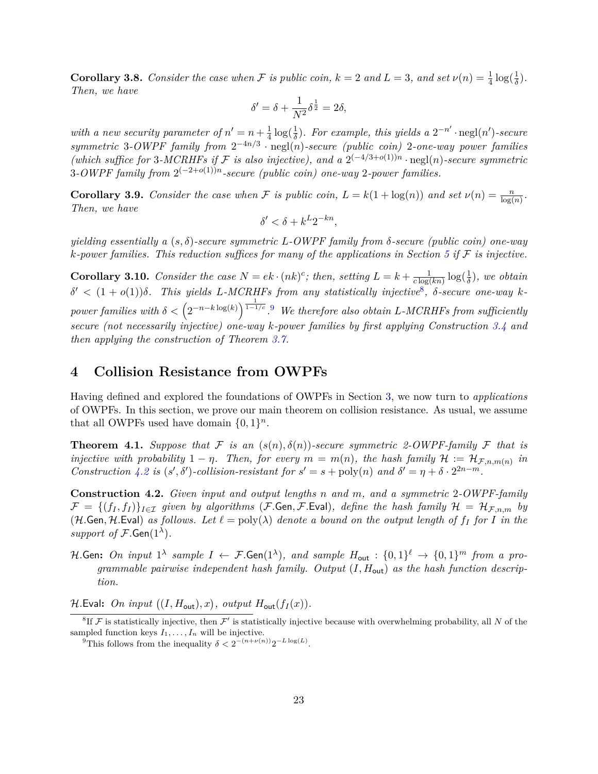**Corollary 3.8.** *Consider the case when*  $\mathcal F$  *is public coin,*  $k = 2$  *and*  $L = 3$ *, and set*  $\nu(n) = \frac{1}{4} \log(\frac{1}{\delta})$ *. Then, we have*

$$
\delta' = \delta + \frac{1}{N^2} \delta^{\frac{1}{2}} = 2\delta,
$$

*with a new security parameter of*  $n' = n + \frac{1}{4}$  $\frac{1}{4} \log(\frac{1}{\delta})$ *. For example, this yields a*  $2^{-n'} \cdot \text{negl}(n')$ -secure *symmetric* 3*-OWPF family from* 2 −4*n/*3 · negl(*n*)*-secure (public coin)* 2*-one-way power families* (which suffice for 3-MCRHFs if F is also injective), and a  $2^{(-4/3+o(1))n} \cdot \text{negl}(n)$ -secure symmetric 3*-OWPF* family from 2<sup>(−2+*o*(1))<sup>n</sup>-secure (public coin) one-way 2-power families.</sup>

**Corollary 3.9.** *Consider the case when* F *is public coin,*  $L = k(1 + \log(n))$  *and set*  $\nu(n) = \frac{n}{\log(n)}$ *. Then, we have*

$$
\delta' < \delta + k^L 2^{-kn},
$$

*yielding essentially a* (*s, δ*)*-secure symmetric L-OWPF family from δ-secure (public coin) one-way*  $k$ *-power families. This reduction suffices for many of the applications in Section* [5](#page-27-1) *if*  $\mathcal F$  *is injective.* 

**Corollary 3.10.** *Consider the case*  $N = ek \cdot (nk)^c$ ; *then, setting*  $L = k + \frac{1}{c \log n}$  $\frac{1}{c \log(kn)} \log(\frac{1}{\delta})$ *, we obtain δ* <sup>0</sup> *<* (1 + *o*(1))*δ. This yields L-MCRHFs from any statistically injective*[8](#page-24-1) *, δ-secure one-way k* $power\ families\ with\ \delta < \left(2^{-n-k\log(k)}\right)^{\frac{1}{1-1/c}}$ .<sup>[9](#page-24-2)</sup> *We therefore also obtain L-MCRHFs from sufficiently secure (not necessarily injective) one-way k-power families by first applying Construction [3.4](#page-20-1) and then applying the construction of Theorem [3.7.](#page-22-0)*

# <span id="page-24-0"></span>**4 Collision Resistance from OWPFs**

Having defined and explored the foundations of OWPFs in Section [3,](#page-14-0) we now turn to *applications* of OWPFs. In this section, we prove our main theorem on collision resistance. As usual, we assume that all OWPFs used have domain  $\{0,1\}^n$ .

<span id="page-24-4"></span>**Theorem 4.1.** *Suppose that*  $\mathcal F$  *is an*  $(s(n), \delta(n))$ -secure symmetric 2-OWPF-family  $\mathcal F$  *that is injective with probability*  $1 - \eta$ . Then, for every  $m = m(n)$ , the hash family  $\mathcal{H} := \mathcal{H}_{\mathcal{F},n,m(n)}$  in *Construction* [4.2](#page-24-3) *is*  $(s', \delta')$ -collision-resistant for  $s' = s + \text{poly}(n)$  and  $\delta' = \eta + \delta \cdot 2^{2n-m}$ .

<span id="page-24-3"></span>**Construction 4.2.** *Given input and output lengths n and m, and a symmetric* 2*-OWPF-family*  $\mathcal{F} = \{(f_I, f_I)\}_{I \in \mathcal{I}}$  given by algorithms (F.Gen, F.Eval), define the hash family  $\mathcal{H} = \mathcal{H}_{\mathcal{F},n,m}$  by (H.Gen, H.Eval) as follows. Let  $\ell = \text{poly}(\lambda)$  denote a bound on the output length of  $f_I$  for  $I$  in the *support of*  $\mathcal{F}$ *.*Gen( $1^{\lambda}$ )*.* 

 $H.\mathsf{Gen:}\ \ On\ \ input\ 1^{\lambda}\ \ sample\ \ I\ \leftarrow\ \mathcal{F}.\mathsf{Gen}(1^{\lambda}),\ \ and\ \ sample\ \ H_{\mathsf{out}}\ : \{0,1\}^{\ell}\ \rightarrow\ \{0,1\}^{m}\ \ from\ \ a\ \ pro-{\mathcal{F}.\mathsf{Gen}(1^{\lambda})}.$ *grammable pairwise independent hash family. Output* (*I, H*out) *as the hash function description.*

 $\mathcal{H}.\mathsf{Eval:}~~On~~input~~((I, H_{\mathsf{out}}), x),~output~~H_{\mathsf{out}}(f_I(x)).$ 

<span id="page-24-5"></span><span id="page-24-1"></span> ${}^8$ If F is statistically injective, then  $\mathcal{F}'$  is statistically injective because with overwhelming probability, all N of the sampled function keys  $I_1, \ldots, I_n$  will be injective.

<span id="page-24-2"></span><sup>&</sup>lt;sup>9</sup>This follows from the inequality  $\delta < 2^{-(n+\nu(n))} 2^{-L \log(L)}$ .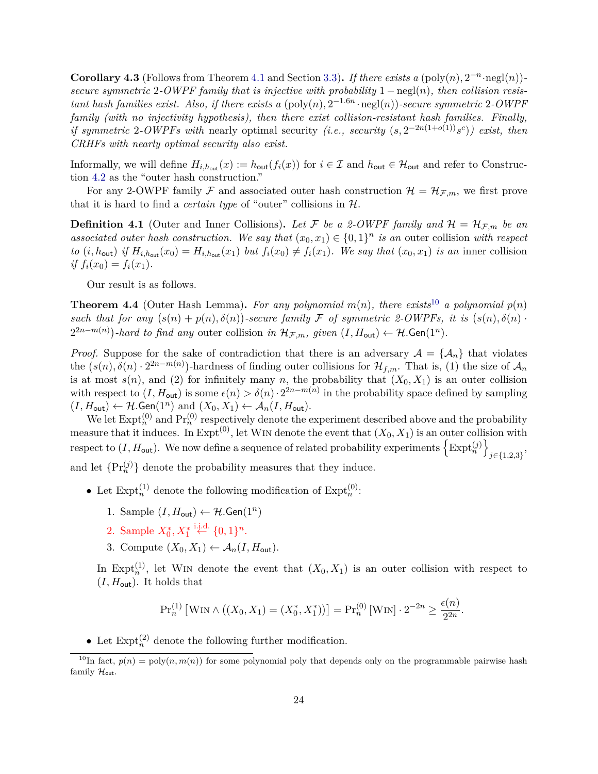**Corollary 4.3** (Follows from Theorem [4.1](#page-24-4) and Section [3.3\)](#page-17-1). If there exists a (poly $(n)$ ,  $2^{-n}$ ·negl $(n)$ ) *secure symmetric* 2*-OWPF family that is injective with probability* 1 − negl(*n*)*, then collision resistant hash families exist. Also, if there exists a*  $(\text{poly}(n), 2^{-1.6n} \cdot \text{negl}(n))$ -secure symmetric 2-OWPF *family (with no injectivity hypothesis), then there exist collision-resistant hash families. Finally, if symmetric* 2-*OWPFs with* nearly optimal security *(i.e., security*  $(s, 2^{-2n(1+o(1))} s^c)$ *) exist, then CRHFs with nearly optimal security also exist.*

Informally, we will define  $H_{i,h_{\text{out}}}(x) := h_{\text{out}}(f_i(x))$  for  $i \in \mathcal{I}$  and  $h_{\text{out}} \in \mathcal{H}_{\text{out}}$  and refer to Construction [4.2](#page-24-3) as the "outer hash construction."

For any 2-OWPF family F and associated outer hash construction  $\mathcal{H} = \mathcal{H}_{\mathcal{F},m}$ , we first prove that it is hard to find a *certain type* of "outer" collisions in H.

**Definition 4.1** (Outer and Inner Collisions). Let F be a 2-OWPF family and  $\mathcal{H} = \mathcal{H}_{\mathcal{F},m}$  be an associated outer hash construction. We say that  $(x_0, x_1) \in \{0, 1\}^n$  is an outer collision with respect to  $(i, h_{\text{out}})$  if  $H_{i, h_{\text{out}}}(x_0) = H_{i, h_{\text{out}}}(x_1)$  but  $f_i(x_0) \neq f_i(x_1)$ . We say that  $(x_0, x_1)$  is an inner collision *if*  $f_i(x_0) = f_i(x_1)$ .

Our result is as follows.

<span id="page-25-1"></span>**Theorem 4.4** (Outer Hash Lemma). For any polynomial  $m(n)$ , there exists<sup>[10](#page-25-0)</sup> a polynomial  $p(n)$ such that for any  $(s(n) + p(n), \delta(n))$ -secure family F of symmetric 2-OWPFs, it is  $(s(n), \delta(n))$ .  $2^{2n-m(n)}$ )-hard to find any outer collision *in*  $\mathcal{H}_{\mathcal{F},m}$ *, given* (*I,H*<sub>out</sub>) ←  $\mathcal{H}$ *.*Gen(1<sup>n</sup>).

*Proof.* Suppose for the sake of contradiction that there is an adversary  $A = \{A_n\}$  that violates the  $(s(n), \delta(n) \cdot 2^{2n-m(n)})$ -hardness of finding outer collisions for  $\mathcal{H}_{f,m}$ . That is, (1) the size of  $\mathcal{A}_n$ is at most  $s(n)$ , and (2) for infinitely many *n*, the probability that  $(X_0, X_1)$  is an outer collision with respect to  $(I, H_{\text{out}})$  is some  $\epsilon(n) > \delta(n) \cdot 2^{2n-m(n)}$  in the probability space defined by sampling  $(I, H_{\text{out}}) \leftarrow H$ .Gen $(1^n)$  and  $(X_0, X_1) \leftarrow A_n(I, H_{\text{out}})$ .

We let  $\text{Expt}_n^{(0)}$  and  $\text{Pr}_n^{(0)}$  respectively denote the experiment described above and the probability measure that it induces. In Expt<sup>(0)</sup>, let WIN denote the event that  $(X_0, X_1)$  is an outer collision with respect to  $(I, H_{\text{out}})$ . We now define a sequence of related probability experiments  $\left\{ \text{Expt}_{n}^{(j)} \right\}$ *j*∈{1*,*2*,*3} , and let  $\{\Pr_n^{(j)}\}$  denote the probability measures that they induce.

- Let  $\text{Expt}_n^{(1)}$  denote the following modification of  $\text{Expt}_n^{(0)}$ :
	- 1. Sample  $(I, H_{\text{out}}) \leftarrow H$ . Gen $(1^n)$
	- 2. Sample  $X_0^*, X_1^* \stackrel{\text{i.i.d.}}{\leftarrow} \{0,1\}^n$ .
	- 3. Compute  $(X_0, X_1) \leftarrow \mathcal{A}_n(I, H_{\text{out}})$ .

In Expt<sup>(1)</sup>, let WIN denote the event that  $(X_0, X_1)$  is an outer collision with respect to  $(I, H_{\text{out}})$ . It holds that

$$
\Pr_n^{(1)} \left[ \text{WIN} \wedge \left( (X_0, X_1) = (X_0^*, X_1^*) \right) \right] = \Pr_n^{(0)} \left[ \text{WIN} \right] \cdot 2^{-2n} \ge \frac{\epsilon(n)}{2^{2n}}.
$$

• Let  $\text{Expt}_n^{(2)}$  denote the following further modification.

<span id="page-25-0"></span> $10$ In fact,  $p(n) = \text{poly}(n, m(n))$  for some polynomial poly that depends only on the programmable pairwise hash family  $\mathcal{H}_{\text{out}}$ .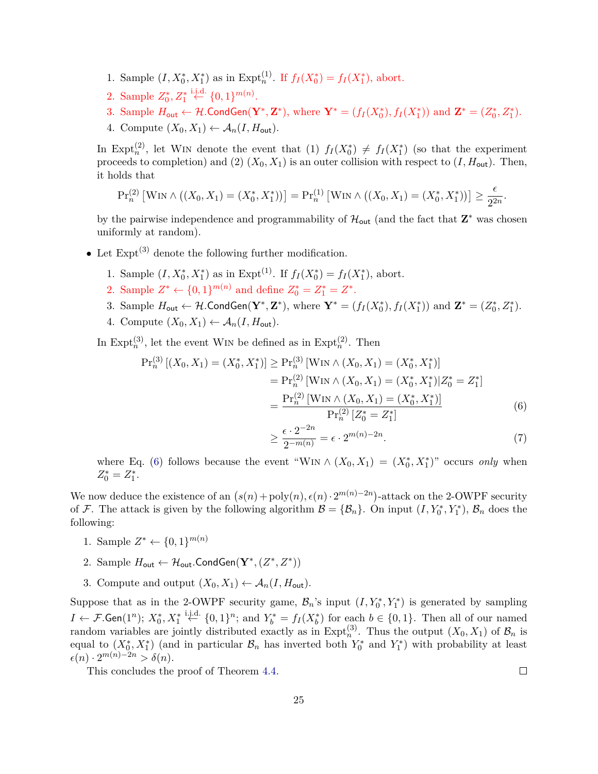- 1. Sample  $(I, X_0^*, X_1^*)$  as in Expt<sup>(1)</sup>. If  $f_I(X_0^*) = f_I(X_1^*)$ , abort.
- 2. Sample  $Z_0^*, Z_1^* \stackrel{\text{i.i.d.}}{\leftarrow} \{0,1\}^{m(n)}$ .
- 3. Sample  $H_{\text{out}} \leftarrow \mathcal{H}$ .CondGen $(\mathbf{Y}^*, \mathbf{Z}^*)$ , where  $\mathbf{Y}^* = (f_I(X_0^*), f_I(X_1^*))$  and  $\mathbf{Z}^* = (Z_0^*, Z_1^*)$ .
- 4. Compute  $(X_0, X_1) \leftarrow \mathcal{A}_n(I, H_{\text{out}})$ .

In Expt<sup>(2)</sup>, let WIN denote the event that (1)  $f_I(X_0^*) \neq f_I(X_1^*)$  (so that the experiment proceeds to completion) and (2)  $(X_0, X_1)$  is an outer collision with respect to  $(I, H_{\text{out}})$ . Then, it holds that

$$
\Pr_n^{(2)} \left[ \text{Win} \wedge \big( (X_0, X_1) = (X_0^*, X_1^*) \big) \right] = \Pr_n^{(1)} \left[ \text{Win} \wedge \big( (X_0, X_1) = (X_0^*, X_1^*) \big) \right] \ge \frac{\epsilon}{2^{2n}}.
$$

by the pairwise independence and programmability of  $\mathcal{H}_{\text{out}}$  (and the fact that  $\mathbf{Z}^*$  was chosen uniformly at random).

- Let  $\text{Expt}^{(3)}$  denote the following further modification.
	- 1. Sample  $(I, X_0^*, X_1^*)$  as in Expt<sup>(1)</sup>. If  $f_I(X_0^*) = f_I(X_1^*)$ , abort.
	- 2. Sample  $Z^* \leftarrow \{0,1\}^{m(n)}$  and define  $Z_0^* = Z_1^* = Z^*$ .
	- 3. Sample  $H_{\text{out}} \leftarrow \mathcal{H}$ .CondGen $(\mathbf{Y}^*, \mathbf{Z}^*)$ , where  $\mathbf{Y}^* = (f_I(X_0^*), f_I(X_1^*))$  and  $\mathbf{Z}^* = (Z_0^*, Z_1^*)$ .
	- 4. Compute  $(X_0, X_1) \leftarrow \mathcal{A}_n(I, H_{\text{out}})$ .

In Expt<sup>(3)</sup>, let the event W<sub>IN</sub> be defined as in Expt<sup>(2)</sup>. Then

$$
\Pr_n^{(3)}[(X_0, X_1) = (X_0^*, X_1^*)] \ge \Pr_n^{(3)}[\text{WIN} \land (X_0, X_1) = (X_0^*, X_1^*)]
$$
  
\n
$$
= \Pr_n^{(2)}[\text{WIN} \land (X_0, X_1) = (X_0^*, X_1^*) | Z_0^* = Z_1^*]
$$
  
\n
$$
= \frac{\Pr_n^{(2)}[\text{WIN} \land (X_0, X_1) = (X_0^*, X_1^*)]}{\Pr_n^{(2)} [Z_0^* = Z_1^*]}
$$
(6)

<span id="page-26-0"></span>
$$
\geq \frac{\epsilon \cdot 2^{-2n}}{2^{-m(n)}} = \epsilon \cdot 2^{m(n)-2n}.\tag{7}
$$

where Eq. [\(6\)](#page-26-0) follows because the event "WIN  $\wedge$   $(X_0, X_1) = (X_0^*, X_1^*)$ " occurs *only* when  $Z_0^* = Z_1^*$ .

We now deduce the existence of an  $(s(n) + \text{poly}(n), \epsilon(n) \cdot 2^{m(n)-2n})$ -attack on the 2-OWPF security of F. The attack is given by the following algorithm  $\mathcal{B} = {\mathcal{B}_n}$ . On input  $(I, Y_0^*, Y_1^*)$ ,  $\mathcal{B}_n$  does the following:

- 1. Sample  $Z^* \leftarrow \{0, 1\}^{m(n)}$
- 2. Sample  $H_{\text{out}} \leftarrow H_{\text{out}}$ . Cond Gen $(\mathbf{Y}^*, (Z^*, Z^*))$
- 3. Compute and output  $(X_0, X_1) \leftarrow A_n(I, H_{\text{out}})$ .

Suppose that as in the 2-OWPF security game,  $\mathcal{B}_n$ 's input  $(I, Y_0^*, Y_1^*)$  is generated by sampling *I* ←  $\mathcal{F}.\mathsf{Gen}(1^n)$ ;  $X_0^*, X_1^* \stackrel{\text{i.i.d.}}{\leftarrow} \{0,1\}^n$ ; and  $Y_b^* = f_I(X_b^*)$  for each  $b \in \{0,1\}$ . Then all of our named random variables are jointly distributed exactly as in  $\text{Expt}_n^{(3)}$ . Thus the output  $(X_0, X_1)$  of  $\mathcal{B}_n$  is equal to  $(X_0^*, X_1^*)$  (and in particular  $\mathcal{B}_n$  has inverted both  $Y_0^*$  and  $Y_1^*$ ) with probability at least  $\epsilon(n) \cdot 2^{m(n)-2n} > \delta(n).$ 

This concludes the proof of Theorem [4.4.](#page-25-1)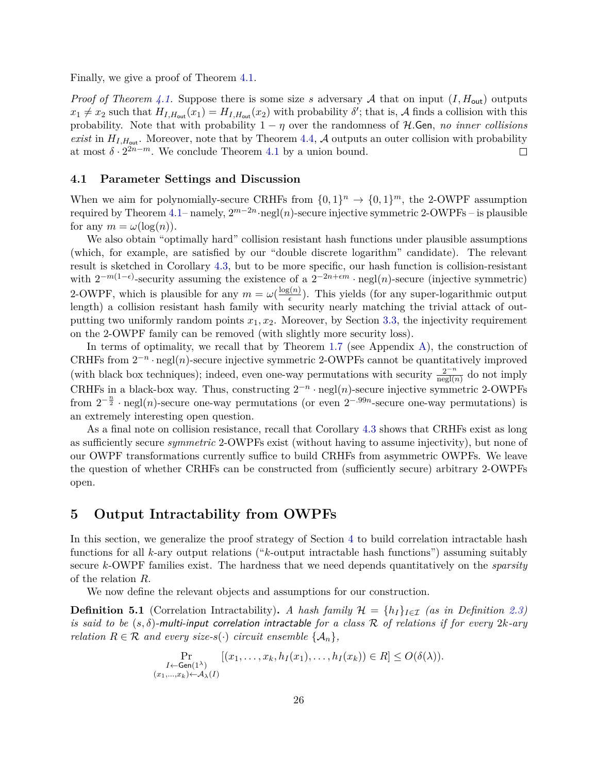Finally, we give a proof of Theorem [4.1.](#page-24-4)

*Proof of Theorem [4.1.](#page-24-4)* Suppose there is some size *s* adversary A that on input  $(I, H_{out})$  outputs  $x_1 \neq x_2$  such that  $H_{I,H_{out}}(x_1) = H_{I,H_{out}}(x_2)$  with probability  $\delta'$ ; that is, A finds a collision with this probability. Note that with probability  $1 - \eta$  over the randomness of  $H$ .Gen, *no inner collisions exist* in  $H_{I,H_{out}}$ . Moreover, note that by Theorem [4.4,](#page-25-1) A outputs an outer collision with probability at most  $\delta \cdot 2^{2n-m}$ . We conclude Theorem [4.1](#page-24-4) by a union bound.  $\Box$ 

#### <span id="page-27-0"></span>**4.1 Parameter Settings and Discussion**

When we aim for polynomially-secure CRHFs from  $\{0,1\}^n \to \{0,1\}^m$ , the 2-OWPF assumption required by Theorem [4.1–](#page-24-4) namely,  $2^{m-2n}$ ·negl(*n*)-secure injective symmetric 2-OWPFs – is plausible for any  $m = \omega(\log(n))$ .

We also obtain "optimally hard" collision resistant hash functions under plausible assumptions (which, for example, are satisfied by our "double discrete logarithm" candidate). The relevant result is sketched in Corollary [4.3,](#page-24-5) but to be more specific, our hash function is collision-resistant with  $2^{-m(1-\epsilon)}$ -security assuming the existence of a  $2^{-2n+\epsilon m}$  · negl(*n*)-secure (injective symmetric) 2-OWPF, which is plausible for any  $m = \omega(\frac{\log(n)}{\epsilon})$  $\frac{\zeta(n)}{\epsilon}$ ). This yields (for any super-logarithmic output length) a collision resistant hash family with security nearly matching the trivial attack of outputting two uniformly random points  $x_1, x_2$ . Moreover, by Section [3.3,](#page-17-1) the injectivity requirement on the 2-OWPF family can be removed (with slightly more security loss).

In terms of optimality, we recall that by Theorem [1.7](#page-5-1) (see Appendix [A\)](#page-46-0), the construction of CRHFs from  $2^{-n} \cdot \text{negl}(n)$ -secure injective symmetric 2-OWPFs cannot be quantitatively improved (with black box techniques); indeed, even one-way permutations with security  $\frac{2^{-n}}{\text{negl}(n)}$  do not imply CRHFs in a black-box way. Thus, constructing  $2^{-n} \cdot \text{negl}(n)$ -secure injective symmetric 2-OWPFs from  $2^{-\frac{n}{2}} \cdot \text{negl}(n)$ -secure one-way permutations (or even  $2^{-.99n}$ -secure one-way permutations) is an extremely interesting open question.

As a final note on collision resistance, recall that Corollary [4.3](#page-24-5) shows that CRHFs exist as long as sufficiently secure *symmetric* 2-OWPFs exist (without having to assume injectivity), but none of our OWPF transformations currently suffice to build CRHFs from asymmetric OWPFs. We leave the question of whether CRHFs can be constructed from (sufficiently secure) arbitrary 2-OWPFs open.

# <span id="page-27-1"></span>**5 Output Intractability from OWPFs**

In this section, we generalize the proof strategy of Section [4](#page-24-0) to build correlation intractable hash functions for all *k*-ary output relations ("*k*-output intractable hash functions") assuming suitably secure *k*-OWPF families exist. The hardness that we need depends quantitatively on the *sparsity* of the relation *R*.

We now define the relevant objects and assumptions for our construction.

**Definition 5.1** (Correlation Intractability). *A hash family*  $\mathcal{H} = \{h_I\}_{I \in \mathcal{I}}$  *(as in Definition [2.3\)](#page-13-3) is said to be* (*s, δ*)-multi-input correlation intractable *for a class* R *of relations if for every* 2*k-ary relation*  $R \in \mathcal{R}$  *and every size-s*(·) *circuit ensemble*  $\{A_n\}$ ,

$$
\Pr_{\substack{I \leftarrow \mathsf{Gen}(1^{\lambda}) \\ (x_1, \ldots, x_k) \leftarrow \mathcal{A}_{\lambda}(I)}} [(x_1, \ldots, x_k, h_I(x_1), \ldots, h_I(x_k)) \in R] \le O(\delta(\lambda)).
$$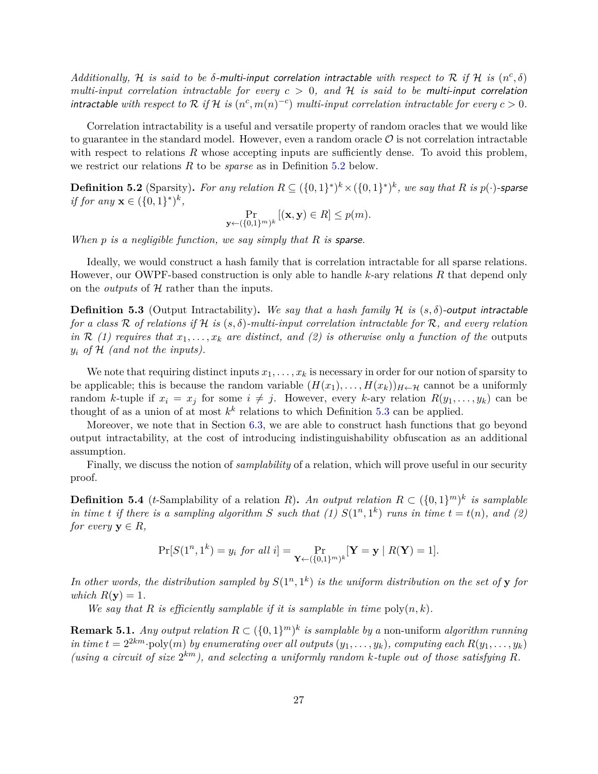*Additionally,* H *is said to be*  $\delta$ -multi-input correlation intractable with respect to R if H is  $(n^c, \delta)$ *multi-input correlation intractable for every c >* 0*, and* H *is said to be* multi-input correlation *intractable with respect to*  $R$  *if*  $H$  *is*  $(n^c, m(n)^{-c})$  *multi-input correlation intractable for every*  $c > 0$ *.* 

Correlation intractability is a useful and versatile property of random oracles that we would like to guarantee in the standard model. However, even a random oracle  $\mathcal O$  is not correlation intractable with respect to relations R whose accepting inputs are sufficiently dense. To avoid this problem, we restrict our relations *R* to be *sparse* as in Definition [5.2](#page-28-0) below.

<span id="page-28-0"></span>**Definition 5.2** (Sparsity). For any relation  $R ⊆ ({0,1}^*)^k × ({0,1}^*)^k$ , we say that  $R$  is  $p(·)$ -sparse *if for any*  $x \in (\{0, 1\}^*)^k$ ,

$$
\Pr_{\mathbf{y} \leftarrow (\{0,1\}^m)^k} [(\mathbf{x}, \mathbf{y}) \in R] \le p(m).
$$

*When p is a negligible function, we say simply that R is* sparse*.*

Ideally, we would construct a hash family that is correlation intractable for all sparse relations. However, our OWPF-based construction is only able to handle *k*-ary relations *R* that depend only on the *outputs* of H rather than the inputs.

<span id="page-28-1"></span>**Definition 5.3** (Output Intractability). We say that a hash family H is  $(s, \delta)$ -output intractable *for a class* R *of relations if* H *is* (*s, δ*)*-multi-input correlation intractable for* R*, and every relation in*  $\mathcal{R}$  (1) requires that  $x_1, \ldots, x_k$  are distinct, and (2) is otherwise only a function of the outputs  $y_i$  *of*  $H$  *(and not the inputs).* 

We note that requiring distinct inputs  $x_1, \ldots, x_k$  is necessary in order for our notion of sparsity to be applicable; this is because the random variable  $(H(x_1),...,H(x_k))_{H\leftarrow \mathcal{H}}$  cannot be a uniformly random *k*-tuple if  $x_i = x_j$  for some  $i \neq j$ . However, every *k*-ary relation  $R(y_1, \ldots, y_k)$  can be thought of as a union of at most  $k^k$  relations to which Definition [5.3](#page-28-1) can be applied.

Moreover, we note that in Section [6.3,](#page-35-0) we are able to construct hash functions that go beyond output intractability, at the cost of introducing indistinguishability obfuscation as an additional assumption.

Finally, we discuss the notion of *samplability* of a relation, which will prove useful in our security proof.

**Definition 5.4** (*t*-Samplability of a relation *R*). An output relation  $R \subset (\{0,1\}^m)^k$  is samplable *in time t if there is a sampling algorithm S such that* (1)  $S(1^n, 1^k)$  *runs in time*  $t = t(n)$ *, and* (2) *for every*  $y \in R$ *,* 

$$
\Pr[S(1^n, 1^k) = y_i \text{ for all } i] = \Pr_{\mathbf{Y} \leftarrow (\{0, 1\}^m)^k} [\mathbf{Y} = \mathbf{y} \mid R(\mathbf{Y}) = 1].
$$

In other words, the distribution sampled by  $S(1^n, 1^k)$  is the uniform distribution on the set of **y** for *which*  $R(y) = 1$ *.* 

*We say that R is efficiently samplable if it is samplable in time*  $poly(n, k)$ *.* 

**Remark 5.1.** *Any output relation*  $R \subset (\{0,1\}^m)^k$  *is samplable by a* non-uniform *algorithm running in time*  $t = 2^{2km}$ ·poly $(m)$  *by enumerating over all outputs*  $(y_1, \ldots, y_k)$ *, computing each*  $R(y_1, \ldots, y_k)$ (using a circuit of size  $2^{km}$ ), and selecting a uniformly random k-tuple out of those satisfying R.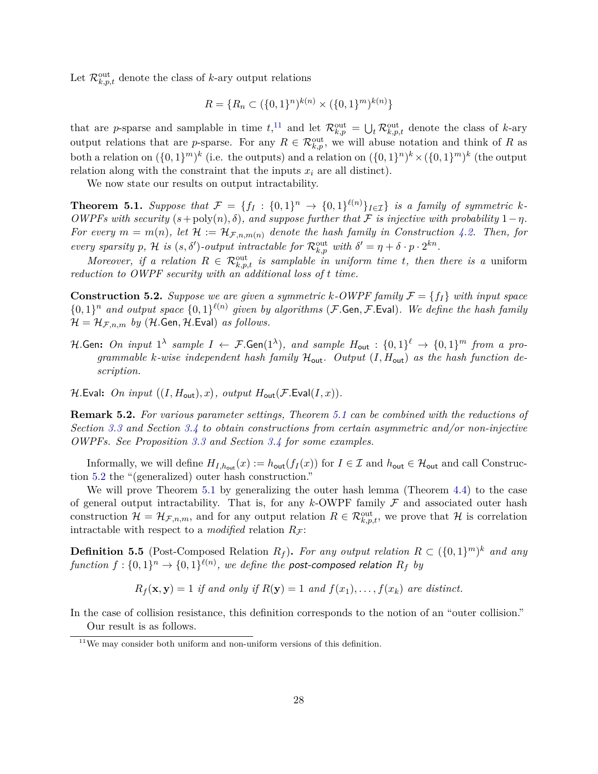Let  $\mathcal{R}_{k,p,t}^{\text{out}}$  denote the class of *k*-ary output relations

$$
R = \{ R_n \subset (\{0, 1\}^n)^{k(n)} \times (\{0, 1\}^m)^{k(n)} \}
$$

that are *p*-sparse and samplable in time  $t$ <sup>[11](#page-29-1)</sup>, and let  $\mathcal{R}_{k,p}^{\text{out}} = \bigcup_{t} \mathcal{R}_{k,p,t}^{\text{out}}$  denote the class of *k*-ary output relations that are *p*-sparse. For any  $R \in \mathcal{R}_{k,p}^{\text{out}}$ , we will abuse notation and think of R as both a relation on  $({0, 1})^m$ <sup>k</sup> (i.e. the outputs) and a relation on  $({0, 1})^n$ <sup>k</sup>  $\times ({0, 1})^m$ <sup>k</sup> (the output relation along with the constraint that the inputs  $x_i$  are all distinct).

We now state our results on output intractability.

<span id="page-29-0"></span>**Theorem 5.1.** Suppose that  $\mathcal{F} = \{f_I : \{0,1\}^n \to \{0,1\}^{\ell(n)}\}_{I \in \mathcal{I}}\}$  is a family of symmetric k-*OWPFs with security*  $(s + \text{poly}(n), \delta)$ *, and suppose further that* F *is injective with probability*  $1 - \eta$ *. For every*  $m = m(n)$ *, let*  $\mathcal{H} := \mathcal{H}_{\mathcal{F},n,m(n)}$  *denote the hash family in Construction [4.2.](#page-24-3) Then, for every sparsity p*, H is  $(s, \delta')$ -output intractable for  $\mathcal{R}_{k,p}^{\text{out}}$  with  $\delta' = \eta + \delta \cdot p \cdot 2^{kn}$ .

*Moreover, if a relation*  $R \in \mathcal{R}_{k,p,t}^{\text{out}}$  *is samplable in uniform time t, then there is a* uniform *reduction to OWPF security with an additional loss of t time.*

<span id="page-29-2"></span>**Construction 5.2.** *Suppose we are given a symmetric*  $k$ -*OWPF family*  $\mathcal{F} = \{f_I\}$  *with input space*  $\{0,1\}^n$  and output space  $\{0,1\}^{\ell(n)}$  given by algorithms (F.Gen, F.Eval). We define the hash family  $\mathcal{H} = \mathcal{H}_{\mathcal{F},n,m}$  *by* (H.Gen, H.Eval) *as follows.* 

*H*.Gen: *On input*  $1^{\lambda}$  sample  $I \leftarrow \mathcal{F}$ .Gen $(1^{\lambda})$ , and sample  $H_{\sf out} : \{0,1\}^{\ell} \rightarrow \{0,1\}^m$  from a pro*grammable k*-wise independent hash family  $H_{\text{out}}$ . Output  $(I, H_{\text{out}})$  *as the hash function description.*

 $\mathcal{H}$ .Eval: On input  $((I, H_{\text{out}}), x)$ , output  $H_{\text{out}}(\mathcal{F}.\text{Eval}(I, x))$ .

**Remark 5.2.** *For various parameter settings, Theorem [5.1](#page-29-0) can be combined with the reductions of Section [3.3](#page-17-1) and Section [3.4](#page-21-0) to obtain constructions from certain asymmetric and/or non-injective OWPFs. See Proposition [3.3](#page-18-1) and Section [3.4](#page-21-0) for some examples.*

Informally, we will define  $H_{I,h_{\text{out}}}(x) := h_{\text{out}}(f_I(x))$  for  $I \in \mathcal{I}$  and  $h_{\text{out}} \in \mathcal{H}_{\text{out}}$  and call Construction [5.2](#page-29-2) the "(generalized) outer hash construction."

We will prove Theorem [5.1](#page-29-0) by generalizing the outer hash lemma (Theorem [4.4\)](#page-25-1) to the case of general output intractability. That is, for any  $k$ -OWPF family  $\mathcal F$  and associated outer hash construction  $\mathcal{H} = \mathcal{H}_{\mathcal{F},n,m}$ , and for any output relation  $R \in \mathcal{R}_{k,p,t}^{\text{out}}$ , we prove that  $\mathcal{H}$  is correlation intractable with respect to a *modified* relation  $R_F$ :

**Definition 5.5** (Post-Composed Relation  $R_f$ ). For any output relation  $R \subset (\{0,1\}^m)^k$  and any  $function \ f: \{0,1\}^n \rightarrow \{0,1\}^{\ell(n)}, \ we \ define \ the \ post-composed \ relation \ R_f \ by$ 

 $R_f(\mathbf{x}, \mathbf{y}) = 1$  *if and only if*  $R(\mathbf{y}) = 1$  *and*  $f(x_1), \ldots, f(x_k)$  *are distinct.* 

In the case of collision resistance, this definition corresponds to the notion of an "outer collision." Our result is as follows.

<span id="page-29-3"></span><span id="page-29-1"></span> $11$ We may consider both uniform and non-uniform versions of this definition.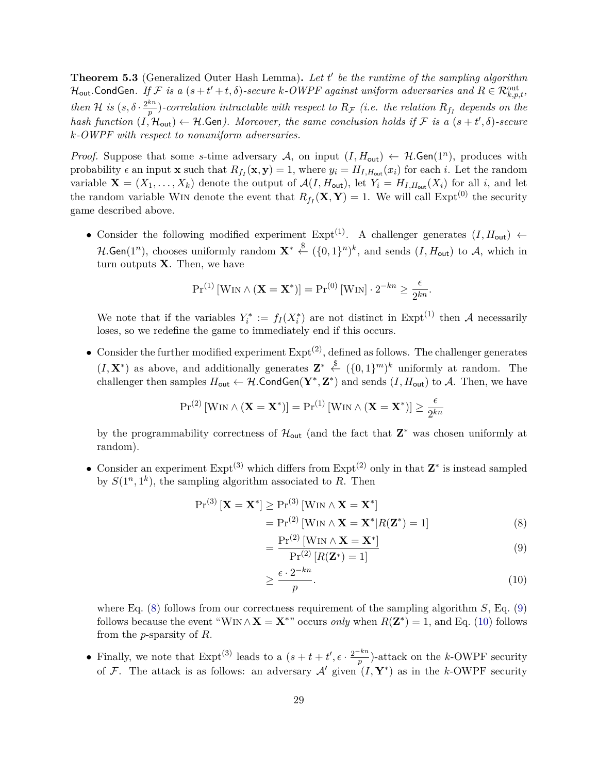**Theorem 5.3** (Generalized Outer Hash Lemma)**.** *Let t* 0 *be the runtime of the sampling algorithm*  $\mathcal{H}_{\sf out}$ .CondGen. If  $\mathcal{F}$  is a  $(s+t'+t,\delta)$ -secure  $k$ -OWPF against uniform adversaries and  $R \in \mathcal{R}_{k,p,t}^{\rm out}$ , *then* H *is*  $(s, \delta \cdot \frac{2^{kn}}{n})$  $\frac{dn}{p}$ )-correlation intractable with respect to  $R_F$  *(i.e. the relation*  $R_{f_I}$  depends on the *hash function*  $(I, H_{out}) \leftarrow H$ .Gen). Moreover, the same conclusion holds if F is a  $(s + t', \delta)$ -secure *k-OWPF with respect to nonuniform adversaries.*

*Proof.* Suppose that some *s*-time adversary A, on input  $(I, H_{out}) \leftarrow H$ . Gen(1<sup>n</sup>), produces with probability  $\epsilon$  an input **x** such that  $R_{f_I}(\mathbf{x}, \mathbf{y}) = 1$ , where  $y_i = H_{I, H_{out}}(x_i)$  for each *i*. Let the random variable  $\mathbf{X} = (X_1, \ldots, X_k)$  denote the output of  $\mathcal{A}(I, H_{\text{out}})$ , let  $Y_i = H_{I, H_{\text{out}}}(X_i)$  for all *i*, and let the random variable W<sub>IN</sub> denote the event that  $R_{f_I}(\mathbf{X}, \mathbf{Y}) = 1$ . We will call  $\text{Expt}^{(0)}$  the security game described above.

• Consider the following modified experiment  $Expt^{(1)}$ . A challenger generates  $(I, H_{out}) \leftarrow$  $\mathcal{H}.\mathsf{Gen}(1^n)$ , chooses uniformly random  $\mathbf{X}^* \xleftarrow{\$} (\{0,1\}^n)^k$ , and sends  $(I,H_\mathsf{out})$  to  $\mathcal{A}$ , which in turn outputs **X**. Then, we have

$$
Pr^{(1)}\left[\text{Win} \wedge (\mathbf{X} = \mathbf{X}^*)\right] = Pr^{(0)}\left[\text{Win}\right] \cdot 2^{-kn} \ge \frac{\epsilon}{2^{kn}}.
$$

We note that if the variables  $Y_i^* := f_I(X_i^*)$  are not distinct in Expt<sup>(1)</sup> then A necessarily loses, so we redefine the game to immediately end if this occurs.

• Consider the further modified experiment  $\text{Expt}^{(2)}$ , defined as follows. The challenger generates  $(I, \mathbf{X}^*)$  as above, and additionally generates  $\mathbf{Z}^* \stackrel{\$}{\leftarrow} (\{0,1\}^m)^k$  uniformly at random. The challenger then samples  $H_{\text{out}} \leftarrow H$ . Cond Gen( $\mathbf{Y}^*, \mathbf{Z}^*$ ) and sends  $(I, H_{\text{out}})$  to A. Then, we have

$$
\Pr^{(2)}\left[\operatorname{Win} \wedge \left(\mathbf{X} = \mathbf{X}^*\right)\right] = \Pr^{(1)}\left[\operatorname{Win} \wedge \left(\mathbf{X} = \mathbf{X}^*\right)\right] \geq \frac{\epsilon}{2^{kn}}
$$

by the programmability correctness of  $\mathcal{H}_{\text{out}}$  (and the fact that  $\mathbf{Z}^*$  was chosen uniformly at random).

• Consider an experiment Expt<sup>(3)</sup> which differs from Expt<sup>(2)</sup> only in that **Z**<sup>\*</sup> is instead sampled by  $S(1^n, 1^k)$ , the sampling algorithm associated to R. Then

$$
Pr(3) [\mathbf{X} = \mathbf{X}^*] \ge Pr(3) [WIN \wedge \mathbf{X} = \mathbf{X}^*]
$$
  
= Pr<sup>(2)</sup> [WIN \wedge \mathbf{X} = \mathbf{X}^\* | R(\mathbf{Z}^\*) = 1] (8)

<span id="page-30-1"></span><span id="page-30-0"></span>
$$
= \frac{\Pr^{(2)}\left[\text{WIN} \wedge \mathbf{X} = \mathbf{X}^*\right]}{\Pr^{(2)}\left[R(\mathbf{Z}^*) = 1\right]}
$$
(9)

<span id="page-30-2"></span>
$$
\geq \frac{\epsilon \cdot 2^{-kn}}{p}.\tag{10}
$$

where Eq. [\(8\)](#page-30-0) follows from our correctness requirement of the sampling algorithm *S*, Eq. [\(9\)](#page-30-1) follows because the event "W<sub>IN</sub>  $\wedge$ **X** = **X**<sup>\*</sup>" occurs *only* when  $R(\mathbf{Z}^*) = 1$ , and Eq. [\(10\)](#page-30-2) follows from the *p*-sparsity of *R*.

• Finally, we note that  $\text{Expt}^{(3)}$  leads to a  $(s + t + t', \epsilon \cdot \frac{2^{-kn}}{n})$  $\frac{n}{p}$ )-attack on the *k*-OWPF security of F. The attack is as follows: an adversary  $\mathcal{A}'$  given  $(I, \mathbf{Y}^*)$  as in the *k*-OWPF security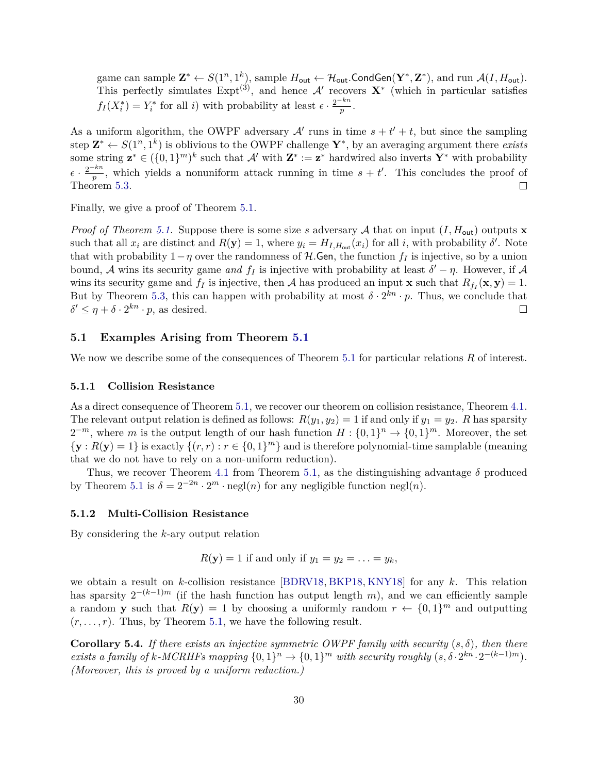game can sample  $\mathbf{Z}^* \leftarrow S(1^n, 1^k)$ , sample  $H_{\text{out}} \leftarrow H_{\text{out}}$ . CondGen $(\mathbf{Y}^*, \mathbf{Z}^*)$ , and run  $\mathcal{A}(I, H_{\text{out}})$ . This perfectly simulates  $Expt^{(3)}$ , and hence A' recovers  $X^*$  (which in particular satisfies  $f_I(X_i^*) = Y_i^*$  for all *i*) with probability at least  $\epsilon \cdot \frac{2^{-kn}}{p}$  $\frac{\overline{p}}{p}$ .

As a uniform algorithm, the OWPF adversary  $\mathcal{A}'$  runs in time  $s + t' + t$ , but since the sampling step  $\mathbf{Z}^* \leftarrow S(1^n, 1^k)$  is oblivious to the OWPF challenge  $\mathbf{Y}^*$ , by an averaging argument there *exists* some string  $z^* \in (\{0,1\}^m)^k$  such that  $\mathcal{A}'$  with  $\mathbf{Z}^* := \mathbf{z}^*$  hardwired also inverts  $\mathbf{Y}^*$  with probability  $\epsilon \cdot \frac{2^{-kn}}{n}$  $\frac{f^{kn}}{p}$ , which yields a nonuniform attack running in time  $s + t'$ . This concludes the proof of Theorem [5.3.](#page-29-3)  $\Box$ 

Finally, we give a proof of Theorem [5.1.](#page-29-0)

*Proof of Theorem [5.1.](#page-29-0)* Suppose there is some size *s* adversary A that on input  $(I, H_{out})$  outputs **x** such that all  $x_i$  are distinct and  $R(\mathbf{y}) = 1$ , where  $y_i = H_{I, H_{out}}(x_i)$  for all *i*, with probability  $\delta'$ . Note that with probability  $1-\eta$  over the randomness of  $H$ . Gen, the function  $f_I$  is injective, so by a union bound, A wins its security game *and*  $f_I$  is injective with probability at least  $\delta' - \eta$ . However, if A wins its security game and  $f_I$  is injective, then A has produced an input **x** such that  $R_{f_I}(\mathbf{x}, \mathbf{y}) = 1$ . But by Theorem [5.3,](#page-29-3) this can happen with probability at most  $\delta \cdot 2^{kn} \cdot p$ . Thus, we conclude that  $\delta' \leq \eta + \delta \cdot 2^{kn} \cdot p$ , as desired. □

#### <span id="page-31-0"></span>**5.1 Examples Arising from Theorem [5.1](#page-29-0)**

We now we describe some of the consequences of Theorem [5.1](#page-29-0) for particular relations R of interest.

#### **5.1.1 Collision Resistance**

As a direct consequence of Theorem [5.1,](#page-29-0) we recover our theorem on collision resistance, Theorem [4.1.](#page-24-4) The relevant output relation is defined as follows:  $R(y_1, y_2) = 1$  if and only if  $y_1 = y_2$ . *R* has sparsity  $2^{-m}$ , where *m* is the output length of our hash function  $H: \{0,1\}^n \to \{0,1\}^m$ . Moreover, the set  ${\bf y}: R({\bf y}) = 1$  is exactly  $\{(r, r): r \in \{0, 1\}^m\}$  and is therefore polynomial-time samplable (meaning that we do not have to rely on a non-uniform reduction).

Thus, we recover Theorem [4.1](#page-24-4) from Theorem [5.1,](#page-29-0) as the distinguishing advantage  $\delta$  produced by Theorem [5.1](#page-29-0) is  $\delta = 2^{-2n} \cdot 2^m \cdot \text{negl}(n)$  for any negligible function negl(*n*).

#### **5.1.2 Multi-Collision Resistance**

By considering the *k*-ary output relation

 $R(\mathbf{y}) = 1$  if and only if  $y_1 = y_2 = \ldots = y_k$ ,

we obtain a result on *k*-collision resistance [\[BDRV18,](#page-43-4) [BKP18,](#page-43-5) [KNY18\]](#page-45-8) for any *k*. This relation has sparsity  $2^{-(k-1)m}$  (if the hash function has output length *m*), and we can efficiently sample a random **y** such that  $R(\mathbf{y}) = 1$  by choosing a uniformly random  $r \leftarrow \{0, 1\}^m$  and outputting  $(r, \ldots, r)$ . Thus, by Theorem [5.1,](#page-29-0) we have the following result.

**Corollary 5.4.** *If there exists an injective symmetric OWPF family with security*  $(s, \delta)$ *, then there exists a family of k*-*MCRHFs mapping*  $\{0,1\}^n \to \{0,1\}^m$  *with security roughly*  $(s, \delta \cdot 2^{kn} \cdot 2^{-(k-1)m})$ *. (Moreover, this is proved by a uniform reduction.)*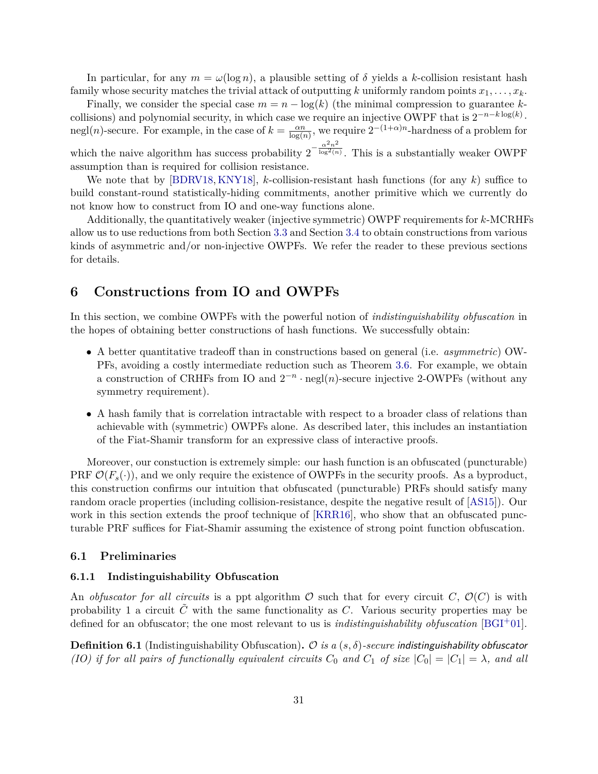In particular, for any  $m = \omega(\log n)$ , a plausible setting of  $\delta$  yields a k-collision resistant hash family whose security matches the trivial attack of outputting *k* uniformly random points  $x_1, \ldots, x_k$ .

Finally, we consider the special case  $m = n - \log(k)$  (the minimal compression to guarantee *k*collisions) and polynomial security, in which case we require an injective OWPF that is  $2^{-n-k\log(k)}$ . negl(*n*)-secure. For example, in the case of  $k = \frac{\alpha n}{\log(r)}$  $\frac{\alpha n}{\log(n)}$ , we require  $2^{-(1+\alpha)n}$ -hardness of a problem for which the naive algorithm has success probability  $2^{-\frac{\alpha^2 n^2}{\log^2(n)}}$ 

 $\sqrt{\log^2(n)}$ . This is a substantially weaker OWPF assumption than is required for collision resistance.

We note that by [\[BDRV18,](#page-43-4) [KNY18\]](#page-45-8), *k*-collision-resistant hash functions (for any *k*) suffice to build constant-round statistically-hiding commitments, another primitive which we currently do not know how to construct from IO and one-way functions alone.

Additionally, the quantitatively weaker (injective symmetric) OWPF requirements for *k*-MCRHFs allow us to use reductions from both Section [3.3](#page-17-1) and Section [3.4](#page-21-0) to obtain constructions from various kinds of asymmetric and/or non-injective OWPFs. We refer the reader to these previous sections for details.

# <span id="page-32-0"></span>**6 Constructions from IO and OWPFs**

In this section, we combine OWPFs with the powerful notion of *indistinguishability obfuscation* in the hopes of obtaining better constructions of hash functions. We successfully obtain:

- A better quantitative tradeoff than in constructions based on general (i.e. *asymmetric*) OW-PFs, avoiding a costly intermediate reduction such as Theorem [3.6.](#page-21-2) For example, we obtain a construction of CRHFs from IO and  $2^{-n} \cdot \text{negl}(n)$ -secure injective 2-OWPFs (without any symmetry requirement).
- A hash family that is correlation intractable with respect to a broader class of relations than achievable with (symmetric) OWPFs alone. As described later, this includes an instantiation of the Fiat-Shamir transform for an expressive class of interactive proofs.

Moreover, our constuction is extremely simple: our hash function is an obfuscated (puncturable) PRF  $\mathcal{O}(F_s(\cdot))$ , and we only require the existence of OWPFs in the security proofs. As a byproduct, this construction confirms our intuition that obfuscated (puncturable) PRFs should satisfy many random oracle properties (including collision-resistance, despite the negative result of [\[AS15\]](#page-43-2)). Our work in this section extends the proof technique of [\[KRR16\]](#page-45-7), who show that an obfuscated puncturable PRF suffices for Fiat-Shamir assuming the existence of strong point function obfuscation.

#### <span id="page-32-1"></span>**6.1 Preliminaries**

#### **6.1.1 Indistinguishability Obfuscation**

An *obfuscator for all circuits* is a ppt algorithm  $\mathcal O$  such that for every circuit *C*,  $\mathcal O(C)$  is with probability 1 a circuit  $\tilde{C}$  with the same functionality as  $C$ . Various security properties may be defined for an obfuscator; the one most relevant to us is *indistinguishability obfuscation* [\[BGI](#page-43-3)+01].

**Definition 6.1** (Indistinguishability Obfuscation)**.** O *is a* (*s, δ*)*-secure* indistinguishability obfuscator *(IO) if for all pairs of functionally equivalent circuits*  $C_0$  *and*  $C_1$  *of size*  $|C_0| = |C_1| = \lambda$ *, and all*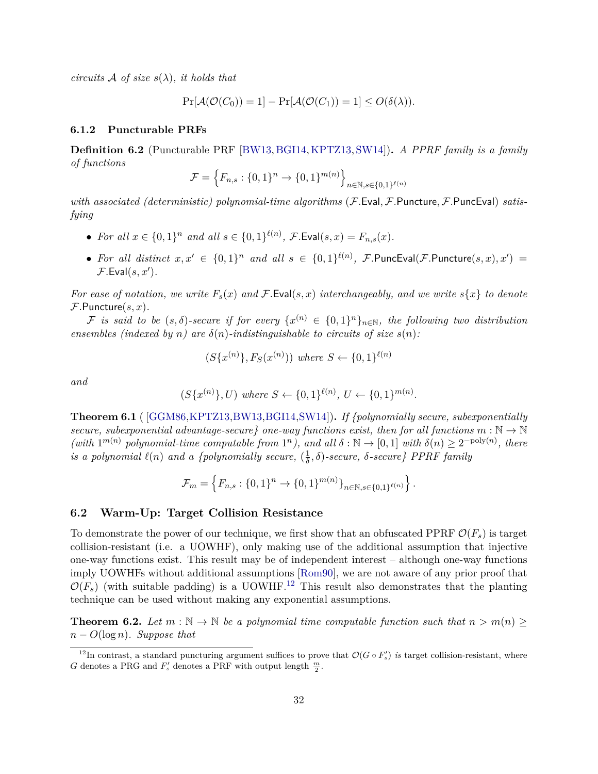*circuits* A *of size*  $s(\lambda)$ *, it holds that* 

$$
Pr[\mathcal{A}(\mathcal{O}(C_0)) = 1] - Pr[\mathcal{A}(\mathcal{O}(C_1)) = 1] \le O(\delta(\lambda)).
$$

#### **6.1.2 Puncturable PRFs**

**Definition 6.2** (Puncturable PRF [\[BW13,](#page-43-9) [BGI14,](#page-43-10)[KPTZ13,](#page-45-14) [SW14\]](#page-46-8))**.** *A PPRF family is a family of functions*

$$
\mathcal{F} = \left\{ F_{n,s} : \{0,1\}^n \to \{0,1\}^{m(n)} \right\}_{n \in \mathbb{N}, s \in \{0,1\}^{\ell(n)}}
$$

*with associated (deterministic) polynomial-time algorithms* (F*.*Eval*,* F*.*Puncture*,* F*.*PuncEval) *satisfying*

- *For all*  $x \in \{0,1\}^n$  *and all*  $s \in \{0,1\}^{\ell(n)}$ , *F*. Eval $(s, x) = F_{n,s}(x)$ .
- *For all distinct*  $x, x' \in \{0, 1\}^n$  *and all*  $s \in \{0, 1\}^{\ell(n)}$ , *F*. PuncEval(*F*. Puncture(*s, x*), *x*') =  $\mathcal{F}$ *.* Eval $(s, x')$ *.*

*For ease of notation, we write*  $F_s(x)$  *and*  $\mathcal{F}$ . Eval(*s, x*) *interchangeably, and we write*  $s\{x\}$  *to denote* F*.*Puncture(*s, x*)*.*

 $\mathcal{F}$  is said to be  $(s, \delta)$ -secure if for every  $\{x^{(n)} \in \{0,1\}^n\}_{n \in \mathbb{N}}$ , the following two distribution *ensembles (indexed by n) are*  $\delta(n)$ *-indistinguishable to circuits of size*  $s(n)$ *:* 

$$
(S\{x^{(n)}\}, F_S(x^{(n)})) \text{ where } S \leftarrow \{0,1\}^{\ell(n)}
$$

*and*

$$
(S\{x^{(n)}\}, U) where S \leftarrow \{0, 1\}^{\ell(n)}, U \leftarrow \{0, 1\}^{m(n)}.
$$

**Theorem 6.1** ( [\[GGM86,](#page-44-2)[KPTZ13,](#page-45-14)[BW13,](#page-43-9)[BGI14,](#page-43-10)[SW14\]](#page-46-8))**.** *If {polynomially secure, subexponentially secure, subexponential advantage-secure}* one-way functions exist, then for all functions  $m : \mathbb{N} \to \mathbb{N}$  $(with 1^{m(n)}$  *polynomial-time computable from*  $1^n$ *), and all*  $\delta : \mathbb{N} \to [0,1]$  *with*  $\delta(n) \geq 2^{-poly(n)}$ , *there is a polynomial*  $\ell(n)$  *and a {polynomially secure,*  $(\frac{1}{\delta})$ *δ , δ*)*-secure, δ-secure} PPRF family*

$$
\mathcal{F}_m = \left\{ F_{n,s} : \{0,1\}^n \to \{0,1\}^{m(n)} \}_{n \in \mathbb{N}, s \in \{0,1\}^{\ell(n)}} \right\}.
$$

### <span id="page-33-0"></span>**6.2 Warm-Up: Target Collision Resistance**

To demonstrate the power of our technique, we first show that an obfuscated PPRF  $\mathcal{O}(F_s)$  is target collision-resistant (i.e. a UOWHF), only making use of the additional assumption that injective one-way functions exist. This result may be of independent interest – although one-way functions imply UOWHFs without additional assumptions [\[Rom90\]](#page-45-3), we are not aware of any prior proof that  $\mathcal{O}(F_s)$  (with suitable padding) is a UOWHF.<sup>[12](#page-33-1)</sup> This result also demonstrates that the planting technique can be used without making any exponential assumptions.

**Theorem 6.2.** Let  $m : \mathbb{N} \to \mathbb{N}$  be a polynomial time computable function such that  $n > m(n) \geq$ *n* − *O*(log *n*)*. Suppose that*

<span id="page-33-1"></span><sup>&</sup>lt;sup>12</sup>In contrast, a standard puncturing argument suffices to prove that  $\mathcal{O}(G \circ F_s')$  *is* target collision-resistant, where *G* denotes a PRG and  $F'_s$  denotes a PRF with output length  $\frac{m}{2}$ .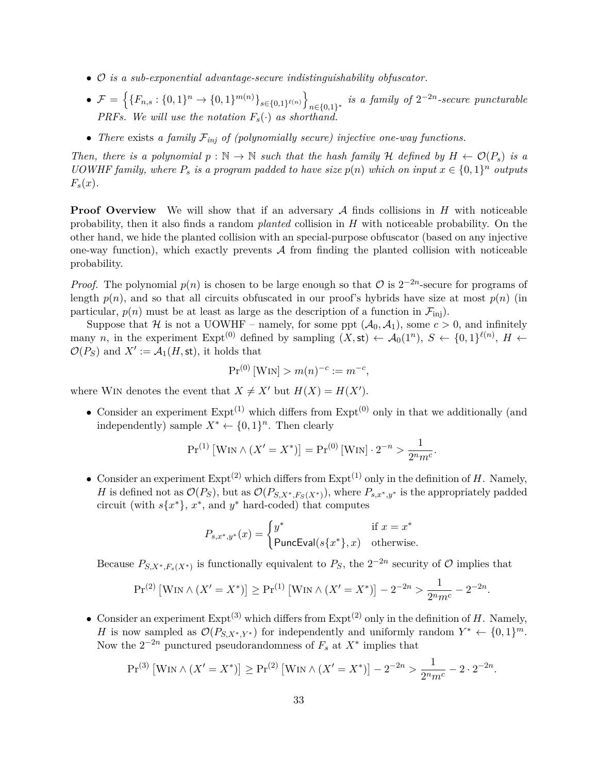- O *is a sub-exponential advantage-secure indistinguishability obfuscator.*
- $\bullet$   $\mathcal{F} = \left\{ \{F_{n,s} : \{0,1\}^n \to \{0,1\}^{m(n)} \}_{s \in \{0,1\}^{\ell(n)}} \right\}$  $n \in \{0,1\}^*$  *is a family of*  $2^{-2n}$ -secure puncturable *PRFs.* We will use the notation  $F_s(\cdot)$  as shorthand.
- *There* exists *a family* F*inj of (polynomially secure) injective one-way functions.*

*Then, there is a polynomial*  $p : \mathbb{N} \to \mathbb{N}$  *such that the hash family* H *defined by*  $H \leftarrow \mathcal{O}(P_s)$  *is a UOWHF family, where*  $P_s$  *is a program padded to have size*  $p(n)$  *which on input*  $x \in \{0,1\}^n$  *outputs*  $F_s(x)$ .

**Proof Overview** We will show that if an adversary A finds collisions in H with noticeable probability, then it also finds a random *planted* collision in *H* with noticeable probability. On the other hand, we hide the planted collision with an special-purpose obfuscator (based on any injective one-way function), which exactly prevents  $A$  from finding the planted collision with noticeable probability.

*Proof.* The polynomial  $p(n)$  is chosen to be large enough so that  $\mathcal O$  is  $2^{-2n}$ -secure for programs of length  $p(n)$ , and so that all circuits obfuscated in our proof's hybrids have size at most  $p(n)$  (in particular,  $p(n)$  must be at least as large as the description of a function in  $\mathcal{F}_{\text{inj}}$ ).

Suppose that H is not a UOWHF – namely, for some ppt  $(A_0, A_1)$ , some  $c > 0$ , and infinitely many *n*, in the experiment Expt<sup>(0)</sup> defined by sampling  $(X, st) \leftarrow A_0(1^n)$ ,  $S \leftarrow \{0, 1\}^{\ell(n)}$ ,  $H \leftarrow$  $\mathcal{O}(P_S)$  and  $X' := \mathcal{A}_1(H, \text{st})$ , it holds that

$$
Pr^{(0)}[WIN] > m(n)^{-c} := m^{-c},
$$

where WIN denotes the event that  $X \neq X'$  but  $H(X) = H(X')$ .

• Consider an experiment  $\text{Expt}^{(1)}$  which differs from  $\text{Expt}^{(0)}$  only in that we additionally (and independently) sample  $X^* \leftarrow \{0,1\}^n$ . Then clearly

$$
Pr^{(1)} [WIN \wedge (X' = X^*)] = Pr^{(0)} [WIN] \cdot 2^{-n} > \frac{1}{2^n m^c}.
$$

• Consider an experiment  $\text{Expt}^{(2)}$  which differs from  $\text{Expt}^{(1)}$  only in the definition of *H*. Namely, *H* is defined not as  $\mathcal{O}(P_S)$ , but as  $\mathcal{O}(P_{S,X^*,F_S(X^*)})$ , where  $P_{s,x^*,y^*}$  is the appropriately padded circuit (with  $s\{x^*\}$ ,  $x^*$ , and  $y^*$  hard-coded) that computes

$$
P_{s,x^*,y^*}(x) = \begin{cases} y^* & \text{if } x = x^* \\ \mathsf{PuncEval}(s\{x^*\}, x) & \text{otherwise.} \end{cases}
$$

Because  $P_{S,X^*,F_s(X^*)}$  is functionally equivalent to  $P_S$ , the  $2^{-2n}$  security of  $\mathcal O$  implies that

$$
Pr^{(2)}\left[WIN \wedge (X' = X^*)\right] \ge Pr^{(1)}\left[WIN \wedge (X' = X^*)\right] - 2^{-2n} > \frac{1}{2^n m^c} - 2^{-2n}
$$

*.*

• Consider an experiment  $\text{Expt}^{(3)}$  which differs from  $\text{Expt}^{(2)}$  only in the definition of *H*. Namely, *H* is now sampled as  $\mathcal{O}(P_{S,X^*,Y^*})$  for independently and uniformly random  $Y^* \leftarrow \{0,1\}^m$ . Now the  $2^{-2n}$  punctured pseudorandomness of  $F_s$  at  $X^*$  implies that

$$
Pr^{(3)}\left[WIN \wedge (X' = X^*)\right] \ge Pr^{(2)}\left[WIN \wedge (X' = X^*)\right] - 2^{-2n} > \frac{1}{2^n m^c} - 2 \cdot 2^{-2n}.
$$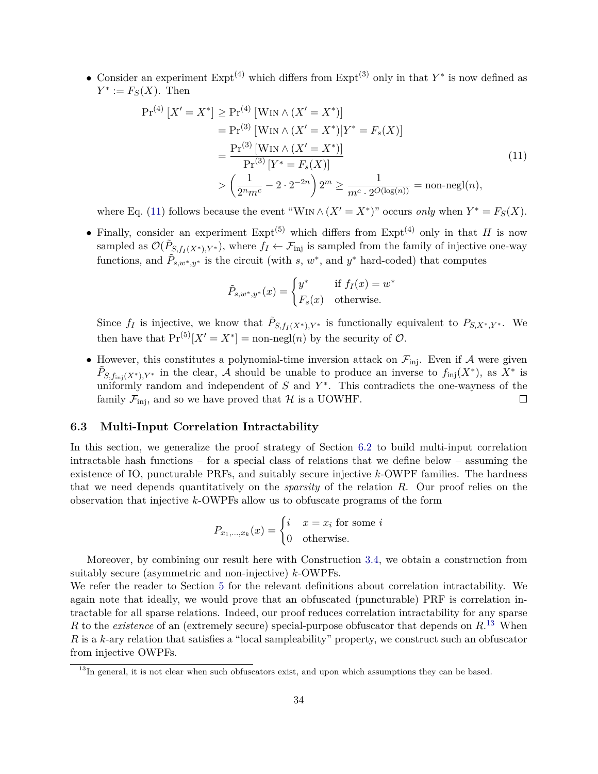• Consider an experiment Expt(4) which differs from Expt(3) only in that *Y* ∗ is now defined as  $Y^* := F_S(X)$ . Then

$$
\Pr^{(4)}\left[X'=X^*\right] \ge \Pr^{(4)}\left[\text{Win} \land (X'=X^*)\right] \\
= \Pr^{(3)}\left[\text{Win} \land (X'=X^*)\middle|Y^*=F_s(X)\right] \\
= \frac{\Pr^{(3)}\left[\text{Win} \land (X'=X^*)\right]}{\Pr^{(3)}\left[Y^*=F_s(X)\right]} \\
> \left(\frac{1}{2^n m^c} - 2 \cdot 2^{-2n}\right)2^m \ge \frac{1}{m^c \cdot 2^{O(\log(n))}} = \text{non-negl}(n),\n\tag{11}
$$

where Eq. [\(11\)](#page-35-1) follows because the event "W<sub>IN</sub>  $\wedge$   $(X' = X^*)$ " occurs *only* when  $Y^* = F_S(X)$ .

• Finally, consider an experiment  $\text{Expt}^{(5)}$  which differs from  $\text{Expt}^{(4)}$  only in that *H* is now sampled as  $\mathcal{O}(\tilde{P}_{S, f_I(X^*), Y^*})$ , where  $f_I \leftarrow \mathcal{F}_{\text{inj}}$  is sampled from the family of injective one-way functions, and  $\tilde{P}_{s,w^*,y^*}$  is the circuit (with *s*,  $w^*$ , and  $y^*$  hard-coded) that computes

<span id="page-35-1"></span>
$$
\tilde{P}_{s,w^*,y^*}(x) = \begin{cases} y^* & \text{if } f_I(x) = w^* \\ F_s(x) & \text{otherwise.} \end{cases}
$$

Since  $f_I$  is injective, we know that  $\tilde{P}_{S, f_I(X^*)}, Y^*$  is functionally equivalent to  $P_{S, X^*, Y^*}$ . We then have that  $Pr^{(5)}[X' = X^*] = \text{non-negl}(n)$  by the security of  $\mathcal{O}$ .

• However, this constitutes a polynomial-time inversion attack on  $\mathcal{F}_{\text{ini}}$ . Even if A were given  $\tilde{P}_{S,f_{\text{inj}}(X^*)}$ ,  $Y^*$  in the clear, A should be unable to produce an inverse to  $f_{\text{inj}}(X^*)$ , as  $X^*$  is uniformly random and independent of  $S$  and  $Y^*$ . This contradicts the one-wayness of the family  $\mathcal{F}_{\text{ini}}$ , and so we have proved that H is a UOWHF.  $\Box$ 

### <span id="page-35-0"></span>**6.3 Multi-Input Correlation Intractability**

In this section, we generalize the proof strategy of Section [6.2](#page-33-0) to build multi-input correlation intractable hash functions – for a special class of relations that we define below – assuming the existence of IO, puncturable PRFs, and suitably secure injective *k*-OWPF families. The hardness that we need depends quantitatively on the *sparsity* of the relation *R*. Our proof relies on the observation that injective *k*-OWPFs allow us to obfuscate programs of the form

$$
P_{x_1,\dots,x_k}(x) = \begin{cases} i & x = x_i \text{ for some } i \\ 0 & \text{otherwise.} \end{cases}
$$

Moreover, by combining our result here with Construction [3.4,](#page-20-1) we obtain a construction from suitably secure (asymmetric and non-injective) *k*-OWPFs.

We refer the reader to Section [5](#page-27-1) for the relevant definitions about correlation intractability. We again note that ideally, we would prove that an obfuscated (puncturable) PRF is correlation intractable for all sparse relations. Indeed, our proof reduces correlation intractability for any sparse *R* to the *existence* of an (extremely secure) special-purpose obfuscator that depends on *R*. [13](#page-35-2) When *R* is a *k*-ary relation that satisfies a "local sampleability" property, we construct such an obfuscator from injective OWPFs.

<span id="page-35-2"></span><sup>&</sup>lt;sup>13</sup>In general, it is not clear when such obfuscators exist, and upon which assumptions they can be based.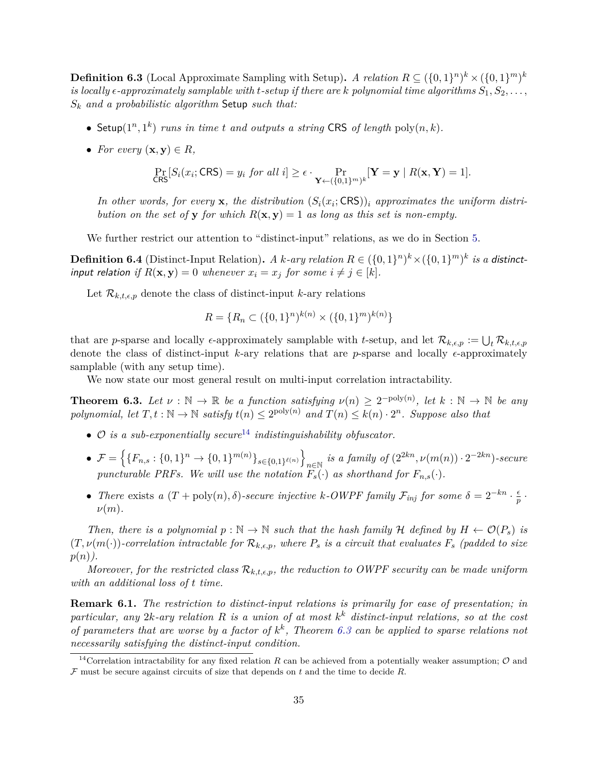**Definition 6.3** (Local Approximate Sampling with Setup). *A relation*  $R \subseteq (\{0,1\}^n)^k \times (\{0,1\}^m)^k$ *is locally*  $\epsilon$ -approximately samplable with *t*-setup if there are *k* polynomial time algorithms  $S_1, S_2, \ldots$ , *S<sup>k</sup> and a probabilistic algorithm* Setup *such that:*

- Setup( $1^n, 1^k$ ) *runs in time t and outputs a string* CRS *of length* poly $(n, k)$ *.*
- *For every*  $(\mathbf{x}, \mathbf{y}) \in R$ *,*

$$
\Pr_{\mathsf{CRS}}[S_i(x_i; \mathsf{CRS}) = y_i \text{ for all } i] \ge \epsilon \cdot \Pr_{\mathbf{Y} \leftarrow (\{0,1\}^m)^k}[\mathbf{Y} = \mathbf{y} \mid R(\mathbf{x}, \mathbf{Y}) = 1].
$$

In other words, for every  $\mathbf{x}$ , the distribution  $(S_i(x_i; \text{CRS}))$  *approximates the uniform distribution on the set of* **y** *for which*  $R(x, y) = 1$  *as long as this set is non-empty.* 

We further restrict our attention to "distinct-input" relations, as we do in Section [5.](#page-27-1)

**Definition 6.4** (Distinct-Input Relation). *A k-ary relation*  $R \in (\{0,1\}^n)^k \times (\{0,1\}^m)^k$  *is a distinct*input relation if  $R(\mathbf{x}, \mathbf{y}) = 0$  whenever  $x_i = x_j$  for some  $i \neq j \in [k]$ .

Let  $\mathcal{R}_{k,t,\epsilon,p}$  denote the class of distinct-input *k*-ary relations

$$
R = \{ R_n \subset (\{0,1\}^n)^{k(n)} \times (\{0,1\}^m)^{k(n)} \}
$$

that are *p*-sparse and locally  $\epsilon$ -approximately samplable with *t*-setup, and let  $\mathcal{R}_{k,\epsilon,p} := \bigcup_t \mathcal{R}_{k,t,\epsilon,p}$ denote the class of distinct-input  $k$ -ary relations that are *p*-sparse and locally  $\epsilon$ -approximately samplable (with any setup time).

We now state our most general result on multi-input correlation intractability.

<span id="page-36-0"></span>**Theorem 6.3.** Let  $\nu : \mathbb{N} \to \mathbb{R}$  be a function satisfying  $\nu(n) \geq 2^{-\text{poly}(n)}$ , let  $k : \mathbb{N} \to \mathbb{N}$  be any  $polynomial, let T, t : \mathbb{N} \to \mathbb{N} \text{ satisfy } t(n) \leq 2^{\text{poly}(n)} \text{ and } T(n) \leq k(n) \cdot 2^n.$  Suppose also that

- O *is a sub-exponentially secure*[14](#page-36-1) *indistinguishability obfuscator.*
- $\bullet$   $\mathcal{F} = \left\{ \{F_{n,s} : \{0,1\}^n \to \{0,1\}^{m(n)} \}_{s \in \{0,1\}^{\ell(n)}} \right\}$  $\sum_{n \in \mathbb{N}}$  *is a family of*  $(2^{2kn}, \nu(m(n)) \cdot 2^{-2kn})$ -secure *puncturable PRFs. We will use the notation*  $F_s(\cdot)$  *as shorthand for*  $F_{n,s}(\cdot)$ *.*
- *There* exists *a*  $(T + \text{poly}(n), \delta)$ -secure injective *k*-OWPF family  $\mathcal{F}_{inj}$  for some  $\delta = 2^{-kn} \cdot \frac{\epsilon}{n}$  $\frac{\epsilon}{p}$  . *ν*(*m*)*.*

*Then, there is a polynomial*  $p : \mathbb{N} \to \mathbb{N}$  *such that the hash family*  $\mathcal{H}$  *defined by*  $H \leftarrow \mathcal{O}(P_s)$  *is*  $(T, \nu(m(\cdot))$ -correlation intractable for  $\mathcal{R}_{k,\epsilon,p}$ , where  $P_s$  is a circuit that evaluates  $F_s$  (padded to size *p*(*n*)*).*

*Moreover, for the restricted class*  $\mathcal{R}_{k,t,\epsilon,p}$ *, the reduction to OWPF security can be made uniform with an additional loss of t time.*

**Remark 6.1.** *The restriction to distinct-input relations is primarily for ease of presentation; in particular, any* 2*k-ary relation R is a union of at most k <sup>k</sup> distinct-input relations, so at the cost of parameters that are worse by a factor of*  $k^k$ , Theorem [6.3](#page-36-0) can be applied to sparse relations not *necessarily satisfying the distinct-input condition.*

<span id="page-36-1"></span><sup>&</sup>lt;sup>14</sup>Correlation intractability for any fixed relation *R* can be achieved from a potentially weaker assumption;  $\mathcal{O}$  and  $F$  must be secure against circuits of size that depends on  $t$  and the time to decide  $R$ .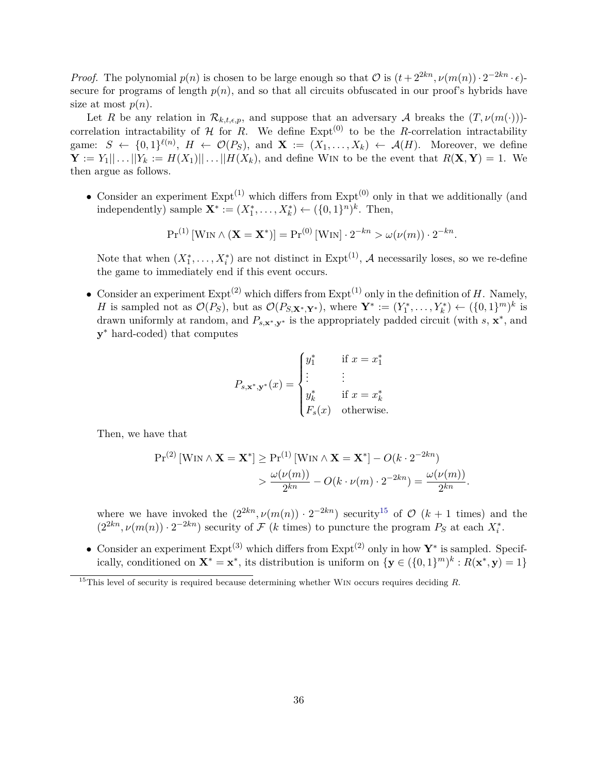*Proof.* The polynomial  $p(n)$  is chosen to be large enough so that  $\mathcal{O}$  is  $(t + 2^{2kn}, \nu(m(n)) \cdot 2^{-2kn} \cdot \epsilon)$ secure for programs of length  $p(n)$ , and so that all circuits obfuscated in our proof's hybrids have size at most  $p(n)$ .

Let *R* be any relation in  $\mathcal{R}_{k,t,\epsilon,p}$ , and suppose that an adversary *A* breaks the  $(T,\nu(m(\cdot)))$ correlation intractability of  $H$  for  $R$ . We define  $Exp<sup>(0)</sup>$  to be the *R*-correlation intractability game:  $S \leftarrow \{0,1\}^{\ell(n)}$ ,  $H \leftarrow \mathcal{O}(P_S)$ , and  $\mathbf{X} := (X_1,\ldots,X_k) \leftarrow \mathcal{A}(H)$ . Moreover, we define  $\mathbf{Y} := Y_1 || \dots || Y_k := H(X_1) || \dots || H(X_k)$ , and define WIN to be the event that  $R(\mathbf{X}, \mathbf{Y}) = 1$ . We then argue as follows.

• Consider an experiment  $\text{Expt}^{(1)}$  which differs from  $\text{Expt}^{(0)}$  only in that we additionally (and independently) sample  $\mathbf{X}^* := (X_1^*, \ldots, X_k^*)$  ←  $({0, 1}^n)^k$ . Then,

$$
Pr^{(1)}\left[\text{WIN} \wedge (\mathbf{X} = \mathbf{X}^*)\right] = Pr^{(0)}\left[\text{WIN}\right] \cdot 2^{-kn} > \omega(\nu(m)) \cdot 2^{-kn}.
$$

Note that when  $(X_1^*, \ldots, X_i^*)$  are not distinct in Expt<sup>(1)</sup>, A necessarily loses, so we re-define the game to immediately end if this event occurs.

• Consider an experiment  $\text{Expt}^{(2)}$  which differs from  $\text{Expt}^{(1)}$  only in the definition of *H*. Namely, *H* is sampled not as  $\mathcal{O}(P_S)$ , but as  $\mathcal{O}(P_{S,\mathbf{X}^*,\mathbf{Y}^*})$ , where  $\mathbf{Y}^* := (Y_1^*, \ldots, Y_k^*) \leftarrow (\{0,1\}^m)^k$  is drawn uniformly at random, and  $P_{s,x^*,y^*}$  is the appropriately padded circuit (with  $s, x^*$ , and **y** <sup>∗</sup> hard-coded) that computes

$$
P_{s, \mathbf{x}^*, \mathbf{y}^*}(x) = \begin{cases} y_1^* & \text{if } x = x_1^* \\ \vdots & \vdots \\ y_k^* & \text{if } x = x_k^* \\ F_s(x) & \text{otherwise.} \end{cases}
$$

Then, we have that

$$
\Pr^{(2)}\left[\text{WIN} \wedge \mathbf{X} = \mathbf{X}^*\right] \ge \Pr^{(1)}\left[\text{WIN} \wedge \mathbf{X} = \mathbf{X}^*\right] - O(k \cdot 2^{-2kn})
$$

$$
> \frac{\omega(\nu(m))}{2^{kn}} - O(k \cdot \nu(m) \cdot 2^{-2kn}) = \frac{\omega(\nu(m))}{2^{kn}}.
$$

where we have invoked the  $(2^{2kn}, \nu(m(n)) \cdot 2^{-2kn})$  security<sup>[15](#page-37-0)</sup> of  $\mathcal{O}(k+1)$  times) and the  $(2^{2kn}, \nu(m(n)) \cdot 2^{-2kn})$  security of F (*k* times) to puncture the program  $P_S$  at each  $X_i^*$ .

• Consider an experiment Expt(3) which differs from Expt(2) only in how **Y**<sup>∗</sup> is sampled. Specifically, conditioned on  $\mathbf{X}^* = \mathbf{x}^*$ , its distribution is uniform on  $\{\mathbf{y} \in (\{0,1\}^m)^k : R(\mathbf{x}^*, \mathbf{y}) = 1\}$ 

<span id="page-37-0"></span><sup>&</sup>lt;sup>15</sup>This level of security is required because determining whether W<sub>IN</sub> occurs requires deciding R.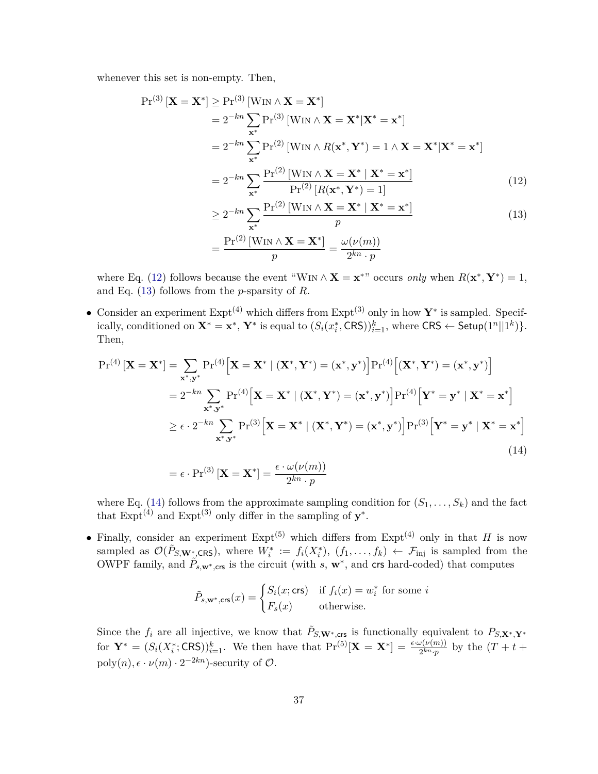whenever this set is non-empty. Then,

$$
\Pr^{(3)}\left[\mathbf{X}=\mathbf{X}^*\right] \ge \Pr^{(3)}\left[\text{WIN} \wedge \mathbf{X}=\mathbf{X}^*\right] \n= 2^{-kn} \sum_{\mathbf{x}^*} \Pr^{(3)}\left[\text{WIN} \wedge \mathbf{X}=\mathbf{X}^*|\mathbf{X}^*=\mathbf{x}^*\right] \n= 2^{-kn} \sum_{\mathbf{x}^*} \Pr^{(2)}\left[\text{WIN} \wedge R(\mathbf{x}^*, \mathbf{Y}^*)=1 \wedge \mathbf{X}=\mathbf{X}^*|\mathbf{X}^*=\mathbf{x}^*\right] \n= 2^{-kn} \sum_{\mathbf{x}^*} \frac{\Pr^{(2)}\left[\text{WIN} \wedge \mathbf{X}=\mathbf{X}^*|\mathbf{X}^*=\mathbf{x}^*\right]}{\Pr^{(2)}\left[R(\mathbf{x}^*, \mathbf{Y}^*)=1\right]}
$$
\n(12)

<span id="page-38-1"></span><span id="page-38-0"></span>
$$
\geq 2^{-kn} \sum_{\mathbf{x}^*} \frac{\Pr^{(2)}\left[\text{WIN} \wedge \mathbf{X} = \mathbf{X}^* \mid \mathbf{X}^* = \mathbf{x}^*\right]}{p}
$$
\n
$$
= \frac{\Pr^{(2)}\left[\text{WIN} \wedge \mathbf{X} = \mathbf{X}^*\right]}{p} = \frac{\omega(\nu(m))}{2^{kn} \cdot p}
$$
\n(13)

where Eq. [\(12\)](#page-38-0) follows because the event "WIN  $\wedge$  **X** = **x**<sup>\*"</sup> occurs *only* when  $R(\mathbf{x}^*, \mathbf{Y}^*) = 1$ , and Eq. [\(13\)](#page-38-1) follows from the *p*-sparsity of *R*.

• Consider an experiment Expt(4) which differs from Expt(3) only in how **Y**<sup>∗</sup> is sampled. Specifically, conditioned on  $\mathbf{X}^* = \mathbf{x}^*$ ,  $\mathbf{Y}^*$  is equal to  $(S_i(x_i^*, \text{CRS}))_{i=1}^k$ , where  $\text{CRS} \leftarrow \text{Setup}(1^n||1^k)$ . Then,

$$
\Pr^{(4)}\left[\mathbf{X}=\mathbf{X}^*\right] = \sum_{\mathbf{x}^*,\mathbf{y}^*} \Pr^{(4)}\left[\mathbf{X}=\mathbf{X}^*\mid (\mathbf{X}^*,\mathbf{Y}^*)=(\mathbf{x}^*,\mathbf{y}^*)\right] \Pr^{(4)}\left[(\mathbf{X}^*,\mathbf{Y}^*)=(\mathbf{x}^*,\mathbf{y}^*)\right]
$$
\n
$$
= 2^{-kn} \sum_{\mathbf{x}^*,\mathbf{y}^*} \Pr^{(4)}\left[\mathbf{X}=\mathbf{X}^*\mid (\mathbf{X}^*,\mathbf{Y}^*)=(\mathbf{x}^*,\mathbf{y}^*)\right] \Pr^{(4)}\left[\mathbf{Y}^*=\mathbf{y}^*\mid \mathbf{X}^*=\mathbf{x}^*\right]
$$
\n
$$
\geq \epsilon \cdot 2^{-kn} \sum_{\mathbf{x}^*,\mathbf{y}^*} \Pr^{(3)}\left[\mathbf{X}=\mathbf{X}^*\mid (\mathbf{X}^*,\mathbf{Y}^*)=(\mathbf{x}^*,\mathbf{y}^*)\right] \Pr^{(3)}\left[\mathbf{Y}^*=\mathbf{y}^*\mid \mathbf{X}^*=\mathbf{x}^*\right]
$$
\n
$$
= \epsilon \cdot \Pr^{(3)}\left[\mathbf{X}=\mathbf{X}^*\right] = \frac{\epsilon \cdot \omega(\nu(m))}{2^{kn} \cdot p}
$$
\n(14)

where Eq. [\(14\)](#page-38-2) follows from the approximate sampling condition for  $(S_1, \ldots, S_k)$  and the fact that  $\text{Expt}^{(4)}$  and  $\text{Expt}^{(3)}$  only differ in the sampling of  $y^*$ .

• Finally, consider an experiment  $\text{Expt}^{(5)}$  which differs from  $\text{Expt}^{(4)}$  only in that *H* is now sampled as  $\mathcal{O}(\tilde{P}_{S,\mathbf{W}_{\mathcal{D}}^{*}\text{CRS}})$ , where  $W_i^* := f_i(X_i^*), (f_1, \ldots, f_k) \leftarrow \mathcal{F}_{\text{inj}}$  is sampled from the OWPF family, and  $\tilde{P}_{s,w^*,\text{crs}}$  is the circuit (with *s*,  $w^*$ , and crs hard-coded) that computes

<span id="page-38-2"></span>
$$
\tilde{P}_{s,\mathbf{w}^*,\text{crs}}(x) = \begin{cases} S_i(x;\text{crs}) & \text{if } f_i(x) = w_i^* \text{ for some } i\\ F_s(x) & \text{otherwise.} \end{cases}
$$

Since the  $f_i$  are all injective, we know that  $\tilde{P}_{S, \mathbf{W}^*, \mathbf{crs}}$  is functionally equivalent to  $P_{S, \mathbf{X}^*, \mathbf{Y}^*}$ for  $Y^* = (S_i(X_i^*; \text{CRS}))_{i=1}^k$ . We then have that  $\Pr^{(5)}[\mathbf{X} = \mathbf{X}^*] = \frac{\epsilon \cdot \omega(\nu(m))}{2^{kn} \cdot p}$  by the  $(T + t +$  $poly(n), \epsilon \cdot \nu(m) \cdot 2^{-2kn}$ -security of  $\mathcal{O}$ .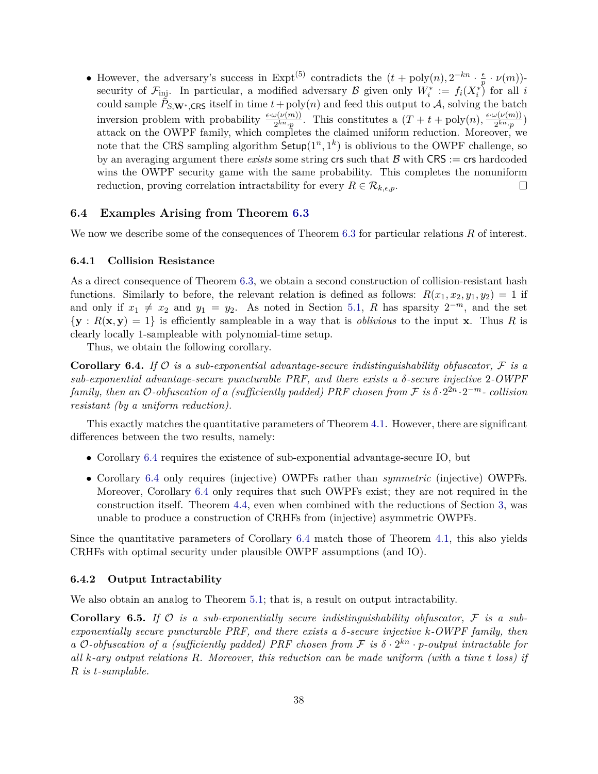• However, the adversary's success in Expt<sup>(5)</sup> contradicts the  $(t + \text{poly}(n), 2^{-kn} \cdot \frac{\epsilon}{n})$ *p* · *ν*(*m*)) security of  $\mathcal{F}_{\text{inj}}$ . In particular, a modified adversary  $\mathcal{B}$  given only  $W_i^* := f_i(X_i^*)$  for all *i* could sample  $\check{P}_{S,\mathbf{W}^*,\mathbf{CRS}}$  itself in time  $t + \text{poly}(n)$  and feed this output to A, solving the batch inversion problem with probability  $\frac{\epsilon \cdot \omega(\nu(m))}{2^{kn} \cdot p}$ . This constitutes a  $(T + t + \text{poly}(n), \frac{\epsilon \cdot \omega(\nu(m))}{2^{kn} \cdot p}$  $\frac{\partial (V(m))}{2^{kn}\cdot p}$ attack on the OWPF family, which completes the claimed uniform reduction. Moreover, we note that the CRS sampling algorithm  $\mathsf{Setup}(1^n,1^k)$  is oblivious to the OWPF challenge, so by an averaging argument there *exists* some string crs such that  $\beta$  with CRS := crs hardcoded wins the OWPF security game with the same probability. This completes the nonuniform reduction, proving correlation intractability for every  $R \in \mathcal{R}_{k,\epsilon,p}$ .  $\Box$ 

#### <span id="page-39-0"></span>**6.4 Examples Arising from Theorem [6.3](#page-36-0)**

We now we describe some of the consequences of Theorem [6.3](#page-36-0) for particular relations R of interest.

#### **6.4.1 Collision Resistance**

As a direct consequence of Theorem [6.3,](#page-36-0) we obtain a second construction of collision-resistant hash functions. Similarly to before, the relevant relation is defined as follows:  $R(x_1, x_2, y_1, y_2) = 1$  if and only if  $x_1 \neq x_2$  and  $y_1 = y_2$ . As noted in Section [5.1,](#page-31-0) *R* has sparsity  $2^{-m}$ , and the set  $\{y : R(x, y) = 1\}$  is efficiently sampleable in a way that is *oblivious* to the input **x**. Thus R is clearly locally 1-sampleable with polynomial-time setup.

Thus, we obtain the following corollary.

<span id="page-39-1"></span>**Corollary 6.4.** *If* O *is a sub-exponential advantage-secure indistinguishability obfuscator,* F *is a sub-exponential advantage-secure puncturable PRF, and there exists a δ-secure injective* 2*-OWPF family, then an*  $O$ -obfuscation of a (sufficiently padded) PRF chosen from  $\mathcal F$  is  $\delta \cdot 2^{2n} \cdot 2^{-m}$ - collision *resistant (by a uniform reduction).*

This exactly matches the quantitative parameters of Theorem [4.1.](#page-24-4) However, there are significant differences between the two results, namely:

- Corollary [6.4](#page-39-1) requires the existence of sub-exponential advantage-secure IO, but
- Corollary [6.4](#page-39-1) only requires (injective) OWPFs rather than *symmetric* (injective) OWPFs. Moreover, Corollary [6.4](#page-39-1) only requires that such OWPFs exist; they are not required in the construction itself. Theorem [4.4,](#page-25-1) even when combined with the reductions of Section [3,](#page-14-0) was unable to produce a construction of CRHFs from (injective) asymmetric OWPFs.

Since the quantitative parameters of Corollary [6.4](#page-39-1) match those of Theorem [4.1,](#page-24-4) this also yields CRHFs with optimal security under plausible OWPF assumptions (and IO).

#### **6.4.2 Output Intractability**

We also obtain an analog to Theorem [5.1;](#page-29-0) that is, a result on output intractability.

**Corollary 6.5.** *If* O *is a sub-exponentially secure indistinguishability obfuscator,* F *is a subexponentially secure puncturable PRF, and there exists a δ-secure injective k-OWPF family, then a*  $O$ -obfuscation of a (sufficiently padded) PRF chosen from  $F$  is  $\delta \cdot 2^{kn} \cdot p$ -output intractable for *all k-ary output relations R. Moreover, this reduction can be made uniform (with a time t loss) if R is t-samplable.*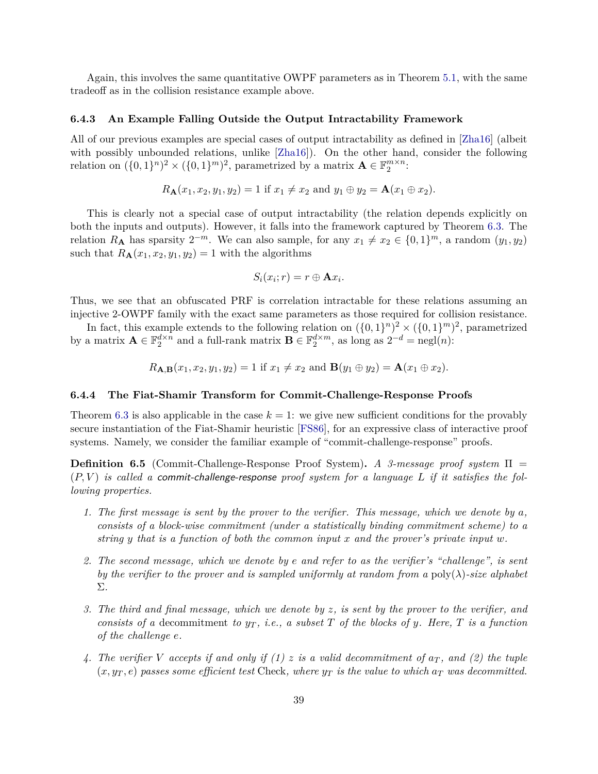Again, this involves the same quantitative OWPF parameters as in Theorem [5.1,](#page-29-0) with the same tradeoff as in the collision resistance example above.

#### **6.4.3 An Example Falling Outside the Output Intractability Framework**

All of our previous examples are special cases of output intractability as defined in [\[Zha16\]](#page-46-3) (albeit with possibly unbounded relations, unlike [\[Zha16\]](#page-46-3)). On the other hand, consider the following relation on  $({0, 1}^n)^2 \times ({0, 1}^m)^2$ , parametrized by a matrix  $\mathbf{A} \in \mathbb{F}_2^{m \times n}$ :

$$
R_{\mathbf{A}}(x_1, x_2, y_1, y_2) = 1
$$
 if  $x_1 \neq x_2$  and  $y_1 \oplus y_2 = \mathbf{A}(x_1 \oplus x_2)$ .

This is clearly not a special case of output intractability (the relation depends explicitly on both the inputs and outputs). However, it falls into the framework captured by Theorem [6.3.](#page-36-0) The relation  $R_{\mathbf{A}}$  has sparsity  $2^{-m}$ . We can also sample, for any  $x_1 \neq x_2 \in \{0,1\}^m$ , a random  $(y_1, y_2)$ such that  $R_{\mathbf{A}}(x_1, x_2, y_1, y_2) = 1$  with the algorithms

$$
S_i(x_i; r) = r \oplus \mathbf{A} x_i.
$$

Thus, we see that an obfuscated PRF is correlation intractable for these relations assuming an injective 2-OWPF family with the exact same parameters as those required for collision resistance.

In fact, this example extends to the following relation on  $({0,1}^n)^2 \times ({0,1}^m)^2$ , parametrized by a matrix  $\mathbf{A} \in \mathbb{F}_2^{d \times n}$  and a full-rank matrix  $\mathbf{B} \in \mathbb{F}_2^{d \times m}$ , as long as  $2^{-d} = \text{negl}(n)$ :

$$
R_{\mathbf{A},\mathbf{B}}(x_1,x_2,y_1,y_2) = 1
$$
 if  $x_1 \neq x_2$  and  $\mathbf{B}(y_1 \oplus y_2) = \mathbf{A}(x_1 \oplus x_2)$ .

#### **6.4.4 The Fiat-Shamir Transform for Commit-Challenge-Response Proofs**

Theorem [6.3](#page-36-0) is also applicable in the case  $k = 1$ : we give new sufficient conditions for the provably secure instantiation of the Fiat-Shamir heuristic [\[FS86\]](#page-44-0), for an expressive class of interactive proof systems. Namely, we consider the familiar example of "commit-challenge-response" proofs.

**Definition 6.5** (Commit-Challenge-Response Proof System)**.** *A 3-message proof system* Π = (*P, V* ) *is called a* commit-challenge-response *proof system for a language L if it satisfies the following properties.*

- *1. The first message is sent by the prover to the verifier. This message, which we denote by a, consists of a block-wise commitment (under a statistically binding commitment scheme) to a string y that is a function of both the common input x and the prover's private input w.*
- *2. The second message, which we denote by e and refer to as the verifier's "challenge", is sent by the verifier to the prover and is sampled uniformly at random from a* poly(*λ*)*-size alphabet* Σ*.*
- *3. The third and final message, which we denote by z, is sent by the prover to the verifier, and consists of a* decommitment *to*  $y_T$ , *i.e.*, *a subset T of the blocks of y. Here, T is a function of the challenge e.*
- 4. The verifier V accepts if and only if (1)  $z$  is a valid decommitment of  $a_T$ , and (2) the tuple  $(x, y_T, e)$  passes some efficient test Check, where  $y_T$  is the value to which  $a_T$  was decommitted.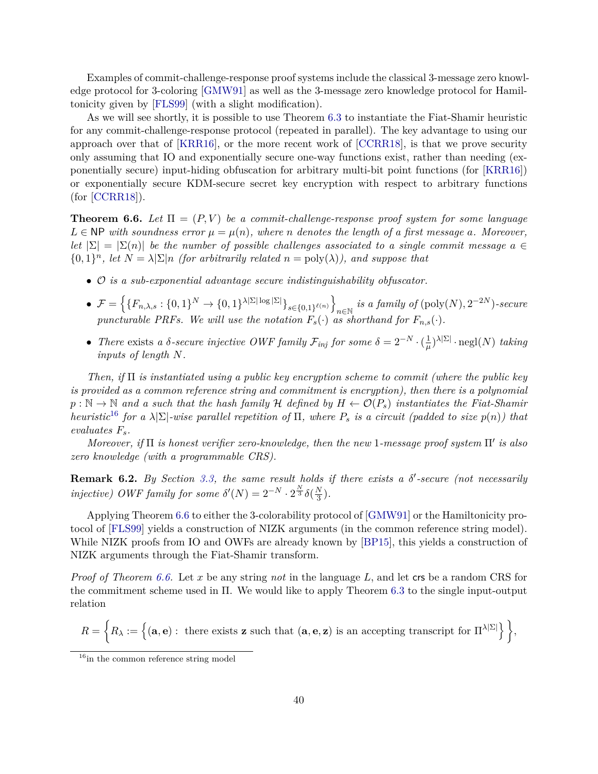Examples of commit-challenge-response proof systems include the classical 3-message zero knowledge protocol for 3-coloring [\[GMW91\]](#page-45-5) as well as the 3-message zero knowledge protocol for Hamiltonicity given by [\[FLS99\]](#page-44-13) (with a slight modification).

As we will see shortly, it is possible to use Theorem [6.3](#page-36-0) to instantiate the Fiat-Shamir heuristic for any commit-challenge-response protocol (repeated in parallel). The key advantage to using our approach over that of [\[KRR16\]](#page-45-7), or the more recent work of [\[CCRR18\]](#page-44-7), is that we prove security only assuming that IO and exponentially secure one-way functions exist, rather than needing (exponentially secure) input-hiding obfuscation for arbitrary multi-bit point functions (for [\[KRR16\]](#page-45-7)) or exponentially secure KDM-secure secret key encryption with respect to arbitrary functions (for [\[CCRR18\]](#page-44-7)).

<span id="page-41-0"></span>**Theorem 6.6.** Let  $\Pi = (P, V)$  be a commit-challenge-response proof system for some language  $L \in \mathbb{NP}$  *with soundness error*  $\mu = \mu(n)$ *, where n denotes the length of a first message a. Moreover, let*  $|\Sigma| = |\Sigma(n)|$  *be the number of possible challenges associated to a single commit message*  $a \in$  $\{0,1\}^n$ , let  $N = \lambda \Sigma |n$  *(for arbitrarily related*  $n = \text{poly}(\lambda)$ *), and suppose that* 

- O *is a sub-exponential advantage secure indistinguishability obfuscator.*
- $\mathcal{F} = \left\{ \{F_{n,\lambda,s} : \{0,1\}^N \rightarrow \{0,1\}^{\lambda|\Sigma|\log|\Sigma|} \}_{s \in \{0,1\}^{\ell(n)}} \right\}$  $\lim_{n \in \mathbb{N}} i s a family of (poly(N), 2^{-2N})$ *-secure puncturable PRFs. We will use the notation*  $F_s(\cdot)$  *as shorthand for*  $F_{n,s}(\cdot)$ *.*
- *There* exists *a*  $\delta$ -secure injective OWF family  $\mathcal{F}_{inj}$  for some  $\delta = 2^{-N} \cdot (\frac{1}{\mu})$  $\frac{1}{\mu}$ <sup> $\lambda$ |Σ|</sup>·negl(*N*) *taking inputs of length N.*

*Then, if* Π *is instantiated using a public key encryption scheme to commit (where the public key is provided as a common reference string and commitment is encryption), then there is a polynomial*  $p : \mathbb{N} \to \mathbb{N}$  and a such that the hash family H defined by  $H \leftarrow \mathcal{O}(P_s)$  instantiates the Fiat-Shamir *heuristic*<sup>[16](#page-41-1)</sup> *for a*  $\lambda|\Sigma|$ *-wise parallel repetition of*  $\Pi$ *, where*  $P_s$  *is a circuit (padded to size*  $p(n)$ *) that evaluates Fs.*

*Moreover, if* Π *is honest verifier zero-knowledge, then the new* 1-message proof system Π' is also *zero knowledge (with a programmable CRS).*

**Remark 6.2.** *By Section [3.3,](#page-17-1) the same result holds if there exists a δ'-secure (not necessarily injective)* OWF family for some  $\delta'(N) = 2^{-N} \cdot 2^{\frac{N}{3}} \delta(\frac{N}{3})$  $\frac{N}{3}$ .

Applying Theorem [6.6](#page-41-0) to either the 3-colorability protocol of [\[GMW91\]](#page-45-5) or the Hamiltonicity protocol of [\[FLS99\]](#page-44-13) yields a construction of NIZK arguments (in the common reference string model). While NIZK proofs from IO and OWFs are already known by [\[BP15\]](#page-43-11), this yields a construction of NIZK arguments through the Fiat-Shamir transform.

*Proof of Theorem [6.6.](#page-41-0)* Let *x* be any string *not* in the language *L*, and let crs be a random CRS for the commitment scheme used in Π. We would like to apply Theorem [6.3](#page-36-0) to the single input-output relation

$$
R = \left\{ R_\lambda := \left\{ (\mathbf{a},\mathbf{e}) : \text{ there exists } \mathbf{z} \text{ such that } (\mathbf{a},\mathbf{e},\mathbf{z}) \text{ is an accepting transcript for } \Pi^{\lambda|\Sigma|} \right\} \right\},
$$

<span id="page-41-1"></span> $16$ in the common reference string model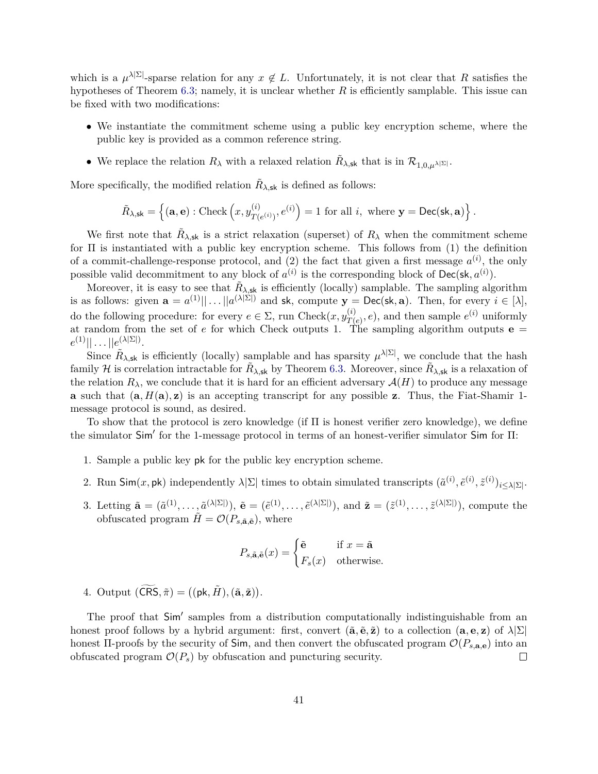which is a  $\mu^{\lambda|\Sigma|}$ -sparse relation for any  $x \notin L$ . Unfortunately, it is not clear that R satisfies the hypotheses of Theorem [6.3;](#page-36-0) namely, it is unclear whether *R* is efficiently samplable. This issue can be fixed with two modifications:

- We instantiate the commitment scheme using a public key encryption scheme, where the public key is provided as a common reference string.
- We replace the relation  $R_{\lambda}$  with a relaxed relation  $\tilde{R}_{\lambda, \text{sk}}$  that is in  $\mathcal{R}_{1,0,\mu^{\lambda}|\Sigma|}$ .

More specifically, the modified relation  $\tilde{R}_{\lambda, \text{sk}}$  is defined as follows:

$$
\tilde{R}_{\lambda,\mathsf{sk}} = \left\{ (\mathbf{a},\mathbf{e}) : \text{Check}\left(x, y_{T(e^{(i)})}^{(i)}, e^{(i)}\right) = 1 \text{ for all } i, \text{ where } \mathbf{y} = \text{Dec}(\mathsf{sk}, \mathbf{a}) \right\}.
$$

We first note that  $\tilde{R}_{\lambda,sk}$  is a strict relaxation (superset) of  $R_{\lambda}$  when the commitment scheme for Π is instantiated with a public key encryption scheme. This follows from (1) the definition of a commit-challenge-response protocol, and  $(2)$  the fact that given a first message  $a^{(i)}$ , the only possible valid decommitment to any block of  $a^{(i)}$  is the corresponding block of  $Dec(\mathsf{sk}, a^{(i)})$ .

Moreover, it is easy to see that  $\tilde{R}_{\lambda, \text{sk}}$  is efficiently (locally) samplable. The sampling algorithm is as follows: given  $\mathbf{a} = a^{(1)} \mid \mid \dots \mid a^{(\lambda|\Sigma|)}$  and  $\mathsf{sk}$ , compute  $\mathbf{y} = \mathsf{Dec}(\mathsf{sk}, \mathbf{a})$ . Then, for every  $i \in [\lambda]$ , do the following procedure: for every  $e \in \Sigma$ , run Check $(x, y_{T}^{(i)})$  $T(e)$ , *e*), and then sample  $e^{(i)}$  uniformly at random from the set of *e* for which Check outputs 1. The sampling algorithm outputs **e** =  $e^{(1)}||\dots||e^{(\lambda|\Sigma|)}.$ 

Since  $\tilde{R}_{\lambda,sk}$  is efficiently (locally) samplable and has sparsity  $\mu^{\lambda|\Sigma|}$ , we conclude that the hash family H is correlation intractable for  $\tilde{R}_{\lambda, \text{sk}}$  by Theorem [6.3.](#page-36-0) Moreover, since  $\tilde{R}_{\lambda, \text{sk}}$  is a relaxation of the relation  $R_\lambda$ , we conclude that it is hard for an efficient adversary  $\mathcal{A}(H)$  to produce any message **a** such that  $(a, H(a), z)$  is an accepting transcript for any possible **z**. Thus, the Fiat-Shamir 1message protocol is sound, as desired.

To show that the protocol is zero knowledge (if Π is honest verifier zero knowledge), we define the simulator Sim' for the 1-message protocol in terms of an honest-verifier simulator Sim for Π:

- 1. Sample a public key pk for the public key encryption scheme.
- 2. Run  $\mathsf{Sim}(x, \mathsf{pk})$  independently  $\lambda \Sigma$  times to obtain simulated transcripts  $(\tilde{a}^{(i)}, \tilde{e}^{(i)}, \tilde{z}^{(i)})_{i \leq \lambda \Sigma}$ .
- 3. Letting  $\tilde{\mathbf{a}} = (\tilde{a}^{(1)}, \ldots, \tilde{a}^{(\lambda|\Sigma|)}), \tilde{\mathbf{e}} = (\tilde{e}^{(1)}, \ldots, \tilde{e}^{(\lambda|\Sigma|)}), \text{ and } \tilde{\mathbf{z}} = (\tilde{z}^{(1)}, \ldots, \tilde{z}^{(\lambda|\Sigma|)}), \text{ compute the}$ obfuscated program  $H = \mathcal{O}(P_{s,\tilde{\mathbf{a}},\tilde{\mathbf{e}}})$ , where

$$
P_{s,\tilde{\mathbf{a}},\tilde{\mathbf{e}}}(x) = \begin{cases} \tilde{\mathbf{e}} & \text{if } x = \tilde{\mathbf{a}} \\ F_s(x) & \text{otherwise.} \end{cases}
$$

4. Output  $(\widetilde{\textsf{CRS}}, \tilde{\pi}) = ((\textsf{pk}, \tilde{H}), (\tilde{\mathbf{a}}, \tilde{\mathbf{z}})).$ 

The proof that Sim' samples from a distribution computationally indistinguishable from an honest proof follows by a hybrid argument: first, convert  $(\tilde{\mathbf{a}}, \tilde{\mathbf{e}}, \tilde{\mathbf{z}})$  to a collection  $(\mathbf{a}, \mathbf{e}, \mathbf{z})$  of  $\lambda | \Sigma |$ honest  $\Pi$ -proofs by the security of Sim, and then convert the obfuscated program  $\mathcal{O}(P_{s,\mathbf{a},\mathbf{e}})$  into an obfuscated program  $\mathcal{O}(P_s)$  by obfuscation and puncturing security.  $\Box$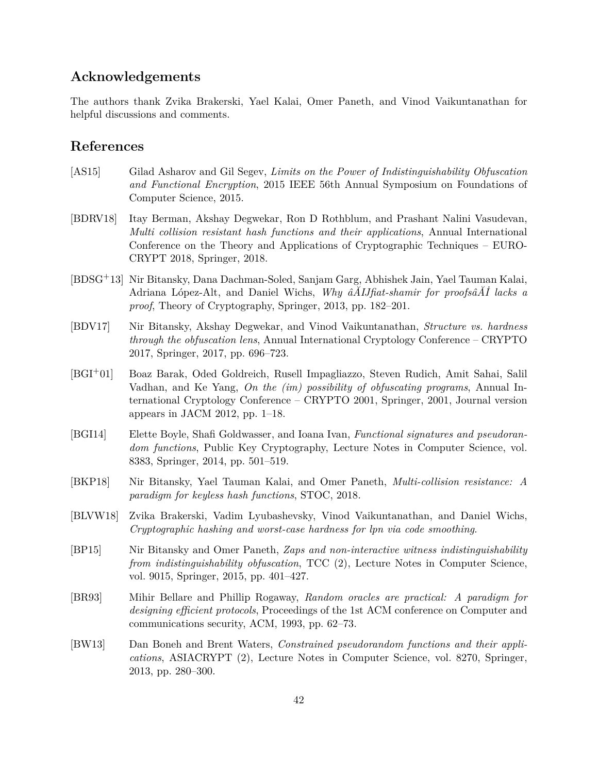# **Acknowledgements**

The authors thank Zvika Brakerski, Yael Kalai, Omer Paneth, and Vinod Vaikuntanathan for helpful discussions and comments.

## <span id="page-43-0"></span>**References**

- <span id="page-43-2"></span>[AS15] Gilad Asharov and Gil Segev, *Limits on the Power of Indistinguishability Obfuscation and Functional Encryption*, 2015 IEEE 56th Annual Symposium on Foundations of Computer Science, 2015.
- <span id="page-43-4"></span>[BDRV18] Itay Berman, Akshay Degwekar, Ron D Rothblum, and Prashant Nalini Vasudevan, *Multi collision resistant hash functions and their applications*, Annual International Conference on the Theory and Applications of Cryptographic Techniques – EURO-CRYPT 2018, Springer, 2018.
- <span id="page-43-7"></span>[BDSG+13] Nir Bitansky, Dana Dachman-Soled, Sanjam Garg, Abhishek Jain, Yael Tauman Kalai, Adriana López-Alt, and Daniel Wichs, *Why âĂIJfiat-shamir for proofsâĂİ lacks a proof*, Theory of Cryptography, Springer, 2013, pp. 182–201.
- <span id="page-43-8"></span>[BDV17] Nir Bitansky, Akshay Degwekar, and Vinod Vaikuntanathan, *Structure vs. hardness through the obfuscation lens*, Annual International Cryptology Conference – CRYPTO 2017, Springer, 2017, pp. 696–723.
- <span id="page-43-3"></span>[BGI+01] Boaz Barak, Oded Goldreich, Rusell Impagliazzo, Steven Rudich, Amit Sahai, Salil Vadhan, and Ke Yang, *On the (im) possibility of obfuscating programs*, Annual International Cryptology Conference – CRYPTO 2001, Springer, 2001, Journal version appears in JACM 2012, pp. 1–18.
- <span id="page-43-10"></span>[BGI14] Elette Boyle, Shafi Goldwasser, and Ioana Ivan, *Functional signatures and pseudorandom functions*, Public Key Cryptography, Lecture Notes in Computer Science, vol. 8383, Springer, 2014, pp. 501–519.
- <span id="page-43-5"></span>[BKP18] Nir Bitansky, Yael Tauman Kalai, and Omer Paneth, *Multi-collision resistance: A paradigm for keyless hash functions*, STOC, 2018.
- <span id="page-43-6"></span>[BLVW18] Zvika Brakerski, Vadim Lyubashevsky, Vinod Vaikuntanathan, and Daniel Wichs, *Cryptographic hashing and worst-case hardness for lpn via code smoothing*.
- <span id="page-43-11"></span>[BP15] Nir Bitansky and Omer Paneth, *Zaps and non-interactive witness indistinguishability from indistinguishability obfuscation*, TCC (2), Lecture Notes in Computer Science, vol. 9015, Springer, 2015, pp. 401–427.
- <span id="page-43-1"></span>[BR93] Mihir Bellare and Phillip Rogaway, *Random oracles are practical: A paradigm for designing efficient protocols*, Proceedings of the 1st ACM conference on Computer and communications security, ACM, 1993, pp. 62–73.
- <span id="page-43-9"></span>[BW13] Dan Boneh and Brent Waters, *Constrained pseudorandom functions and their applications*, ASIACRYPT (2), Lecture Notes in Computer Science, vol. 8270, Springer, 2013, pp. 280–300.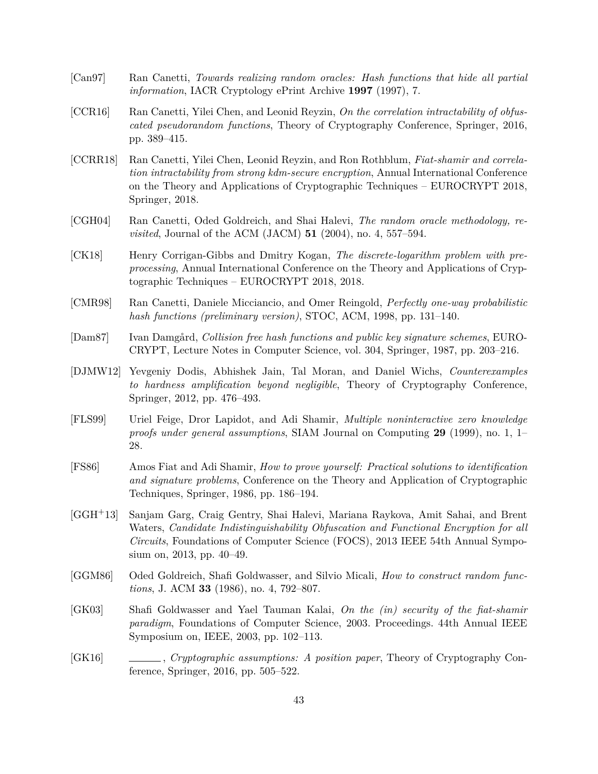- <span id="page-44-10"></span>[Can97] Ran Canetti, *Towards realizing random oracles: Hash functions that hide all partial information*, IACR Cryptology ePrint Archive **1997** (1997), 7.
- <span id="page-44-6"></span>[CCR16] Ran Canetti, Yilei Chen, and Leonid Reyzin, *On the correlation intractability of obfuscated pseudorandom functions*, Theory of Cryptography Conference, Springer, 2016, pp. 389–415.
- <span id="page-44-7"></span>[CCRR18] Ran Canetti, Yilei Chen, Leonid Reyzin, and Ron Rothblum, *Fiat-shamir and correlation intractability from strong kdm-secure encryption*, Annual International Conference on the Theory and Applications of Cryptographic Techniques – EUROCRYPT 2018, Springer, 2018.
- <span id="page-44-4"></span>[CGH04] Ran Canetti, Oded Goldreich, and Shai Halevi, *The random oracle methodology, revisited*, Journal of the ACM (JACM) **51** (2004), no. 4, 557–594.
- <span id="page-44-9"></span>[CK18] Henry Corrigan-Gibbs and Dmitry Kogan, *The discrete-logarithm problem with preprocessing*, Annual International Conference on the Theory and Applications of Cryptographic Techniques – EUROCRYPT 2018, 2018.
- <span id="page-44-11"></span>[CMR98] Ran Canetti, Daniele Micciancio, and Omer Reingold, *Perfectly one-way probabilistic hash functions (preliminary version)*, STOC, ACM, 1998, pp. 131–140.
- <span id="page-44-1"></span>[Dam87] Ivan Damgård, *Collision free hash functions and public key signature schemes*, EURO-CRYPT, Lecture Notes in Computer Science, vol. 304, Springer, 1987, pp. 203–216.
- <span id="page-44-8"></span>[DJMW12] Yevgeniy Dodis, Abhishek Jain, Tal Moran, and Daniel Wichs, *Counterexamples to hardness amplification beyond negligible*, Theory of Cryptography Conference, Springer, 2012, pp. 476–493.
- <span id="page-44-13"></span>[FLS99] Uriel Feige, Dror Lapidot, and Adi Shamir, *Multiple noninteractive zero knowledge proofs under general assumptions*, SIAM Journal on Computing **29** (1999), no. 1, 1– 28.
- <span id="page-44-0"></span>[FS86] Amos Fiat and Adi Shamir, *How to prove yourself: Practical solutions to identification and signature problems*, Conference on the Theory and Application of Cryptographic Techniques, Springer, 1986, pp. 186–194.
- <span id="page-44-3"></span>[GGH+13] Sanjam Garg, Craig Gentry, Shai Halevi, Mariana Raykova, Amit Sahai, and Brent Waters, *Candidate Indistinguishability Obfuscation and Functional Encryption for all Circuits*, Foundations of Computer Science (FOCS), 2013 IEEE 54th Annual Symposium on, 2013, pp. 40–49.
- <span id="page-44-2"></span>[GGM86] Oded Goldreich, Shafi Goldwasser, and Silvio Micali, *How to construct random functions*, J. ACM **33** (1986), no. 4, 792–807.
- <span id="page-44-5"></span>[GK03] Shafi Goldwasser and Yael Tauman Kalai, *On the (in) security of the fiat-shamir paradigm*, Foundations of Computer Science, 2003. Proceedings. 44th Annual IEEE Symposium on, IEEE, 2003, pp. 102–113.
- <span id="page-44-12"></span>[GK16] , *Cryptographic assumptions: A position paper*, Theory of Cryptography Conference, Springer, 2016, pp. 505–522.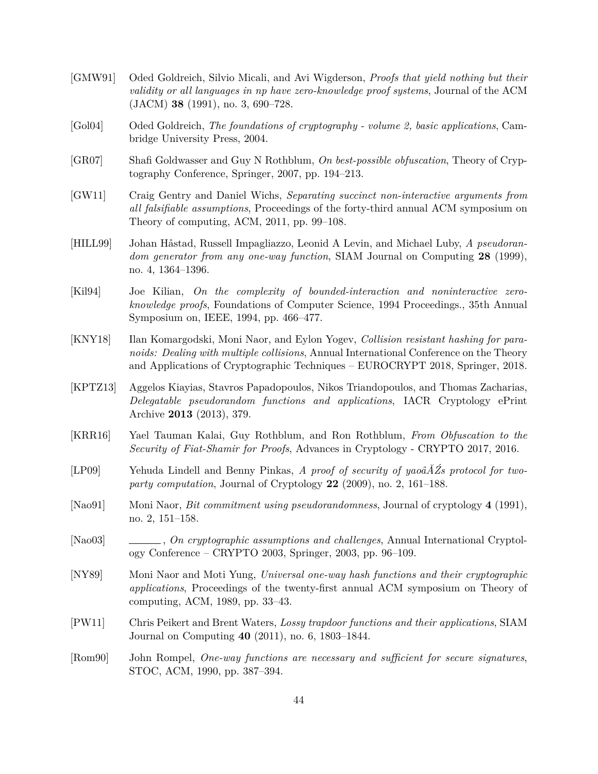- <span id="page-45-5"></span>[GMW91] Oded Goldreich, Silvio Micali, and Avi Wigderson, *Proofs that yield nothing but their validity or all languages in np have zero-knowledge proof systems*, Journal of the ACM (JACM) **38** (1991), no. 3, 690–728.
- <span id="page-45-11"></span>[Gol04] Oded Goldreich, *The foundations of cryptography - volume 2, basic applications*, Cambridge University Press, 2004.
- <span id="page-45-10"></span>[GR07] Shafi Goldwasser and Guy N Rothblum, *On best-possible obfuscation*, Theory of Cryptography Conference, Springer, 2007, pp. 194–213.
- <span id="page-45-13"></span>[GW11] Craig Gentry and Daniel Wichs, *Separating succinct non-interactive arguments from all falsifiable assumptions*, Proceedings of the forty-third annual ACM symposium on Theory of computing, ACM, 2011, pp. 99–108.
- <span id="page-45-2"></span>[HILL99] Johan Håstad, Russell Impagliazzo, Leonid A Levin, and Michael Luby, *A pseudorandom generator from any one-way function*, SIAM Journal on Computing **28** (1999), no. 4, 1364–1396.
- <span id="page-45-1"></span>[Kil94] Joe Kilian, *On the complexity of bounded-interaction and noninteractive zeroknowledge proofs*, Foundations of Computer Science, 1994 Proceedings., 35th Annual Symposium on, IEEE, 1994, pp. 466–477.
- <span id="page-45-8"></span>[KNY18] Ilan Komargodski, Moni Naor, and Eylon Yogev, *Collision resistant hashing for paranoids: Dealing with multiple collisions*, Annual International Conference on the Theory and Applications of Cryptographic Techniques – EUROCRYPT 2018, Springer, 2018.
- <span id="page-45-14"></span>[KPTZ13] Aggelos Kiayias, Stavros Papadopoulos, Nikos Triandopoulos, and Thomas Zacharias, *Delegatable pseudorandom functions and applications*, IACR Cryptology ePrint Archive **2013** (2013), 379.
- <span id="page-45-7"></span>[KRR16] Yael Tauman Kalai, Guy Rothblum, and Ron Rothblum, *From Obfuscation to the Security of Fiat-Shamir for Proofs*, Advances in Cryptology - CRYPTO 2017, 2016.
- <span id="page-45-6"></span>[LP09] Yehuda Lindell and Benny Pinkas, *A proof of security of yaoâĂŹs protocol for twoparty computation*, Journal of Cryptology **22** (2009), no. 2, 161–188.
- <span id="page-45-4"></span>[Nao91] Moni Naor, *Bit commitment using pseudorandomness*, Journal of cryptology **4** (1991), no. 2, 151–158.
- <span id="page-45-12"></span>[Nao03] , *On cryptographic assumptions and challenges*, Annual International Cryptology Conference – CRYPTO 2003, Springer, 2003, pp. 96–109.
- <span id="page-45-0"></span>[NY89] Moni Naor and Moti Yung, *Universal one-way hash functions and their cryptographic applications*, Proceedings of the twenty-first annual ACM symposium on Theory of computing, ACM, 1989, pp. 33–43.
- <span id="page-45-9"></span>[PW11] Chris Peikert and Brent Waters, *Lossy trapdoor functions and their applications*, SIAM Journal on Computing **40** (2011), no. 6, 1803–1844.
- <span id="page-45-3"></span>[Rom90] John Rompel, *One-way functions are necessary and sufficient for secure signatures*, STOC, ACM, 1990, pp. 387–394.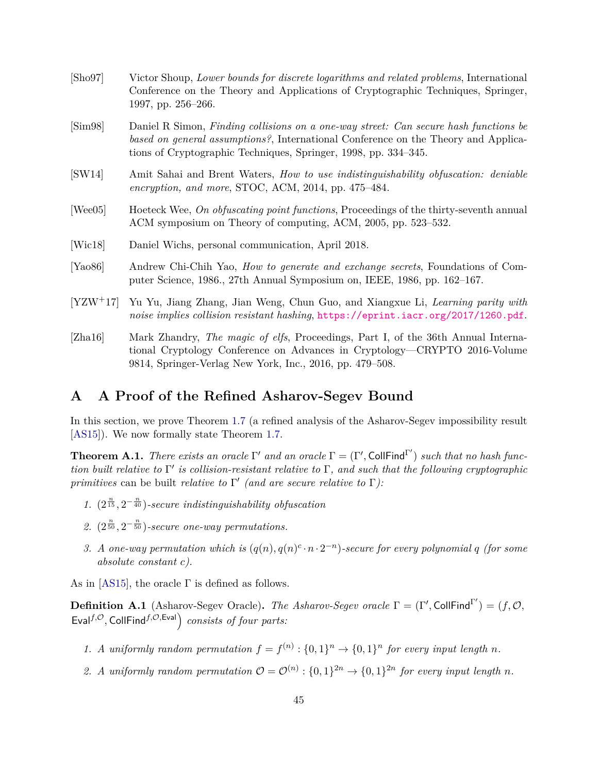<span id="page-46-8"></span><span id="page-46-7"></span><span id="page-46-5"></span><span id="page-46-2"></span>

| $[\text{Sho}97]$     | Victor Shoup, Lower bounds for discrete logarithms and related problems, International<br>Conference on the Theory and Applications of Cryptographic Techniques, Springer,<br>1997, pp. 256–266.                                              |
|----------------------|-----------------------------------------------------------------------------------------------------------------------------------------------------------------------------------------------------------------------------------------------|
| $\text{[Sim98]}$     | Daniel R Simon, Finding collisions on a one-way street: Can secure hash functions be<br>based on general assumptions?, International Conference on the Theory and Applica-<br>tions of Cryptographic Techniques, Springer, 1998, pp. 334–345. |
| [SW14]               | Amit Sahai and Brent Waters, <i>How to use indistinguishability obfuscation: deniable</i><br>encryption, and more, STOC, ACM, $2014$ , pp. $475-484$ .                                                                                        |
| [Wee05]              | Hoeteck Wee, On obfuscating point functions, Proceedings of the thirty-seventh annual<br>ACM symposium on Theory of computing, ACM, 2005, pp. 523–532.                                                                                        |
| [Wic18]              | Daniel Wichs, personal communication, April 2018.                                                                                                                                                                                             |
| [Ya <sub>0</sub> 86] | Andrew Chi-Chih Yao, <i>How to generate and exchange secrets</i> , Foundations of Com-<br>puter Science, 1986., 27th Annual Symposium on, IEEE, 1986, pp. 162–167.                                                                            |
| $[YZW^+17]$          | Yu Yu, Jiang Zhang, Jian Weng, Chun Guo, and Xiangxue Li, Learning parity with<br>noise implies collision resistant hashing, https://eprint.iacr.org/2017/1260.pdf.                                                                           |
| [Zha16]              | Mark Zhandry, The magic of elfs, Proceedings, Part I, of the 36th Annual Interna-<br>tional Cryptology Conference on Advances in Cryptology—CRYPTO 2016-Volume                                                                                |

# <span id="page-46-3"></span><span id="page-46-0"></span>**A A Proof of the Refined Asharov-Segev Bound**

<span id="page-46-6"></span><span id="page-46-4"></span><span id="page-46-1"></span>9814, Springer-Verlag New York, Inc., 2016, pp. 479–508.

In this section, we prove Theorem [1.7](#page-5-1) (a refined analysis of the Asharov-Segev impossibility result [\[AS15\]](#page-43-2)). We now formally state Theorem [1.7.](#page-5-1)

<span id="page-46-9"></span>**Theorem A.1.** *There exists an oracle*  $\Gamma'$  *and an oracle*  $\Gamma = (\Gamma', \text{CollFind}^{\Gamma'})$  *such that no hash function built relative to* Γ 0 *is collision-resistant relative to* Γ*, and such that the following cryptographic primitives* can be built *relative to*  $\Gamma'$  *(and are secure relative to*  $\Gamma$ *)*:

- 1.  $(2^{\frac{n}{15}}, 2^{-\frac{n}{40}})$ *-secure indistinguishability obfuscation*
- 2.  $(2^{\frac{n}{50}}, 2^{-\frac{n}{50}})$ *-secure one-way permutations.*
- *3. A* one-way permutation which is  $(q(n), q(n)^c \cdot n \cdot 2^{-n})$ -secure for every polynomial q (for some *absolute constant c).*

As in [\[AS15\]](#page-43-2), the oracle  $\Gamma$  is defined as follows.

**Definition A.1** (Asharov-Segev Oracle). *The Asharov-Segev oracle*  $\Gamma = (\Gamma', \text{CollFind}^{\Gamma'}) = (f, \mathcal{O},$  $Eval^{f, \mathcal{O}}$ , CollFind<sup>f, $\mathcal{O}, Eval$ </sup> consists of four parts:

- *1. A* uniformly random permutation  $f = f^{(n)} : \{0,1\}^n \to \{0,1\}^n$  for every input length n.
- 2. *A* uniformly random permutation  $\mathcal{O} = \mathcal{O}^{(n)} : \{0,1\}^{2n} \to \{0,1\}^{2n}$  for every input length *n*.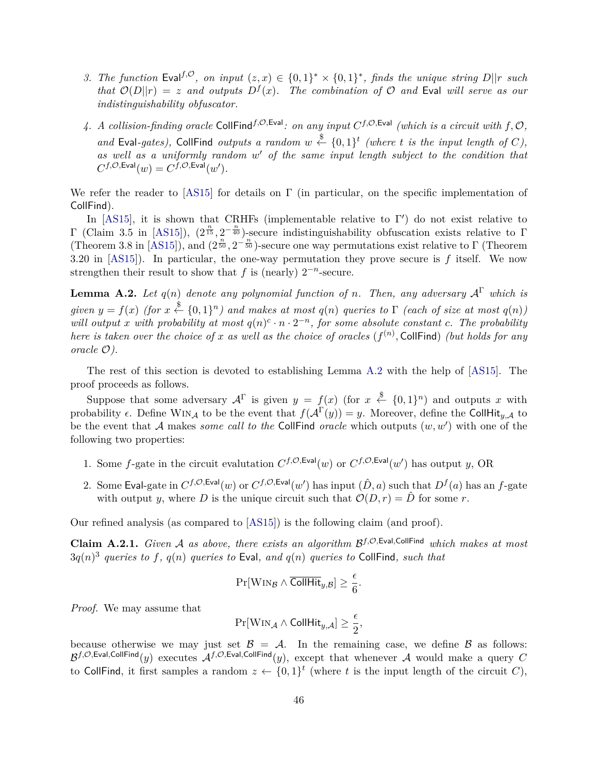- *3. The function* Eval<sup>f,*O*</sup>, *on input*  $(z, x) \in \{0, 1\}^* \times \{0, 1\}^*$ , *finds the unique string*  $D||r$  *such that*  $\mathcal{O}(D||r) = z$  *and outputs*  $D^f(x)$ *. The combination of*  $\mathcal{O}$  *and* Eval *will serve as our indistinguishability obfuscator.*
- 4. A collision-finding oracle CollFind<sup>f,O,Eval</sup>: on any input  $C^{f, \mathcal{O}, \text{Eval}}$  (which is a circuit with  $f, \mathcal{O},$ and Eval-gates), CollFind outputs a random  $w \stackrel{\$}{\leftarrow} \{0,1\}^t$  (where *t* is the input length of *C*), as well as a uniformly random w' of the same input length subject to the condition that  $C^{f, \mathcal{O}, \mathsf{Eval}}(w) = C^{f, \mathcal{O}, \mathsf{Eval}}(w')$ .

We refer the reader to [\[AS15\]](#page-43-2) for details on  $\Gamma$  (in particular, on the specific implementation of CollFind).

In [\[AS15\]](#page-43-2), it is shown that CRHFs (implementable relative to  $\Gamma'$ ) do not exist relative to  $Γ$  (Claim 3.5 in [\[AS15\]](#page-43-2)),  $(2^{\frac{n}{15}}, 2^{-\frac{n}{40}})$ -secure indistinguishability obfuscation exists relative to Γ (Theorem 3.8 in [\[AS15\]](#page-43-2)), and  $(2^{\frac{n}{50}}, 2^{-\frac{n}{50}})$ -secure one way permutations exist relative to  $\Gamma$  (Theorem 3.20 in [\[AS15\]](#page-43-2)). In particular, the one-way permutation they prove secure is *f* itself. We now strengthen their result to show that  $f$  is (nearly)  $2^{-n}$ -secure.

<span id="page-47-0"></span>**Lemma A.2.** *Let*  $q(n)$  *denote any polynomial function of n. Then, any adversary*  $A^{\Gamma}$  *which is*  $given \; y = f(x) \; (for \; x \stackrel{\$}{\leftarrow} \{0,1\}^n)$  and makes at most  $q(n)$  queries to  $\Gamma$  (each of size at most  $q(n)$ ) *will output x* with probability at most  $q(n)^c \cdot n \cdot 2^{-n}$ , for some absolute constant *c*. The probability *here is taken over the choice of x as well as the choice of oracles*  $(f^{(n)},$  CollFind) *(but holds for any oracle* O*).*

The rest of this section is devoted to establishing Lemma [A.2](#page-47-0) with the help of [\[AS15\]](#page-43-2). The proof proceeds as follows.

Suppose that some adversary  $A^{\Gamma}$  is given  $y = f(x)$  (for  $x \stackrel{\$}{\leftarrow} \{0,1\}^n$ ) and outputs x with probability  $\epsilon$ . Define WIN<sub>A</sub> to be the event that  $f(A^{\Gamma}(y)) = y$ . Moreover, define the CollHit<sub>*y*,A</sub> to be the event that  $A$  makes *some call to the* CollFind *oracle* which outputs  $(w, w')$  with one of the following two properties:

- 1. Some *f*-gate in the circuit evalutation  $C^{f,\mathcal{O},\text{Eval}}(w)$  or  $C^{f,\mathcal{O},\text{Eval}}(w')$  has output *y*, OR
- 2. Some Eval-gate in  $C^{f,\mathcal{O},\text{Eval}}(w)$  or  $C^{f,\mathcal{O},\text{Eval}}(w')$  has input  $(\hat{D},a)$  such that  $D^f(a)$  has an *f*-gate with output *y*, where *D* is the unique circuit such that  $\mathcal{O}(D, r) = \hat{D}$  for some *r*.

<span id="page-47-1"></span>Our refined analysis (as compared to [\[AS15\]](#page-43-2)) is the following claim (and proof).

**Claim A.2.1.** *Given* A *as above, there exists an algorithm* B *f,*O*,*Eval*,*CollFind *which makes at most* 3*q*(*n*) 3 *queries to f, q*(*n*) *queries to* Eval*, and q*(*n*) *queries to* CollFind*, such that*

$$
\Pr[\mathsf{WIN}_{\mathcal{B}} \land \overline{\mathsf{CollHit}}_{y,\mathcal{B}}] \geq \frac{\epsilon}{6}.
$$

*Proof.* We may assume that

$$
\Pr[\mathrm{Win}_{\mathcal{A}} \wedge \mathrm{CollHit}_{y,\mathcal{A}}] \geq \frac{\epsilon}{2},
$$

because otherwise we may just set  $\mathcal{B} = \mathcal{A}$ . In the remaining case, we define  $\mathcal{B}$  as follows:  $\mathcal{B}^{f,\mathcal{O},\mathsf{Eval},\mathsf{CollFind}}(y)$  executes  $\mathcal{A}^{f,\mathcal{O},\mathsf{Eval},\mathsf{CollFind}}(y)$ , except that whenever  $\mathcal A$  would make a query  $C$ to CollFind, it first samples a random  $z \leftarrow \{0,1\}^t$  (where t is the input length of the circuit C),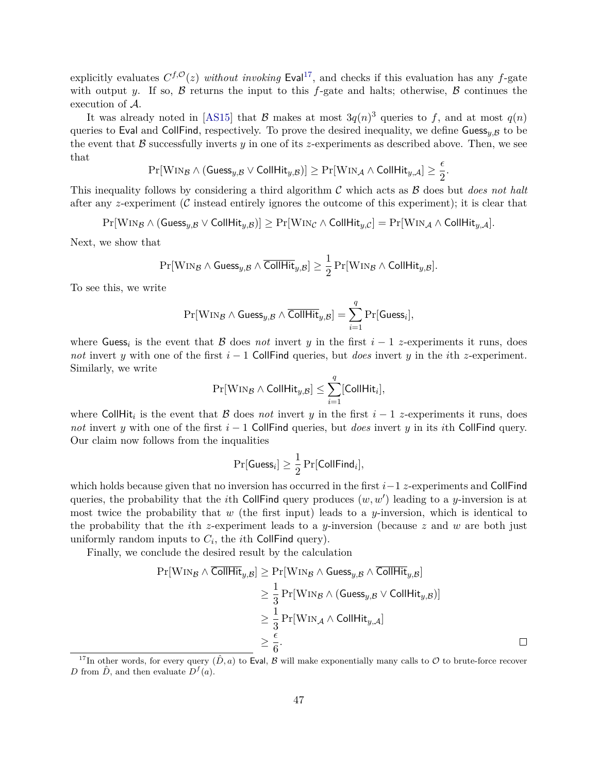explicitly evaluates  $C^{f, \mathcal{O}}(z)$  *without invoking* Eval<sup>[17](#page-48-0)</sup>, and checks if this evaluation has any f-gate with output *y*. If so,  $\beta$  returns the input to this *f*-gate and halts; otherwise,  $\beta$  continues the execution of A.

It was already noted in [\[AS15\]](#page-43-2) that  $\beta$  makes at most  $3q(n)^3$  queries to f, and at most  $q(n)$ queries to Eval and CollFind, respectively. To prove the desired inequality, we define Guess<sub>*u*, $B$ </sub> to be the event that  $\beta$  successfully inverts  $y$  in one of its *z*-experiments as described above. Then, we see that

$$
\Pr[\mathrm{Win}_{\mathcal{B}} \wedge (\mathsf{Geess}_{y,\mathcal{B}} \vee \mathsf{CollHit}_{y,\mathcal{B}})] \geq \Pr[\mathrm{Win}_{\mathcal{A}} \wedge \mathsf{CollHit}_{y,\mathcal{A}}] \geq \frac{\epsilon}{2}.
$$

This inequality follows by considering a third algorithm C which acts as B does but *does not halt* after any *z*-experiment (C instead entirely ignores the outcome of this experiment); it is clear that

 $Pr[\text{WIN}_\mathcal{B} \land (\text{Geess}_{y,\mathcal{B}} \lor \text{CollHit}_{y,\mathcal{B}})] \geq Pr[\text{WIN}_\mathcal{C} \land \text{CollHit}_{y,\mathcal{C}}] = Pr[\text{WIN}_\mathcal{A} \land \text{CollHit}_{y,\mathcal{A}}].$ 

Next, we show that

$$
\Pr[\mathrm{WIN}_{\mathcal{B}} \wedge \mathsf{Guess}_{y,\mathcal{B}} \wedge \overline{\mathsf{CollHit}}_{y,\mathcal{B}}] \ge \frac{1}{2} \Pr[\mathrm{WIN}_{\mathcal{B}} \wedge \mathsf{CollHit}_{y,\mathcal{B}}].
$$

To see this, we write

$$
\Pr[\mathsf{WIN}_{\mathcal{B}} \wedge \mathsf{Guess}_{y,\mathcal{B}} \wedge \overline{\mathsf{CollHit}}_{y,\mathcal{B}}] = \sum_{i=1}^q \Pr[\mathsf{Guess}_i],
$$

where Guess<sub>i</sub> is the event that B does *not* invert y in the first  $i-1$  *z*-experiments it runs, does *not* invert *y* with one of the first *i* − 1 CollFind queries, but *does* invert *y* in the *i*th *z*-experiment. Similarly, we write

$$
\Pr[\mathsf{WIN}_{\mathcal{B}} \wedge \mathsf{CollHit}_{y,\mathcal{B}}] \leq \sum_{i=1}^{q}[\mathsf{CollHit}_i],
$$

where CollHit<sub>i</sub> is the event that B does *not* invert y in the first  $i-1$  z-experiments it runs, does *not* invert *y* with one of the first  $i - 1$  CollFind queries, but *does* invert *y* in its *i*th CollFind query. Our claim now follows from the inqualities

$$
\Pr[\mathsf{Guess}_i] \geq \frac{1}{2} \Pr[\mathsf{CollFind}_i],
$$

which holds because given that no inversion has occurred in the first *i*−1 *z*-experiments and CollFind queries, the probability that the *i*th CollFind query produces  $(w, w')$  leading to a *y*-inversion is at most twice the probability that *w* (the first input) leads to a *y*-inversion, which is identical to the probability that the *i*th *z*-experiment leads to a *y*-inversion (because *z* and *w* are both just uniformly random inputs to  $C_i$ , the *i*th CollFind query).

Finally, we conclude the desired result by the calculation

$$
\Pr[\text{Win}_{\mathcal{B}} \land \overline{\text{CollHit}}_{y,\mathcal{B}}] \ge \Pr[\text{Win}_{\mathcal{B}} \land \text{Guess}_{y,\mathcal{B}} \land \overline{\text{CollHit}}_{y,\mathcal{B}}] \\
\ge \frac{1}{3} \Pr[\text{Win}_{\mathcal{B}} \land (\text{Guess}_{y,\mathcal{B}} \lor \text{CollHit}_{y,\mathcal{B}})] \\
\ge \frac{1}{3} \Pr[\text{Win}_{\mathcal{A}} \land \text{CollHit}_{y,\mathcal{A}}] \\
\ge \frac{\epsilon}{6}.
$$

<span id="page-48-0"></span><sup>&</sup>lt;sup>17</sup>In other words, for every query  $(\hat{D}, a)$  to Eval, B will make exponentially many calls to O to brute-force recover *D* from  $\hat{D}$ , and then evaluate  $D^f(a)$ .